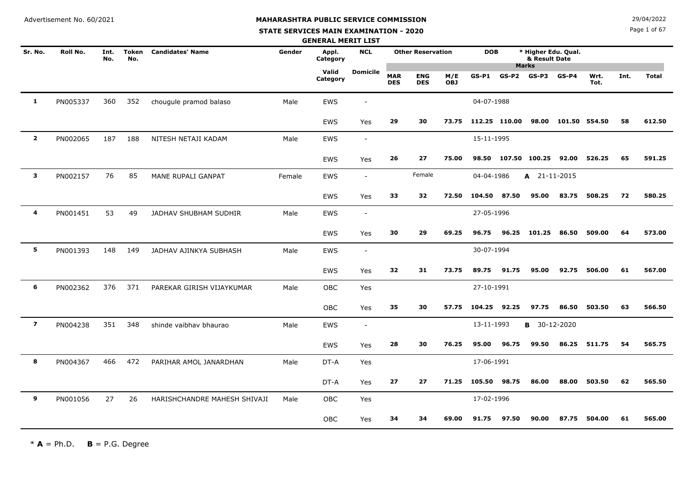**STATE SERVICES MAIN EXAMINATION - 2020**

Page 1 of 67

|                         |          |             |                     |                              |        | <b>GENERAL MERIT LIST</b> |                          |                          |                          |                   |               |       |                                                      |               |              |      |              |
|-------------------------|----------|-------------|---------------------|------------------------------|--------|---------------------------|--------------------------|--------------------------|--------------------------|-------------------|---------------|-------|------------------------------------------------------|---------------|--------------|------|--------------|
| Sr. No.                 | Roll No. | Int.<br>No. | <b>Token</b><br>No. | <b>Candidates' Name</b>      | Gender | Appl.<br>Category         | <b>NCL</b>               |                          | <b>Other Reservation</b> |                   | <b>DOB</b>    |       | * Higher Edu. Qual.<br>& Result Date<br><b>Marks</b> |               |              |      |              |
|                         |          |             |                     |                              |        | Valid<br>Category         | Domicile                 | <b>MAR</b><br><b>DES</b> | <b>ENG</b><br><b>DES</b> | M/E<br><b>OBJ</b> | GS-P1         | GS-P2 | GS-P3                                                | $GS-P4$       | Wrt.<br>Tot. | Int. | <b>Total</b> |
| 1                       | PN005337 | 360         | 352                 | chougule pramod balaso       | Male   | <b>EWS</b>                | $\overline{\phantom{a}}$ |                          |                          |                   | 04-07-1988    |       |                                                      |               |              |      |              |
|                         |          |             |                     |                              |        | <b>EWS</b>                | Yes                      | 29                       | 30                       | 73.75             | 112.25 110.00 |       | 98.00                                                | 101.50 554.50 |              | 58   | 612.50       |
| $\overline{\mathbf{2}}$ | PN002065 | 187         | 188                 | NITESH NETAJI KADAM          | Male   | <b>EWS</b>                | $\overline{\phantom{a}}$ |                          |                          |                   | 15-11-1995    |       |                                                      |               |              |      |              |
|                         |          |             |                     |                              |        | <b>EWS</b>                | Yes                      | 26                       | 27                       | 75.00             | 98.50         |       | 107.50 100.25 92.00                                  |               | 526.25       | 65   | 591.25       |
| 3                       | PN002157 | 76          | 85                  | MANE RUPALI GANPAT           | Female | <b>EWS</b>                | $\overline{\phantom{a}}$ |                          | Female                   |                   | 04-04-1986    |       | $A$ 21-11-2015                                       |               |              |      |              |
|                         |          |             |                     |                              |        | <b>EWS</b>                | Yes                      | 33                       | 32                       | 72.50             | 104.50 87.50  |       | 95.00                                                | 83.75         | 508.25       | 72   | 580.25       |
| 4                       | PN001451 | 53          | 49                  | JADHAV SHUBHAM SUDHIR        | Male   | EWS                       | $\overline{\phantom{a}}$ |                          |                          |                   | 27-05-1996    |       |                                                      |               |              |      |              |
|                         |          |             |                     |                              |        | <b>EWS</b>                | Yes                      | 30                       | 29                       | 69.25             | 96.75         | 96.25 | 101.25                                               | 86.50         | 509.00       | 64   | 573.00       |
| 5                       | PN001393 | 148         | 149                 | JADHAV AJINKYA SUBHASH       | Male   | EWS                       | $\sim$                   |                          |                          |                   | 30-07-1994    |       |                                                      |               |              |      |              |
|                         |          |             |                     |                              |        | <b>EWS</b>                | Yes                      | 32                       | 31                       | 73.75             | 89.75         | 91.75 | 95.00                                                | 92.75         | 506.00       | 61   | 567.00       |
| 6                       | PN002362 | 376         | 371                 | PAREKAR GIRISH VIJAYKUMAR    | Male   | OBC                       | Yes                      |                          |                          |                   | 27-10-1991    |       |                                                      |               |              |      |              |
|                         |          |             |                     |                              |        | OBC                       | Yes                      | 35                       | 30                       | 57.75             | 104.25 92.25  |       | 97.75                                                | 86.50         | 503.50       | 63   | 566.50       |
| $\overline{\mathbf{z}}$ | PN004238 | 351         | 348                 | shinde vaibhav bhaurao       | Male   | <b>EWS</b>                | $\blacksquare$           |                          |                          |                   | 13-11-1993    |       | <b>B</b> 30-12-2020                                  |               |              |      |              |
|                         |          |             |                     |                              |        | <b>EWS</b>                | Yes                      | 28                       | 30                       | 76.25             | 95.00         | 96.75 | 99.50                                                | 86.25         | 511.75       | 54   | 565.75       |
| 8                       | PN004367 | 466         | 472                 | PARIHAR AMOL JANARDHAN       | Male   | DT-A                      | Yes                      |                          |                          |                   | 17-06-1991    |       |                                                      |               |              |      |              |
|                         |          |             |                     |                              |        | DT-A                      | Yes                      | 27                       | 27                       | 71.25             | 105.50        | 98.75 | 86.00                                                | 88.00         | 503.50       | 62   | 565.50       |
| 9                       | PN001056 | 27          | 26                  | HARISHCHANDRE MAHESH SHIVAJI | Male   | OBC                       | Yes                      |                          |                          |                   | 17-02-1996    |       |                                                      |               |              |      |              |
|                         |          |             |                     |                              |        | OBC                       | Yes                      | 34                       | 34                       | 69.00             | 91.75         | 97.50 | 90.00                                                | 87.75         | 504.00       | 61   | 565.00       |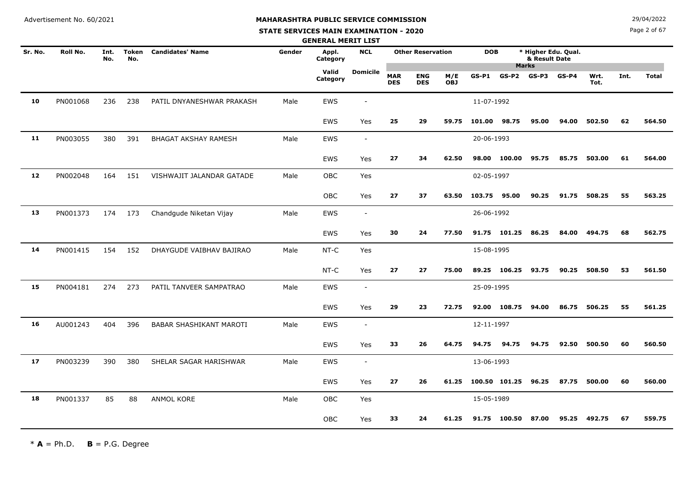**STATE SERVICES MAIN EXAMINATION - 2020**

Page 2 of 67

|         |          |             |                     |                             |        | <b>GENERAL MERIT LIST</b> |                          |                          |                          |                   |              |               |                               |                     |              |      |              |
|---------|----------|-------------|---------------------|-----------------------------|--------|---------------------------|--------------------------|--------------------------|--------------------------|-------------------|--------------|---------------|-------------------------------|---------------------|--------------|------|--------------|
| Sr. No. | Roll No. | Int.<br>No. | <b>Token</b><br>No. | <b>Candidates' Name</b>     | Gender | Appl.<br>Category         | <b>NCL</b>               |                          | <b>Other Reservation</b> |                   | <b>DOB</b>   |               | & Result Date<br><b>Marks</b> | * Higher Edu. Qual. |              |      |              |
|         |          |             |                     |                             |        | Valid<br>Category         | <b>Domicile</b>          | <b>MAR</b><br><b>DES</b> | <b>ENG</b><br><b>DES</b> | M/E<br><b>OBJ</b> | $GS-P1$      | $GS-P2$       | $GS-P3$                       | $GS-P4$             | Wrt.<br>Tot. | Int. | <b>Total</b> |
| 10      | PN001068 | 236         | 238                 | PATIL DNYANESHWAR PRAKASH   | Male   | EWS                       | $\blacksquare$           |                          |                          |                   | 11-07-1992   |               |                               |                     |              |      |              |
|         |          |             |                     |                             |        | <b>EWS</b>                | Yes                      | 25                       | 29                       | 59.75             | 101.00 98.75 |               | 95.00                         | 94.00               | 502.50       | 62   | 564.50       |
| 11      | PN003055 | 380         | 391                 | <b>BHAGAT AKSHAY RAMESH</b> | Male   | EWS                       | $\blacksquare$           |                          |                          |                   | 20-06-1993   |               |                               |                     |              |      |              |
|         |          |             |                     |                             |        | <b>EWS</b>                | Yes                      | 27                       | 34                       | 62.50             |              | 98.00 100.00  | 95.75                         | 85.75               | 503.00       | 61   | 564.00       |
| 12      | PN002048 | 164         | 151                 | VISHWAJIT JALANDAR GATADE   | Male   | <b>OBC</b>                | Yes                      |                          |                          |                   | 02-05-1997   |               |                               |                     |              |      |              |
|         |          |             |                     |                             |        | <b>OBC</b>                | Yes                      | 27                       | 37                       | 63.50             | 103.75 95.00 |               | 90.25                         | 91.75               | 508.25       | 55   | 563.25       |
| 13      | PN001373 | 174         | 173                 | Chandgude Niketan Vijay     | Male   | EWS                       | $\overline{\phantom{a}}$ |                          |                          |                   | 26-06-1992   |               |                               |                     |              |      |              |
|         |          |             |                     |                             |        | <b>EWS</b>                | Yes                      | 30                       | 24                       | 77.50             |              | 91.75 101.25  | 86.25                         | 84.00               | 494.75       | 68   | 562.75       |
| 14      | PN001415 | 154         | 152                 | DHAYGUDE VAIBHAV BAJIRAO    | Male   | NT-C                      | Yes                      |                          |                          |                   | 15-08-1995   |               |                               |                     |              |      |              |
|         |          |             |                     |                             |        | NT-C                      | Yes                      | 27                       | 27                       | 75.00             |              | 89.25 106.25  | 93.75                         | 90.25               | 508.50       | 53   | 561.50       |
| 15      | PN004181 | 274         | 273                 | PATIL TANVEER SAMPATRAO     | Male   | <b>EWS</b>                | $\overline{\phantom{a}}$ |                          |                          |                   | 25-09-1995   |               |                               |                     |              |      |              |
|         |          |             |                     |                             |        | <b>EWS</b>                | Yes                      | 29                       | 23                       | 72.75             |              | 92.00 108.75  | 94.00                         | 86.75               | 506.25       | 55   | 561.25       |
| 16      | AU001243 | 404         | 396                 | BABAR SHASHIKANT MAROTI     | Male   | <b>EWS</b>                | $\overline{\phantom{a}}$ |                          |                          |                   | 12-11-1997   |               |                               |                     |              |      |              |
|         |          |             |                     |                             |        | <b>EWS</b>                | Yes                      | 33                       | 26                       | 64.75             | 94.75        | 94.75         | 94.75                         | 92.50               | 500.50       | 60   | 560.50       |
| 17      | PN003239 | 390         | 380                 | SHELAR SAGAR HARISHWAR      | Male   | <b>EWS</b>                | $\overline{\phantom{a}}$ |                          |                          |                   | 13-06-1993   |               |                               |                     |              |      |              |
|         |          |             |                     |                             |        | <b>EWS</b>                | Yes                      | 27                       | 26                       | 61.25             |              | 100.50 101.25 | 96.25                         | 87.75               | 500.00       | 60   | 560.00       |
| 18      | PN001337 | 85          | 88                  | ANMOL KORE                  | Male   | <b>OBC</b>                | Yes                      |                          |                          |                   | 15-05-1989   |               |                               |                     |              |      |              |
|         |          |             |                     |                             |        | <b>OBC</b>                | Yes                      | 33                       | 24                       | 61.25             |              | 91.75 100.50  | 87.00                         |                     | 95.25 492.75 | 67   | 559.75       |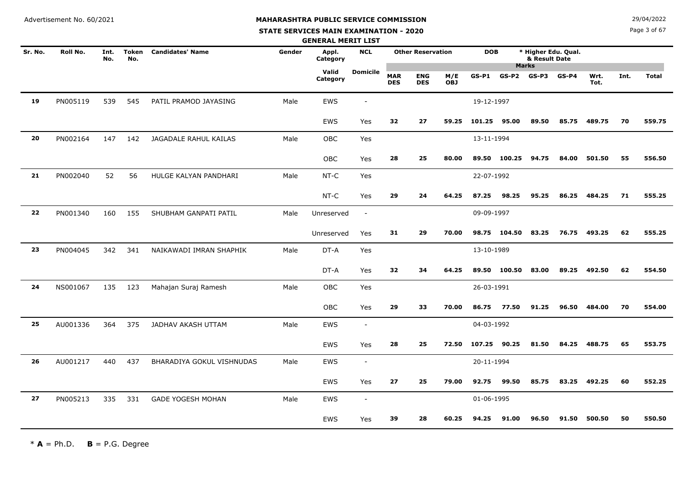**STATE SERVICES MAIN EXAMINATION - 2020**

Page 3 of 67

|         |          |             |                     |                           |        | <b>GENERAL MERIT LIST</b> |                          |                          |                          |                   |              |              |                               |                     |              |      |              |
|---------|----------|-------------|---------------------|---------------------------|--------|---------------------------|--------------------------|--------------------------|--------------------------|-------------------|--------------|--------------|-------------------------------|---------------------|--------------|------|--------------|
| Sr. No. | Roll No. | Int.<br>No. | <b>Token</b><br>No. | <b>Candidates' Name</b>   | Gender | Appl.<br>Category         | <b>NCL</b>               |                          | <b>Other Reservation</b> |                   | <b>DOB</b>   |              | & Result Date<br><b>Marks</b> | * Higher Edu. Qual. |              |      |              |
|         |          |             |                     |                           |        | Valid<br>Category         | <b>Domicile</b>          | <b>MAR</b><br><b>DES</b> | <b>ENG</b><br><b>DES</b> | M/E<br><b>OBJ</b> | $GS-P1$      | $GS-P2$      | $GS-P3$                       | $GS-P4$             | Wrt.<br>Tot. | Int. | <b>Total</b> |
| 19      | PN005119 | 539         | 545                 | PATIL PRAMOD JAYASING     | Male   | <b>EWS</b>                | $\sim$                   |                          |                          |                   | 19-12-1997   |              |                               |                     |              |      |              |
|         |          |             |                     |                           |        | <b>EWS</b>                | Yes                      | 32                       | 27                       | 59.25             | 101.25 95.00 |              | 89.50                         | 85.75               | 489.75       | 70   | 559.75       |
| 20      | PN002164 | 147         | 142                 | JAGADALE RAHUL KAILAS     | Male   | OBC                       | Yes                      |                          |                          |                   | 13-11-1994   |              |                               |                     |              |      |              |
|         |          |             |                     |                           |        | <b>OBC</b>                | Yes                      | 28                       | 25                       | 80.00             |              | 89.50 100.25 | 94.75                         | 84.00               | 501.50       | 55   | 556.50       |
| 21      | PN002040 | 52          | 56                  | HULGE KALYAN PANDHARI     | Male   | $NT-C$                    | Yes                      |                          |                          |                   | 22-07-1992   |              |                               |                     |              |      |              |
|         |          |             |                     |                           |        | NT-C                      | Yes                      | 29                       | 24                       | 64.25             | 87.25        | 98.25        | 95.25                         | 86.25               | 484.25       | 71   | 555.25       |
| 22      | PN001340 | 160         | 155                 | SHUBHAM GANPATI PATIL     | Male   | Unreserved                | $\sim$                   |                          |                          |                   | 09-09-1997   |              |                               |                     |              |      |              |
|         |          |             |                     |                           |        | Unreserved                | Yes                      | 31                       | 29                       | 70.00             |              | 98.75 104.50 | 83.25                         |                     | 76.75 493.25 | 62   | 555.25       |
| 23      | PN004045 | 342         | 341                 | NAIKAWADI IMRAN SHAPHIK   | Male   | DT-A                      | Yes                      |                          |                          |                   | 13-10-1989   |              |                               |                     |              |      |              |
|         |          |             |                     |                           |        | DT-A                      | Yes                      | 32                       | 34                       | 64.25             |              | 89.50 100.50 | 83.00                         | 89.25               | 492.50       | 62   | 554.50       |
| 24      | NS001067 | 135         | 123                 | Mahajan Suraj Ramesh      | Male   | OBC                       | Yes                      |                          |                          |                   | 26-03-1991   |              |                               |                     |              |      |              |
|         |          |             |                     |                           |        | OBC                       | Yes                      | 29                       | 33                       | 70.00             | 86.75        | 77.50        | 91.25                         | 96.50               | 484.00       | 70   | 554.00       |
| 25      | AU001336 | 364         | 375                 | JADHAV AKASH UTTAM        | Male   | <b>EWS</b>                | $\blacksquare$           |                          |                          |                   | 04-03-1992   |              |                               |                     |              |      |              |
|         |          |             |                     |                           |        | EWS                       | Yes                      | 28                       | 25                       | 72.50             | 107.25 90.25 |              | 81.50                         | 84.25               | 488.75       | 65   | 553.75       |
| 26      | AU001217 | 440         | 437                 | BHARADIYA GOKUL VISHNUDAS | Male   | EWS                       | $\blacksquare$           |                          |                          |                   | 20-11-1994   |              |                               |                     |              |      |              |
|         |          |             |                     |                           |        | <b>EWS</b>                | Yes                      | 27                       | 25                       | 79.00             | 92.75        | 99.50        | 85.75                         | 83.25               | 492.25       | 60   | 552.25       |
| 27      | PN005213 | 335         | 331                 | <b>GADE YOGESH MOHAN</b>  | Male   | <b>EWS</b>                | $\overline{\phantom{a}}$ |                          |                          |                   | 01-06-1995   |              |                               |                     |              |      |              |
|         |          |             |                     |                           |        | <b>EWS</b>                | Yes                      | 39                       | 28                       | 60.25             | 94.25        | 91.00        | 96.50                         | 91.50               | 500.50       | 50   | 550.50       |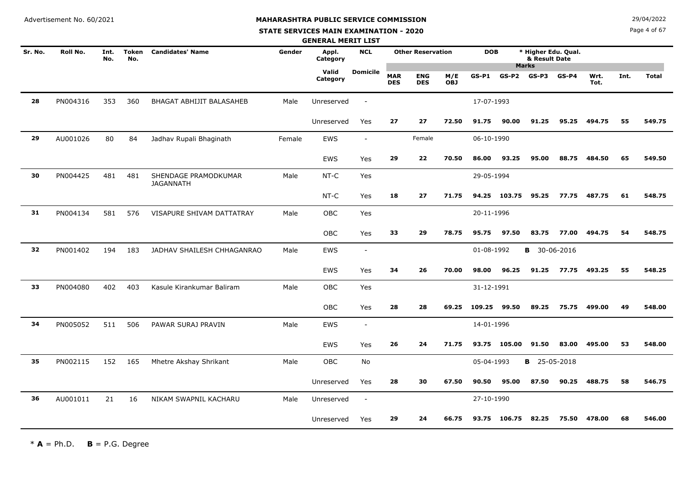#### **STATE SERVICES MAIN EXAMINATION - 2020**

Page 4 of 67

|         |          |             |                     |                                          |        | <b>GENERAL MERIT LIST</b> |                          |                          |                          |                   |            |              |                                                      |         |              |      |              |
|---------|----------|-------------|---------------------|------------------------------------------|--------|---------------------------|--------------------------|--------------------------|--------------------------|-------------------|------------|--------------|------------------------------------------------------|---------|--------------|------|--------------|
| Sr. No. | Roll No. | Int.<br>No. | <b>Token</b><br>No. | <b>Candidates' Name</b>                  | Gender | Appl.<br>Category         | <b>NCL</b>               |                          | <b>Other Reservation</b> |                   | <b>DOB</b> |              | * Higher Edu. Qual.<br>& Result Date<br><b>Marks</b> |         |              |      |              |
|         |          |             |                     |                                          |        | Valid<br>Category         | <b>Domicile</b>          | <b>MAR</b><br><b>DES</b> | <b>ENG</b><br><b>DES</b> | M/E<br><b>OBJ</b> | $GS-P1$    | $GS-P2$      | $GS-P3$                                              | $GS-P4$ | Wrt.<br>Tot. | Int. | <b>Total</b> |
| 28      | PN004316 | 353         | 360                 | BHAGAT ABHIJIT BALASAHEB                 | Male   | Unreserved                | $\sim$                   |                          |                          |                   | 17-07-1993 |              |                                                      |         |              |      |              |
|         |          |             |                     |                                          |        | Unreserved                | Yes                      | 27                       | 27                       | 72.50             | 91.75      | 90.00        | 91.25                                                | 95.25   | 494.75       | 55   | 549.75       |
| 29      | AU001026 | 80          | 84                  | Jadhav Rupali Bhaginath                  | Female | EWS                       | $\overline{\phantom{a}}$ |                          | Female                   |                   | 06-10-1990 |              |                                                      |         |              |      |              |
|         |          |             |                     |                                          |        | EWS                       | Yes                      | 29                       | 22                       | 70.50             | 86.00      | 93.25        | 95.00                                                | 88.75   | 484.50       | 65   | 549.50       |
| 30      | PN004425 | 481         | 481                 | SHENDAGE PRAMODKUMAR<br><b>JAGANNATH</b> | Male   | $NT-C$                    | Yes                      |                          |                          |                   | 29-05-1994 |              |                                                      |         |              |      |              |
|         |          |             |                     |                                          |        | NT-C                      | Yes                      | 18                       | 27                       | 71.75             |            | 94.25 103.75 | 95.25                                                | 77.75   | 487.75       | 61   | 548.75       |
| 31      | PN004134 | 581         | 576                 | VISAPURE SHIVAM DATTATRAY                | Male   | OBC                       | Yes                      |                          |                          |                   | 20-11-1996 |              |                                                      |         |              |      |              |
|         |          |             |                     |                                          |        | <b>OBC</b>                | Yes                      | 33                       | 29                       | 78.75             | 95.75      | 97.50        | 83.75                                                | 77.00   | 494.75       | 54   | 548.75       |
| 32      | PN001402 | 194         | 183                 | JADHAV SHAILESH CHHAGANRAO               | Male   | EWS                       | $\sim$                   |                          |                          |                   | 01-08-1992 |              | <b>B</b> 30-06-2016                                  |         |              |      |              |
|         |          |             |                     |                                          |        | EWS                       | Yes                      | 34                       | 26                       | 70.00             | 98.00      | 96.25        | 91.25                                                | 77.75   | 493.25       | 55   | 548.25       |
| 33      | PN004080 | 402         | 403                 | Kasule Kirankumar Baliram                | Male   | OBC                       | Yes                      |                          |                          |                   | 31-12-1991 |              |                                                      |         |              |      |              |
|         |          |             |                     |                                          |        | OBC                       | Yes                      | 28                       | 28                       | 69.25             | 109.25     | 99.50        | 89.25                                                | 75.75   | 499.00       | 49   | 548.00       |
| 34      | PN005052 | 511         | 506                 | PAWAR SURAJ PRAVIN                       | Male   | <b>EWS</b>                | $\blacksquare$           |                          |                          |                   | 14-01-1996 |              |                                                      |         |              |      |              |
|         |          |             |                     |                                          |        | EWS                       | Yes                      | 26                       | 24                       | 71.75             | 93.75      | 105.00       | 91.50                                                | 83.00   | 495.00       | 53   | 548.00       |
| 35      | PN002115 | 152         | 165                 | Mhetre Akshay Shrikant                   | Male   | OBC                       | No                       |                          |                          |                   | 05-04-1993 |              | <b>B</b> 25-05-2018                                  |         |              |      |              |
|         |          |             |                     |                                          |        | Unreserved                | Yes                      | 28                       | 30                       | 67.50             | 90.50      | 95.00        | 87.50                                                | 90.25   | 488.75       | 58   | 546.75       |
| 36      | AU001011 | 21          | 16                  | NIKAM SWAPNIL KACHARU                    | Male   | Unreserved                | $\overline{\phantom{a}}$ |                          |                          |                   | 27-10-1990 |              |                                                      |         |              |      |              |
|         |          |             |                     |                                          |        | Unreserved                | Yes                      | 29                       | 24                       | 66.75             | 93.75      | 106.75       | 82.25                                                | 75.50   | 478.00       | 68   | 546.00       |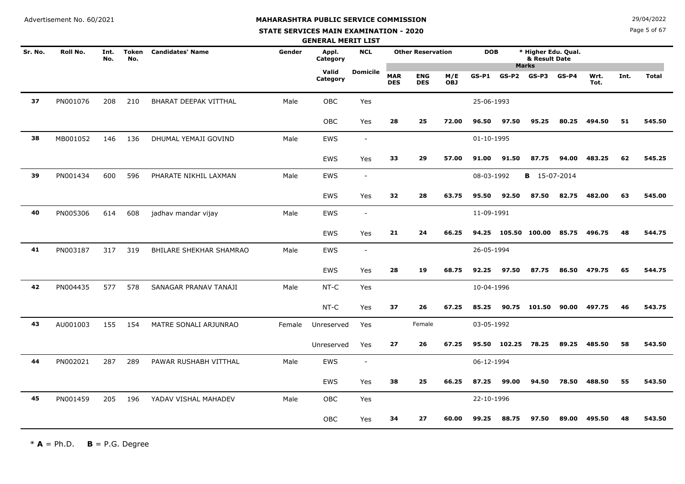# **MAHARASHTRA PUBLIC SERVICE COMMISSION**

#### **STATE SERVICES MAIN EXAMINATION - 2020**

**N**  $29/04/2022$ 

Page 5 of 67

|         |          |             |              |                         |        | <b>GENERAL MERIT LIST</b> |                          |                          |                          |                   |            |              |                                                      |         |              |      |              |
|---------|----------|-------------|--------------|-------------------------|--------|---------------------------|--------------------------|--------------------------|--------------------------|-------------------|------------|--------------|------------------------------------------------------|---------|--------------|------|--------------|
| Sr. No. | Roll No. | Int.<br>No. | Token<br>No. | <b>Candidates' Name</b> | Gender | Appl.<br>Category         | <b>NCL</b>               |                          | <b>Other Reservation</b> |                   | <b>DOB</b> |              | * Higher Edu. Qual.<br>& Result Date<br><b>Marks</b> |         |              |      |              |
|         |          |             |              |                         |        | Valid<br>Category         | <b>Domicile</b>          | <b>MAR</b><br><b>DES</b> | <b>ENG</b><br><b>DES</b> | M/E<br><b>OBJ</b> | $GS-P1$    | $GS-P2$      | $GS-P3$                                              | $GS-P4$ | Wrt.<br>Tot. | Int. | <b>Total</b> |
| 37      | PN001076 | 208         | 210          | BHARAT DEEPAK VITTHAL   | Male   | OBC                       | Yes                      |                          |                          |                   | 25-06-1993 |              |                                                      |         |              |      |              |
|         |          |             |              |                         |        | OBC                       | Yes                      | 28                       | 25                       | 72.00             | 96.50      | 97.50        | 95.25                                                | 80.25   | 494.50       | 51   | 545.50       |
| 38      | MB001052 | 146         | 136          | DHUMAL YEMAJI GOVIND    | Male   | <b>EWS</b>                | $\overline{\phantom{a}}$ |                          |                          |                   | 01-10-1995 |              |                                                      |         |              |      |              |
|         |          |             |              |                         |        | <b>EWS</b>                | Yes                      | 33                       | 29                       | 57.00             | 91.00      | 91.50        | 87.75                                                | 94.00   | 483.25       | 62   | 545.25       |
| 39      | PN001434 | 600         | 596          | PHARATE NIKHIL LAXMAN   | Male   | EWS                       | $\overline{\phantom{a}}$ |                          |                          |                   | 08-03-1992 |              | <b>B</b> 15-07-2014                                  |         |              |      |              |
|         |          |             |              |                         |        | <b>EWS</b>                | Yes                      | 32                       | 28                       | 63.75             | 95.50      | 92.50        | 87.50                                                | 82.75   | 482.00       | 63   | 545.00       |
| 40      | PN005306 | 614         | 608          | jadhav mandar vijay     | Male   | EWS                       | $\overline{\phantom{a}}$ |                          |                          |                   | 11-09-1991 |              |                                                      |         |              |      |              |
|         |          |             |              |                         |        | <b>EWS</b>                | Yes                      | 21                       | 24                       | 66.25             |            |              | 94.25 105.50 100.00 85.75 496.75                     |         |              | 48   | 544.75       |
| 41      | PN003187 | 317         | 319          | BHILARE SHEKHAR SHAMRAO | Male   | EWS                       | $\sim$                   |                          |                          |                   | 26-05-1994 |              |                                                      |         |              |      |              |
|         |          |             |              |                         |        | EWS                       | Yes                      | 28                       | 19                       | 68.75             | 92.25      | 97.50        | 87.75                                                | 86.50   | 479.75       | 65   | 544.75       |
| 42      | PN004435 | 577         | 578          | SANAGAR PRANAV TANAJI   | Male   | NT-C                      | Yes                      |                          |                          |                   | 10-04-1996 |              |                                                      |         |              |      |              |
|         |          |             |              |                         |        | NT-C                      | Yes                      | 37                       | 26                       | 67.25             | 85.25      |              | 90.75 101.50                                         | 90.00   | 497.75       | 46   | 543.75       |
| 43      | AU001003 | 155         | 154          | MATRE SONALI ARJUNRAO   | Female | Unreserved                | Yes                      |                          | Female                   |                   | 03-05-1992 |              |                                                      |         |              |      |              |
|         |          |             |              |                         |        | Unreserved                | Yes                      | 27                       | 26                       | 67.25             |            | 95.50 102.25 | 78.25                                                |         | 89.25 485.50 | 58   | 543.50       |
| 44      | PN002021 | 287         | 289          | PAWAR RUSHABH VITTHAL   | Male   | EWS                       | $\blacksquare$           |                          |                          |                   | 06-12-1994 |              |                                                      |         |              |      |              |
|         |          |             |              |                         |        | <b>EWS</b>                | Yes                      | 38                       | 25                       | 66.25             | 87.25      | 99.00        | 94.50                                                | 78.50   | 488.50       | 55   | 543.50       |
| 45      | PN001459 | 205         | 196          | YADAV VISHAL MAHADEV    | Male   | OBC                       | Yes                      |                          |                          |                   | 22-10-1996 |              |                                                      |         |              |      |              |
|         |          |             |              |                         |        | OBC                       | Yes                      | 34                       | 27                       | 60.00             | 99.25      | 88.75        | 97.50                                                | 89.00   | 495.50       | 48   | 543.50       |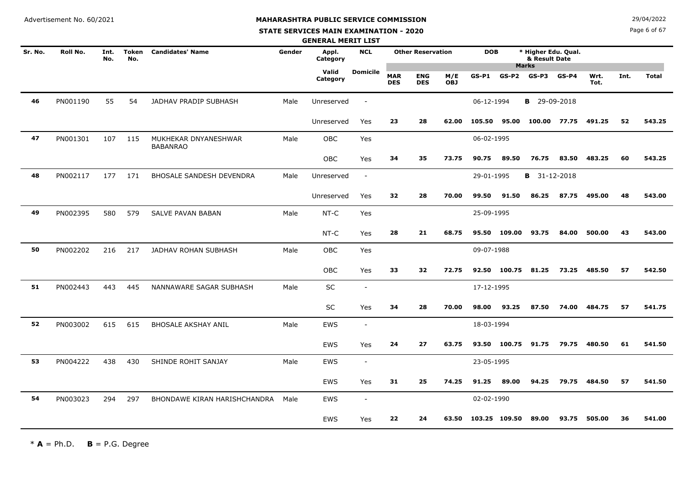#### **STATE SERVICES MAIN EXAMINATION - 2020**

**N**  $29/04/2022$ 

Page 6 of 67

|         |          |             |                     |                                         |        | <b>GENERAL MERIT LIST</b> |                          |                          |                          |                   |               |              |                                                      |         |              |      |              |
|---------|----------|-------------|---------------------|-----------------------------------------|--------|---------------------------|--------------------------|--------------------------|--------------------------|-------------------|---------------|--------------|------------------------------------------------------|---------|--------------|------|--------------|
| Sr. No. | Roll No. | Int.<br>No. | <b>Token</b><br>No. | <b>Candidates' Name</b>                 | Gender | Appl.<br>Category         | <b>NCL</b>               |                          | <b>Other Reservation</b> |                   | <b>DOB</b>    |              | * Higher Edu. Qual.<br>& Result Date<br><b>Marks</b> |         |              |      |              |
|         |          |             |                     |                                         |        | Valid<br>Category         | <b>Domicile</b>          | <b>MAR</b><br><b>DES</b> | <b>ENG</b><br><b>DES</b> | M/E<br><b>OBJ</b> | $GS-P1$       | $GS-P2$      | $GS-P3$                                              | $GS-P4$ | Wrt.<br>Tot. | Int. | <b>Total</b> |
| 46      | PN001190 | 55          | 54                  | JADHAV PRADIP SUBHASH                   | Male   | Unreserved                | $\overline{\phantom{a}}$ |                          |                          |                   | 06-12-1994    |              | <b>B</b> 29-09-2018                                  |         |              |      |              |
|         |          |             |                     |                                         |        | Unreserved                | Yes                      | 23                       | 28                       | 62.00             | 105.50        | 95.00        | 100.00 77.75                                         |         | 491.25       | 52   | 543.25       |
| 47      | PN001301 | 107         | 115                 | MUKHEKAR DNYANESHWAR<br><b>BABANRAO</b> | Male   | <b>OBC</b>                | Yes                      |                          |                          |                   | 06-02-1995    |              |                                                      |         |              |      |              |
|         |          |             |                     |                                         |        | <b>OBC</b>                | Yes                      | 34                       | 35                       | 73.75             | 90.75         | 89.50        | 76.75                                                | 83.50   | 483.25       | 60   | 543.25       |
| 48      | PN002117 | 177         | 171                 | <b>BHOSALE SANDESH DEVENDRA</b>         | Male   | Unreserved                | $\sim$                   |                          |                          |                   | 29-01-1995    |              | <b>B</b> 31-12-2018                                  |         |              |      |              |
|         |          |             |                     |                                         |        | Unreserved                | Yes                      | 32                       | 28                       | 70.00             | 99.50         | 91.50        | 86.25                                                | 87.75   | 495.00       | 48   | 543.00       |
| 49      | PN002395 | 580         | 579                 | SALVE PAVAN BABAN                       | Male   | NT-C                      | Yes                      |                          |                          |                   | 25-09-1995    |              |                                                      |         |              |      |              |
|         |          |             |                     |                                         |        | NT-C                      | Yes                      | 28                       | 21                       | 68.75             |               | 95.50 109.00 | 93.75                                                | 84.00   | 500.00       | 43   | 543.00       |
| 50      | PN002202 | 216         | 217                 | JADHAV ROHAN SUBHASH                    | Male   | OBC                       | Yes                      |                          |                          |                   | 09-07-1988    |              |                                                      |         |              |      |              |
|         |          |             |                     |                                         |        | OBC                       | Yes                      | 33                       | 32                       | 72.75             |               | 92.50 100.75 | 81.25                                                | 73.25   | 485.50       | 57   | 542.50       |
| 51      | PN002443 | 443         | 445                 | NANNAWARE SAGAR SUBHASH                 | Male   | SC                        | $\overline{a}$           |                          |                          |                   | 17-12-1995    |              |                                                      |         |              |      |              |
|         |          |             |                     |                                         |        | SC                        | Yes                      | 34                       | 28                       | 70.00             | 98.00         | 93.25        | 87.50                                                | 74.00   | 484.75       | 57   | 541.75       |
| 52      | PN003002 | 615         | 615                 | <b>BHOSALE AKSHAY ANIL</b>              | Male   | <b>EWS</b>                | $\overline{a}$           |                          |                          |                   | 18-03-1994    |              |                                                      |         |              |      |              |
|         |          |             |                     |                                         |        | EWS                       | Yes                      | 24                       | 27                       | 63.75             |               | 93.50 100.75 | 91.75                                                | 79.75   | 480.50       | 61   | 541.50       |
| 53      | PN004222 | 438         | 430                 | SHINDE ROHIT SANJAY                     | Male   | <b>EWS</b>                | $\overline{a}$           |                          |                          |                   | 23-05-1995    |              |                                                      |         |              |      |              |
|         |          |             |                     |                                         |        | <b>EWS</b>                | Yes                      | 31                       | 25                       | 74.25             | 91.25         | 89.00        | 94.25                                                | 79.75   | 484.50       | 57   | 541.50       |
| 54      | PN003023 | 294         | 297                 | BHONDAWE KIRAN HARISHCHANDRA            | Male   | <b>EWS</b>                | $\overline{\phantom{a}}$ |                          |                          |                   | 02-02-1990    |              |                                                      |         |              |      |              |
|         |          |             |                     |                                         |        | <b>EWS</b>                | Yes                      | 22                       | 24                       | 63.50             | 103.25 109.50 |              | 89.00                                                | 93.75   | 505.00       | 36   | 541.00       |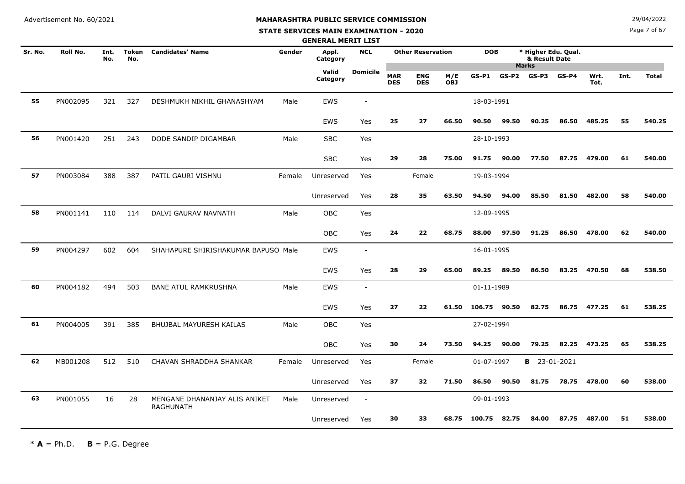#### **STATE SERVICES MAIN EXAMINATION - 2020**

**N**  $29/04/2022$ 

Page 7 of 67

|         |          |             |                     |                                                   |        | <b>GENERAL MERIT LIST</b> |                          |                          |                          |                   |              |         |                                                      |         |              |      |              |
|---------|----------|-------------|---------------------|---------------------------------------------------|--------|---------------------------|--------------------------|--------------------------|--------------------------|-------------------|--------------|---------|------------------------------------------------------|---------|--------------|------|--------------|
| Sr. No. | Roll No. | Int.<br>No. | <b>Token</b><br>No. | <b>Candidates' Name</b>                           | Gender | Appl.<br>Category         | <b>NCL</b>               |                          | <b>Other Reservation</b> |                   | <b>DOB</b>   |         | * Higher Edu. Qual.<br>& Result Date<br><b>Marks</b> |         |              |      |              |
|         |          |             |                     |                                                   |        | Valid<br>Category         | <b>Domicile</b>          | <b>MAR</b><br><b>DES</b> | <b>ENG</b><br><b>DES</b> | M/E<br><b>OBJ</b> | $GS-P1$      | $GS-P2$ | $GS-P3$                                              | $GS-P4$ | Wrt.<br>Tot. | Int. | <b>Total</b> |
| 55      | PN002095 | 321         | 327                 | DESHMUKH NIKHIL GHANASHYAM                        | Male   | <b>EWS</b>                | $\blacksquare$           |                          |                          |                   | 18-03-1991   |         |                                                      |         |              |      |              |
|         |          |             |                     |                                                   |        | <b>EWS</b>                | Yes                      | 25                       | 27                       | 66.50             | 90.50        | 99.50   | 90.25                                                | 86.50   | 485.25       | 55   | 540.25       |
| 56      | PN001420 | 251         | 243                 | DODE SANDIP DIGAMBAR                              | Male   | <b>SBC</b>                | Yes                      |                          |                          |                   | 28-10-1993   |         |                                                      |         |              |      |              |
|         |          |             |                     |                                                   |        | <b>SBC</b>                | Yes                      | 29                       | 28                       | 75.00             | 91.75        | 90.00   | 77.50                                                | 87.75   | 479.00       | 61   | 540.00       |
| 57      | PN003084 | 388         | 387                 | PATIL GAURI VISHNU                                | Female | Unreserved                | Yes                      |                          | Female                   |                   | 19-03-1994   |         |                                                      |         |              |      |              |
|         |          |             |                     |                                                   |        | Unreserved                | Yes                      | 28                       | 35                       | 63.50             | 94.50        | 94.00   | 85.50                                                | 81.50   | 482.00       | 58   | 540.00       |
| 58      | PN001141 | 110         | 114                 | DALVI GAURAV NAVNATH                              | Male   | <b>OBC</b>                | Yes                      |                          |                          |                   | 12-09-1995   |         |                                                      |         |              |      |              |
|         |          |             |                     |                                                   |        | <b>OBC</b>                | Yes                      | 24                       | 22                       | 68.75             | 88.00        | 97.50   | 91.25                                                | 86.50   | 478.00       | 62   | 540.00       |
| 59      | PN004297 | 602         | 604                 | SHAHAPURE SHIRISHAKUMAR BAPUSO Male               |        | <b>EWS</b>                | $\overline{\phantom{a}}$ |                          |                          |                   | 16-01-1995   |         |                                                      |         |              |      |              |
|         |          |             |                     |                                                   |        | <b>EWS</b>                | Yes                      | 28                       | 29                       | 65.00             | 89.25        | 89.50   | 86.50                                                | 83.25   | 470.50       | 68   | 538.50       |
| 60      | PN004182 | 494         | 503                 | <b>BANE ATUL RAMKRUSHNA</b>                       | Male   | <b>EWS</b>                | $\blacksquare$           |                          |                          |                   | 01-11-1989   |         |                                                      |         |              |      |              |
|         |          |             |                     |                                                   |        | <b>EWS</b>                | Yes                      | 27                       | 22                       | 61.50             | 106.75 90.50 |         | 82.75                                                |         | 86.75 477.25 | 61   | 538.25       |
| 61      | PN004005 | 391         | 385                 | BHUJBAL MAYURESH KAILAS                           | Male   | <b>OBC</b>                | Yes                      |                          |                          |                   | 27-02-1994   |         |                                                      |         |              |      |              |
|         |          |             |                     |                                                   |        | <b>OBC</b>                | Yes                      | 30                       | 24                       | 73.50             | 94.25        | 90.00   | 79.25                                                | 82.25   | 473.25       | 65   | 538.25       |
| 62      | MB001208 | 512         | 510                 | CHAVAN SHRADDHA SHANKAR                           | Female | Unreserved                | Yes                      |                          | Female                   |                   | 01-07-1997   |         | <b>B</b> 23-01-2021                                  |         |              |      |              |
|         |          |             |                     |                                                   |        | Unreserved                | Yes                      | 37                       | 32                       | 71.50             | 86.50        | 90.50   | 81.75                                                | 78.75   | 478.00       | 60   | 538.00       |
| 63      | PN001055 | 16          | 28                  | MENGANE DHANANJAY ALIS ANIKET<br><b>RAGHUNATH</b> | Male   | Unreserved                | $\blacksquare$           |                          |                          |                   | 09-01-1993   |         |                                                      |         |              |      |              |
|         |          |             |                     |                                                   |        | Unreserved                | Yes                      | 30                       | 33                       | 68.75             | 100.75       | 82.75   | 84.00                                                | 87.75   | 487.00       | 51   | 538.00       |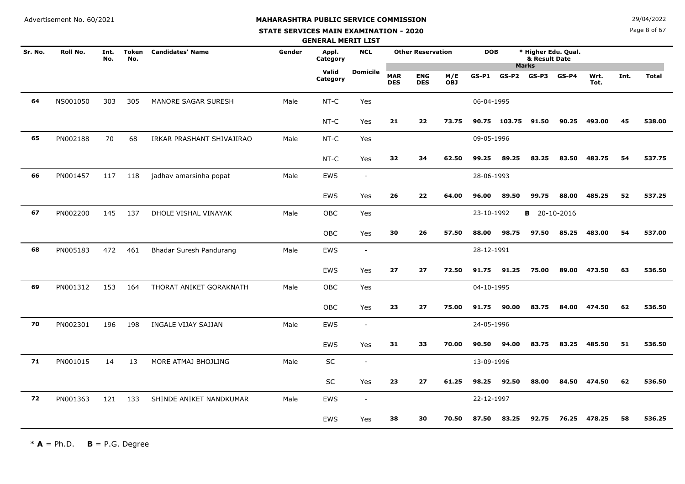**STATE SERVICES MAIN EXAMINATION - 2020**

**N**  $29/04/2022$ 

Page 8 of 67

|         |          |             |                     |                           |        | <b>GENERAL MERIT LIST</b> |                          |                          |                          |                   |            |              |                                                      |         |              |      |              |
|---------|----------|-------------|---------------------|---------------------------|--------|---------------------------|--------------------------|--------------------------|--------------------------|-------------------|------------|--------------|------------------------------------------------------|---------|--------------|------|--------------|
| Sr. No. | Roll No. | Int.<br>No. | <b>Token</b><br>No. | <b>Candidates' Name</b>   | Gender | Appl.<br>Category         | <b>NCL</b>               |                          | <b>Other Reservation</b> |                   | <b>DOB</b> |              | * Higher Edu. Qual.<br>& Result Date<br><b>Marks</b> |         |              |      |              |
|         |          |             |                     |                           |        | Valid<br>Category         | <b>Domicile</b>          | <b>MAR</b><br><b>DES</b> | <b>ENG</b><br><b>DES</b> | M/E<br><b>OBJ</b> | $GS-P1$    | $GS-P2$      | $GS-P3$                                              | $GS-P4$ | Wrt.<br>Tot. | Int. | <b>Total</b> |
| 64      | NS001050 | 303         | 305                 | MANORE SAGAR SURESH       | Male   | NT-C                      | Yes                      |                          |                          |                   | 06-04-1995 |              |                                                      |         |              |      |              |
|         |          |             |                     |                           |        | $NT-C$                    | Yes                      | 21                       | 22                       | 73.75             |            | 90.75 103.75 | 91.50                                                | 90.25   | 493.00       | 45   | 538.00       |
| 65      | PN002188 | 70          | 68                  | IRKAR PRASHANT SHIVAJIRAO | Male   | NT-C                      | Yes                      |                          |                          |                   | 09-05-1996 |              |                                                      |         |              |      |              |
|         |          |             |                     |                           |        | NT-C                      | Yes                      | 32                       | 34                       | 62.50             | 99.25      | 89.25        | 83.25                                                | 83.50   | 483.75       | 54   | 537.75       |
| 66      | PN001457 | 117         | 118                 | jadhav amarsinha popat    | Male   | EWS                       | $\overline{\phantom{a}}$ |                          |                          |                   | 28-06-1993 |              |                                                      |         |              |      |              |
|         |          |             |                     |                           |        | <b>EWS</b>                | Yes                      | 26                       | 22                       | 64.00             | 96.00      | 89.50        | 99.75                                                | 88.00   | 485.25       | 52   | 537.25       |
| 67      | PN002200 | 145         | 137                 | DHOLE VISHAL VINAYAK      | Male   | <b>OBC</b>                | Yes                      |                          |                          |                   | 23-10-1992 |              | <b>B</b> 20-10-2016                                  |         |              |      |              |
|         |          |             |                     |                           |        | <b>OBC</b>                | Yes                      | 30                       | 26                       | 57.50             | 88.00      | 98.75        | 97.50                                                | 85.25   | 483.00       | 54   | 537.00       |
| 68      | PN005183 | 472         | 461                 | Bhadar Suresh Pandurang   | Male   | <b>EWS</b>                | $\overline{\phantom{a}}$ |                          |                          |                   | 28-12-1991 |              |                                                      |         |              |      |              |
|         |          |             |                     |                           |        | <b>EWS</b>                | Yes                      | 27                       | 27                       | 72.50             | 91.75      | 91.25        | 75.00                                                | 89.00   | 473.50       | 63   | 536.50       |
| 69      | PN001312 | 153         | 164                 | THORAT ANIKET GORAKNATH   | Male   | OBC                       | Yes                      |                          |                          |                   | 04-10-1995 |              |                                                      |         |              |      |              |
|         |          |             |                     |                           |        | OBC                       | Yes                      | 23                       | 27                       | 75.00             | 91.75      | 90.00        | 83.75                                                | 84.00   | 474.50       | 62   | 536.50       |
| 70      | PN002301 | 196         | 198                 | INGALE VIJAY SAJJAN       | Male   | <b>EWS</b>                | $\overline{\phantom{a}}$ |                          |                          |                   | 24-05-1996 |              |                                                      |         |              |      |              |
|         |          |             |                     |                           |        | EWS                       | Yes                      | 31                       | 33                       | 70.00             | 90.50      | 94.00        | 83.75                                                | 83.25   | 485.50       | 51   | 536.50       |
| 71      | PN001015 | 14          | 13                  | MORE ATMAJ BHOJLING       | Male   | SC                        | $\blacksquare$           |                          |                          |                   | 13-09-1996 |              |                                                      |         |              |      |              |
|         |          |             |                     |                           |        | SC                        | Yes                      | 23                       | 27                       | 61.25             | 98.25      | 92.50        | 88.00                                                |         | 84.50 474.50 | 62   | 536.50       |
| 72      | PN001363 | 121         | 133                 | SHINDE ANIKET NANDKUMAR   | Male   | <b>EWS</b>                | $\overline{\phantom{a}}$ |                          |                          |                   | 22-12-1997 |              |                                                      |         |              |      |              |
|         |          |             |                     |                           |        | <b>EWS</b>                | Yes                      | 38                       | 30                       | 70.50             | 87.50      | 83.25        | 92.75                                                | 76.25   | 478.25       | 58   | 536.25       |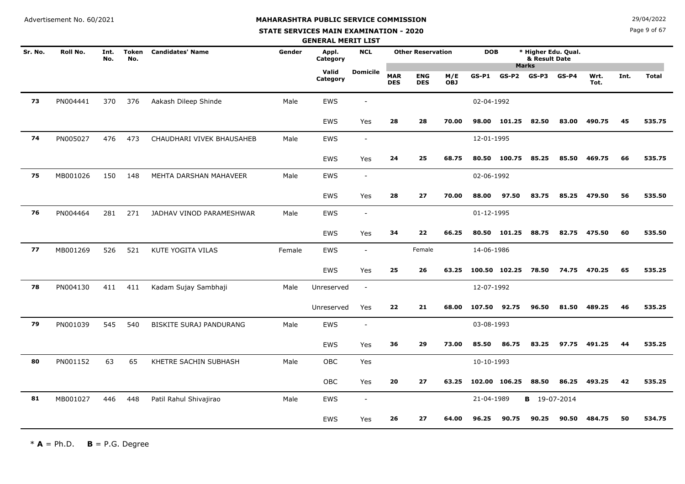**STATE SERVICES MAIN EXAMINATION - 2020**

**N**  $29/04/2022$ 

Page 9 of 67

|         |          |             |                     |                                |        | <b>GENERAL MERIT LIST</b> |                          |                          |                          |                   |              |               |                                      |         |              |      |              |
|---------|----------|-------------|---------------------|--------------------------------|--------|---------------------------|--------------------------|--------------------------|--------------------------|-------------------|--------------|---------------|--------------------------------------|---------|--------------|------|--------------|
| Sr. No. | Roll No. | Int.<br>No. | <b>Token</b><br>No. | <b>Candidates' Name</b>        | Gender | Appl.<br>Category         | <b>NCL</b>               |                          | <b>Other Reservation</b> |                   | <b>DOB</b>   | <b>Marks</b>  | * Higher Edu. Qual.<br>& Result Date |         |              |      |              |
|         |          |             |                     |                                |        | Valid<br>Category         | <b>Domicile</b>          | <b>MAR</b><br><b>DES</b> | <b>ENG</b><br><b>DES</b> | M/E<br><b>OBJ</b> | $GS-P1$      | $GS-P2$       | $GS-P3$                              | $GS-P4$ | Wrt.<br>Tot. | Int. | <b>Total</b> |
| 73      | PN004441 | 370         | 376                 | Aakash Dileep Shinde           | Male   | EWS                       | $\overline{a}$           |                          |                          |                   | 02-04-1992   |               |                                      |         |              |      |              |
|         |          |             |                     |                                |        | EWS                       | Yes                      | 28                       | 28                       | 70.00             | 98.00        | 101.25        | 82.50                                | 83.00   | 490.75       | 45   | 535.75       |
| 74      | PN005027 | 476         | 473                 | CHAUDHARI VIVEK BHAUSAHEB      | Male   | EWS                       | $\sim$                   |                          |                          |                   | 12-01-1995   |               |                                      |         |              |      |              |
|         |          |             |                     |                                |        | <b>EWS</b>                | Yes                      | 24                       | 25                       | 68.75             |              | 80.50 100.75  | 85.25                                | 85.50   | 469.75       | 66   | 535.75       |
| 75      | MB001026 | 150         | 148                 | MEHTA DARSHAN MAHAVEER         | Male   | EWS                       | $\overline{\phantom{a}}$ |                          |                          |                   | 02-06-1992   |               |                                      |         |              |      |              |
|         |          |             |                     |                                |        | EWS                       | Yes                      | 28                       | 27                       | 70.00             | 88.00        | 97.50         | 83.75                                | 85.25   | 479.50       | 56   | 535.50       |
| 76      | PN004464 | 281         | 271                 | JADHAV VINOD PARAMESHWAR       | Male   | EWS                       | $\overline{\phantom{a}}$ |                          |                          |                   | 01-12-1995   |               |                                      |         |              |      |              |
|         |          |             |                     |                                |        | <b>EWS</b>                | Yes                      | 34                       | 22                       | 66.25             |              | 80.50 101.25  | 88.75                                | 82.75   | 475.50       | 60   | 535.50       |
| 77      | MB001269 | 526         | 521                 | KUTE YOGITA VILAS              | Female | <b>EWS</b>                | $\overline{\phantom{a}}$ |                          | Female                   |                   | 14-06-1986   |               |                                      |         |              |      |              |
|         |          |             |                     |                                |        | <b>EWS</b>                | Yes                      | 25                       | 26                       | 63.25             |              | 100.50 102.25 | 78.50                                |         | 74.75 470.25 | 65   | 535.25       |
| 78      | PN004130 | 411         | 411                 | Kadam Sujay Sambhaji           | Male   | Unreserved                | $\overline{\phantom{a}}$ |                          |                          |                   | 12-07-1992   |               |                                      |         |              |      |              |
|         |          |             |                     |                                |        | Unreserved                | Yes                      | 22                       | 21                       | 68.00             | 107.50 92.75 |               | 96.50                                | 81.50   | 489.25       | 46   | 535.25       |
| 79      | PN001039 | 545         | 540                 | <b>BISKITE SURAJ PANDURANG</b> | Male   | EWS                       | $\overline{\phantom{a}}$ |                          |                          |                   | 03-08-1993   |               |                                      |         |              |      |              |
|         |          |             |                     |                                |        | EWS                       | Yes                      | 36                       | 29                       | 73.00             | 85.50        | 86.75         | 83.25                                |         | 97.75 491.25 | 44   | 535.25       |
| 80      | PN001152 | 63          | 65                  | KHETRE SACHIN SUBHASH          | Male   | <b>OBC</b>                | Yes                      |                          |                          |                   | 10-10-1993   |               |                                      |         |              |      |              |
|         |          |             |                     |                                |        | OBC                       | Yes                      | 20                       | 27                       | 63.25             |              | 102.00 106.25 | 88.50                                | 86.25   | 493.25       | 42   | 535.25       |
| 81      | MB001027 | 446         | 448                 | Patil Rahul Shivajirao         | Male   | <b>EWS</b>                | $\overline{\phantom{a}}$ |                          |                          |                   | 21-04-1989   |               | <b>B</b> 19-07-2014                  |         |              |      |              |
|         |          |             |                     |                                |        | <b>EWS</b>                | Yes                      | 26                       | 27                       | 64.00             | 96.25        | 90.75         | 90.25                                | 90.50   | 484.75       | 50   | 534.75       |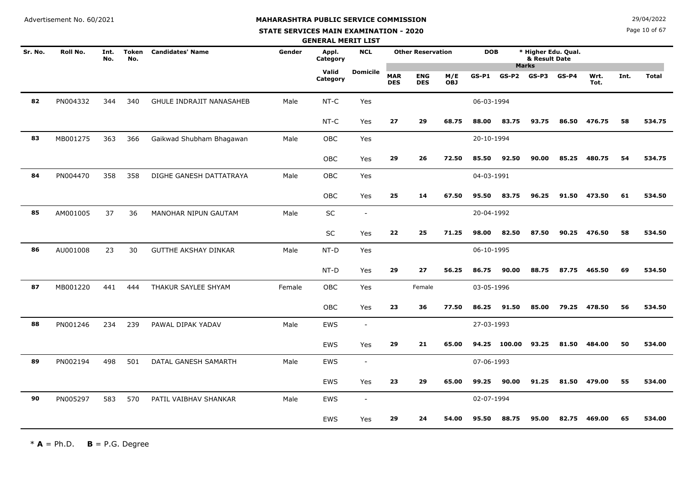#### **STATE SERVICES MAIN EXAMINATION - 2020**

**N**  $29/04/2022$ 

Page 10 of 67

|         |          |             |                     |                             |        | <b>GENERAL MERIT LIST</b> |                          |                          |                          |                   |            |              |                                                      |         |              |      |              |
|---------|----------|-------------|---------------------|-----------------------------|--------|---------------------------|--------------------------|--------------------------|--------------------------|-------------------|------------|--------------|------------------------------------------------------|---------|--------------|------|--------------|
| Sr. No. | Roll No. | Int.<br>No. | <b>Token</b><br>No. | <b>Candidates' Name</b>     | Gender | Appl.<br>Category         | <b>NCL</b>               |                          | <b>Other Reservation</b> |                   | <b>DOB</b> |              | * Higher Edu. Qual.<br>& Result Date<br><b>Marks</b> |         |              |      |              |
|         |          |             |                     |                             |        | Valid<br>Category         | <b>Domicile</b>          | <b>MAR</b><br><b>DES</b> | <b>ENG</b><br><b>DES</b> | M/E<br><b>OBJ</b> | $GS-P1$    | $GS-P2$      | $GS-P3$                                              | $GS-P4$ | Wrt.<br>Tot. | Int. | <b>Total</b> |
| 82      | PN004332 | 344         | 340                 | GHULE INDRAJIT NANASAHEB    | Male   | NT-C                      | Yes                      |                          |                          |                   | 06-03-1994 |              |                                                      |         |              |      |              |
|         |          |             |                     |                             |        | NT-C                      | Yes                      | 27                       | 29                       | 68.75             | 88.00      | 83.75        | 93.75                                                | 86.50   | 476.75       | 58   | 534.75       |
| 83      | MB001275 | 363         | 366                 | Gaikwad Shubham Bhagawan    | Male   | OBC                       | Yes                      |                          |                          |                   | 20-10-1994 |              |                                                      |         |              |      |              |
|         |          |             |                     |                             |        | OBC                       | Yes                      | 29                       | 26                       | 72.50             | 85.50      | 92.50        | 90.00                                                | 85.25   | 480.75       | 54   | 534.75       |
| 84      | PN004470 | 358         | 358                 | DIGHE GANESH DATTATRAYA     | Male   | OBC                       | Yes                      |                          |                          |                   | 04-03-1991 |              |                                                      |         |              |      |              |
|         |          |             |                     |                             |        | <b>OBC</b>                | Yes                      | 25                       | 14                       | 67.50             | 95.50      | 83.75        | 96.25                                                | 91.50   | 473.50       | 61   | 534.50       |
| 85      | AM001005 | 37          | 36                  | MANOHAR NIPUN GAUTAM        | Male   | SC                        | $\sim$                   |                          |                          |                   | 20-04-1992 |              |                                                      |         |              |      |              |
|         |          |             |                     |                             |        | SC                        | Yes                      | 22                       | 25                       | 71.25             | 98.00      | 82.50        | 87.50                                                | 90.25   | 476.50       | 58   | 534.50       |
| 86      | AU001008 | 23          | 30                  | <b>GUTTHE AKSHAY DINKAR</b> | Male   | NT-D                      | Yes                      |                          |                          |                   | 06-10-1995 |              |                                                      |         |              |      |              |
|         |          |             |                     |                             |        | NT-D                      | Yes                      | 29                       | 27                       | 56.25             | 86.75      | 90.00        | 88.75                                                | 87.75   | 465.50       | 69   | 534.50       |
| 87      | MB001220 | 441         | 444                 | THAKUR SAYLEE SHYAM         | Female | <b>OBC</b>                | Yes                      |                          | Female                   |                   | 03-05-1996 |              |                                                      |         |              |      |              |
|         |          |             |                     |                             |        | OBC                       | Yes                      | 23                       | 36                       | 77.50             | 86.25      | 91.50        | 85.00                                                | 79.25   | 478.50       | 56   | 534.50       |
| 88      | PN001246 | 234         | 239                 | PAWAL DIPAK YADAV           | Male   | <b>EWS</b>                | $\sim$                   |                          |                          |                   | 27-03-1993 |              |                                                      |         |              |      |              |
|         |          |             |                     |                             |        | EWS                       | Yes                      | 29                       | 21                       | 65.00             |            | 94.25 100.00 | 93.25                                                | 81.50   | 484.00       | 50   | 534.00       |
| 89      | PN002194 | 498         | 501                 | DATAL GANESH SAMARTH        | Male   | <b>EWS</b>                | $\overline{\phantom{a}}$ |                          |                          |                   | 07-06-1993 |              |                                                      |         |              |      |              |
|         |          |             |                     |                             |        | <b>EWS</b>                | Yes                      | 23                       | 29                       | 65.00             | 99.25      | 90.00        | 91.25                                                | 81.50   | 479.00       | 55   | 534.00       |
| 90      | PN005297 | 583         | 570                 | PATIL VAIBHAV SHANKAR       | Male   | <b>EWS</b>                | $\sim$                   |                          |                          |                   | 02-07-1994 |              |                                                      |         |              |      |              |
|         |          |             |                     |                             |        | EWS                       | Yes                      | 29                       | 24                       | 54.00             | 95.50      | 88.75        | 95.00                                                | 82.75   | 469.00       | 65   | 534.00       |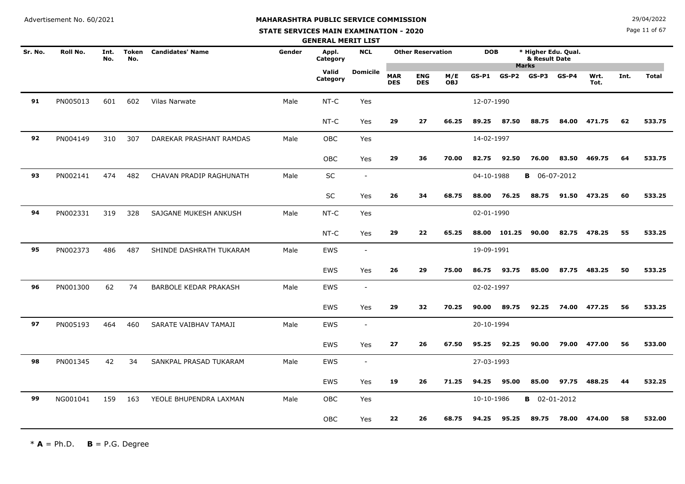**STATE SERVICES MAIN EXAMINATION - 2020**

**N**  $29/04/2022$ 

Page 11 of 67

|         |          |             |              |                         |        | <b>GENERAL MERIT LIST</b> |                          |                          |                          |                   |            |              |                                                      |         |              |      |              |
|---------|----------|-------------|--------------|-------------------------|--------|---------------------------|--------------------------|--------------------------|--------------------------|-------------------|------------|--------------|------------------------------------------------------|---------|--------------|------|--------------|
| Sr. No. | Roll No. | Int.<br>No. | Token<br>No. | <b>Candidates' Name</b> | Gender | Appl.<br>Category         | <b>NCL</b>               |                          | <b>Other Reservation</b> |                   | <b>DOB</b> |              | * Higher Edu. Qual.<br>& Result Date<br><b>Marks</b> |         |              |      |              |
|         |          |             |              |                         |        | Valid<br>Category         | <b>Domicile</b>          | <b>MAR</b><br><b>DES</b> | <b>ENG</b><br><b>DES</b> | M/E<br><b>OBJ</b> | $GS-P1$    | GS-P2        | GS-P3                                                | $GS-P4$ | Wrt.<br>Tot. | Int. | <b>Total</b> |
| 91      | PN005013 | 601         | 602          | <b>Vilas Narwate</b>    | Male   | NT-C                      | Yes                      |                          |                          |                   | 12-07-1990 |              |                                                      |         |              |      |              |
|         |          |             |              |                         |        | NT-C                      | Yes                      | 29                       | 27                       | 66.25             | 89.25      | 87.50        | 88.75                                                | 84.00   | 471.75       | 62   | 533.75       |
| 92      | PN004149 | 310         | 307          | DAREKAR PRASHANT RAMDAS | Male   | OBC                       | Yes                      |                          |                          |                   | 14-02-1997 |              |                                                      |         |              |      |              |
|         |          |             |              |                         |        | OBC                       | Yes                      | 29                       | 36                       | 70.00             | 82.75      | 92.50        | 76.00                                                | 83.50   | 469.75       | 64   | 533.75       |
| 93      | PN002141 | 474         | 482          | CHAVAN PRADIP RAGHUNATH | Male   | SC                        | $\overline{\phantom{a}}$ |                          |                          |                   | 04-10-1988 |              | <b>B</b> 06-07-2012                                  |         |              |      |              |
|         |          |             |              |                         |        | <b>SC</b>                 | Yes                      | 26                       | 34                       | 68.75             | 88.00      | 76.25        | 88.75                                                | 91.50   | 473.25       | 60   | 533.25       |
| 94      | PN002331 | 319         | 328          | SAJGANE MUKESH ANKUSH   | Male   | $NT-C$                    | Yes                      |                          |                          |                   | 02-01-1990 |              |                                                      |         |              |      |              |
|         |          |             |              |                         |        | NT-C                      | Yes                      | 29                       | 22                       | 65.25             |            | 88.00 101.25 | 90.00                                                | 82.75   | 478.25       | 55   | 533.25       |
| 95      | PN002373 | 486         | 487          | SHINDE DASHRATH TUKARAM | Male   | EWS                       | $\overline{\phantom{a}}$ |                          |                          |                   | 19-09-1991 |              |                                                      |         |              |      |              |
|         |          |             |              |                         |        | <b>EWS</b>                | Yes                      | 26                       | 29                       | 75.00             | 86.75      | 93.75        | 85.00                                                | 87.75   | 483.25       | 50   | 533.25       |
| 96      | PN001300 | 62          | 74           | BARBOLE KEDAR PRAKASH   | Male   | <b>EWS</b>                | $\sim$                   |                          |                          |                   | 02-02-1997 |              |                                                      |         |              |      |              |
|         |          |             |              |                         |        | <b>EWS</b>                | Yes                      | 29                       | 32                       | 70.25             | 90.00      | 89.75        | 92.25                                                | 74.00   | 477.25       | 56   | 533.25       |
| 97      | PN005193 | 464         | 460          | SARATE VAIBHAV TAMAJI   | Male   | EWS                       | $\sim$                   |                          |                          |                   | 20-10-1994 |              |                                                      |         |              |      |              |
|         |          |             |              |                         |        | <b>EWS</b>                | Yes                      | 27                       | 26                       | 67.50             | 95.25      | 92.25        | 90.00                                                | 79.00   | 477.00       | 56   | 533.00       |
| 98      | PN001345 | 42          | 34           | SANKPAL PRASAD TUKARAM  | Male   | <b>EWS</b>                | $\sim$                   |                          |                          |                   | 27-03-1993 |              |                                                      |         |              |      |              |
|         |          |             |              |                         |        | <b>EWS</b>                | Yes                      | 19                       | 26                       | 71.25             | 94.25      | 95.00        | 85.00                                                | 97.75   | 488.25       | 44   | 532.25       |
| 99      | NG001041 | 159         | 163          | YEOLE BHUPENDRA LAXMAN  | Male   | OBC                       | Yes                      |                          |                          |                   | 10-10-1986 |              | <b>B</b> 02-01-2012                                  |         |              |      |              |
|         |          |             |              |                         |        | <b>OBC</b>                | Yes                      | 22                       | 26                       | 68.75             | 94.25      | 95.25        | 89.75                                                | 78.00   | 474.00       | 58   | 532.00       |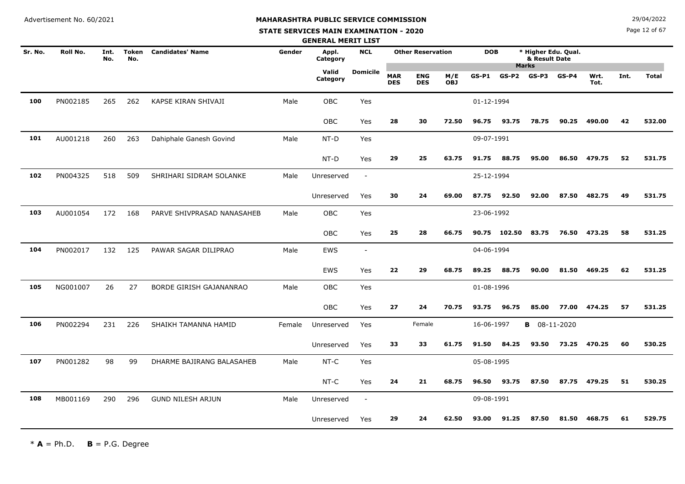**STATE SERVICES MAIN EXAMINATION - 2020**

**N**  $29/04/2022$ 

Page 12 of 67

|         |          |             |                     |                            |        | <b>GENERAL MERIT LIST</b> |                          |                          |                          |                   |            |              |                                      |         |              |      |              |
|---------|----------|-------------|---------------------|----------------------------|--------|---------------------------|--------------------------|--------------------------|--------------------------|-------------------|------------|--------------|--------------------------------------|---------|--------------|------|--------------|
| Sr. No. | Roll No. | Int.<br>No. | <b>Token</b><br>No. | <b>Candidates' Name</b>    | Gender | Appl.<br>Category         | <b>NCL</b>               |                          | <b>Other Reservation</b> |                   | <b>DOB</b> |              | * Higher Edu. Qual.<br>& Result Date |         |              |      |              |
|         |          |             |                     |                            |        | Valid<br>Category         | <b>Domicile</b>          | <b>MAR</b><br><b>DES</b> | <b>ENG</b><br><b>DES</b> | M/E<br><b>OBJ</b> | $GS-P1$    | $GS-P2$      | <b>Marks</b><br>GS-P3                | $GS-P4$ | Wrt.<br>Tot. | Int. | <b>Total</b> |
| 100     | PN002185 | 265         | 262                 | KAPSE KIRAN SHIVAJI        | Male   | <b>OBC</b>                | Yes                      |                          |                          |                   | 01-12-1994 |              |                                      |         |              |      |              |
|         |          |             |                     |                            |        | <b>OBC</b>                | Yes                      | 28                       | 30                       | 72.50             | 96.75      | 93.75        | 78.75                                | 90.25   | 490.00       | 42   | 532.00       |
| 101     | AU001218 | 260         | 263                 | Dahiphale Ganesh Govind    | Male   | NT-D                      | Yes                      |                          |                          |                   | 09-07-1991 |              |                                      |         |              |      |              |
|         |          |             |                     |                            |        | NT-D                      | Yes                      | 29                       | 25                       | 63.75             | 91.75      | 88.75        | 95.00                                | 86.50   | 479.75       | 52   | 531.75       |
| 102     | PN004325 | 518         | 509                 | SHRIHARI SIDRAM SOLANKE    | Male   | Unreserved                | $\blacksquare$           |                          |                          |                   | 25-12-1994 |              |                                      |         |              |      |              |
|         |          |             |                     |                            |        | Unreserved                | Yes                      | 30                       | 24                       | 69.00             | 87.75      | 92.50        | 92.00                                | 87.50   | 482.75       | 49   | 531.75       |
| 103     | AU001054 | 172         | 168                 | PARVE SHIVPRASAD NANASAHEB | Male   | OBC                       | Yes                      |                          |                          |                   | 23-06-1992 |              |                                      |         |              |      |              |
|         |          |             |                     |                            |        | OBC                       | Yes                      | 25                       | 28                       | 66.75             |            | 90.75 102.50 | 83.75                                | 76.50   | 473.25       | 58   | 531.25       |
| 104     | PN002017 | 132         | 125                 | PAWAR SAGAR DILIPRAO       | Male   | <b>EWS</b>                | $\overline{\phantom{a}}$ |                          |                          |                   | 04-06-1994 |              |                                      |         |              |      |              |
|         |          |             |                     |                            |        | EWS                       | Yes                      | 22                       | 29                       | 68.75             | 89.25      | 88.75        | 90.00                                | 81.50   | 469.25       | 62   | 531.25       |
| 105     | NG001007 | 26          | 27                  | BORDE GIRISH GAJANANRAO    | Male   | OBC                       | Yes                      |                          |                          |                   | 01-08-1996 |              |                                      |         |              |      |              |
|         |          |             |                     |                            |        | OBC                       | Yes                      | 27                       | 24                       | 70.75             | 93.75      | 96.75        | 85.00                                | 77.00   | 474.25       | 57   | 531.25       |
| 106     | PN002294 | 231         | 226                 | SHAIKH TAMANNA HAMID       | Female | Unreserved                | Yes                      |                          | Female                   |                   | 16-06-1997 |              | <b>B</b> 08-11-2020                  |         |              |      |              |
|         |          |             |                     |                            |        | Unreserved                | Yes                      | 33                       | 33                       | 61.75             | 91.50      | 84.25        | 93.50                                | 73.25   | 470.25       | 60   | 530.25       |
| 107     | PN001282 | 98          | 99                  | DHARME BAJIRANG BALASAHEB  | Male   | NT-C                      | Yes                      |                          |                          |                   | 05-08-1995 |              |                                      |         |              |      |              |
|         |          |             |                     |                            |        | NT-C                      | Yes                      | 24                       | 21                       | 68.75             | 96.50      | 93.75        | 87.50                                | 87.75   | 479.25       | 51   | 530.25       |
| 108     | MB001169 | 290         | 296                 | <b>GUND NILESH ARJUN</b>   | Male   | Unreserved                | $\overline{\phantom{a}}$ |                          |                          |                   | 09-08-1991 |              |                                      |         |              |      |              |
|         |          |             |                     |                            |        | Unreserved                | Yes                      | 29                       | 24                       | 62.50             | 93.00      | 91.25        | 87.50                                | 81.50   | 468.75       | 61   | 529.75       |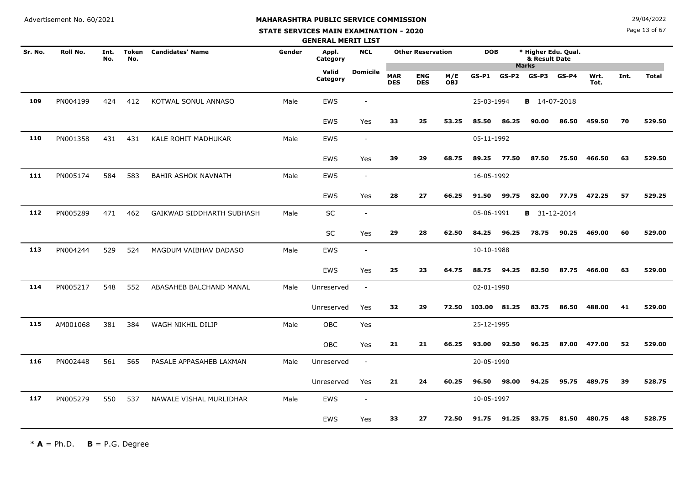# **MAHARASHTRA PUBLIC SERVICE COMMISSION**

#### **STATE SERVICES MAIN EXAMINATION - 2020**

**N**  $29/04/2022$ 

Page 13 of 67

|         |          |             |                     |                            |        | <b>GENERAL MERIT LIST</b> |                          |                          |                          |                   |            |       |                                      |         |              |      |              |
|---------|----------|-------------|---------------------|----------------------------|--------|---------------------------|--------------------------|--------------------------|--------------------------|-------------------|------------|-------|--------------------------------------|---------|--------------|------|--------------|
| Sr. No. | Roll No. | Int.<br>No. | <b>Token</b><br>No. | <b>Candidates' Name</b>    | Gender | Appl.<br>Category         | <b>NCL</b>               |                          | <b>Other Reservation</b> |                   | <b>DOB</b> |       | * Higher Edu. Qual.<br>& Result Date |         |              |      |              |
|         |          |             |                     |                            |        | Valid<br>Category         | <b>Domicile</b>          | <b>MAR</b><br><b>DES</b> | <b>ENG</b><br><b>DES</b> | M/E<br><b>OBJ</b> | $GS-P1$    | GS-P2 | <b>Marks</b><br>$GS-P3$              | $GS-P4$ | Wrt.<br>Tot. | Int. | <b>Total</b> |
| 109     | PN004199 | 424         | 412                 | KOTWAL SONUL ANNASO        | Male   | <b>EWS</b>                | $\overline{\phantom{a}}$ |                          |                          |                   | 25-03-1994 |       | <b>B</b> 14-07-2018                  |         |              |      |              |
|         |          |             |                     |                            |        | EWS                       | Yes                      | 33                       | 25                       | 53.25             | 85.50      | 86.25 | 90.00                                | 86.50   | 459.50       | 70   | 529.50       |
| 110     | PN001358 | 431         | 431                 | KALE ROHIT MADHUKAR        | Male   | <b>EWS</b>                | $\blacksquare$           |                          |                          |                   | 05-11-1992 |       |                                      |         |              |      |              |
|         |          |             |                     |                            |        | <b>EWS</b>                | Yes                      | 39                       | 29                       | 68.75             | 89.25      | 77.50 | 87.50                                | 75.50   | 466.50       | 63   | 529.50       |
| 111     | PN005174 | 584         | 583                 | <b>BAHIR ASHOK NAVNATH</b> | Male   | EWS                       | $\blacksquare$           |                          |                          |                   | 16-05-1992 |       |                                      |         |              |      |              |
|         |          |             |                     |                            |        | <b>EWS</b>                | Yes                      | 28                       | 27                       | 66.25             | 91.50      | 99.75 | 82.00                                | 77.75   | 472.25       | 57   | 529.25       |
| 112     | PN005289 | 471         | 462                 | GAIKWAD SIDDHARTH SUBHASH  | Male   | SC                        | $\overline{\phantom{a}}$ |                          |                          |                   | 05-06-1991 |       | <b>B</b> 31-12-2014                  |         |              |      |              |
|         |          |             |                     |                            |        | <b>SC</b>                 | Yes                      | 29                       | 28                       | 62.50             | 84.25      | 96.25 | 78.75                                | 90.25   | 469.00       | 60   | 529.00       |
| 113     | PN004244 | 529         | 524                 | MAGDUM VAIBHAV DADASO      | Male   | EWS                       | $\overline{\phantom{a}}$ |                          |                          |                   | 10-10-1988 |       |                                      |         |              |      |              |
|         |          |             |                     |                            |        | <b>EWS</b>                | Yes                      | 25                       | 23                       | 64.75             | 88.75      | 94.25 | 82.50                                | 87.75   | 466.00       | 63   | 529.00       |
| 114     | PN005217 | 548         | 552                 | ABASAHEB BALCHAND MANAL    | Male   | Unreserved                | $\overline{\phantom{a}}$ |                          |                          |                   | 02-01-1990 |       |                                      |         |              |      |              |
|         |          |             |                     |                            |        | Unreserved                | Yes                      | 32                       | 29                       | 72.50             | 103.00     | 81.25 | 83.75                                | 86.50   | 488.00       | 41   | 529.00       |
| 115     | AM001068 | 381         | 384                 | WAGH NIKHIL DILIP          | Male   | <b>OBC</b>                | Yes                      |                          |                          |                   | 25-12-1995 |       |                                      |         |              |      |              |
|         |          |             |                     |                            |        | OBC                       | Yes                      | 21                       | 21                       | 66.25             | 93.00      | 92.50 | 96.25                                |         | 87.00 477.00 | 52   | 529.00       |
| 116     | PN002448 | 561         | 565                 | PASALE APPASAHEB LAXMAN    | Male   | Unreserved                | $\blacksquare$           |                          |                          |                   | 20-05-1990 |       |                                      |         |              |      |              |
|         |          |             |                     |                            |        | Unreserved                | Yes                      | 21                       | 24                       | 60.25             | 96.50      | 98.00 | 94.25                                | 95.75   | 489.75       | 39   | 528.75       |
| 117     | PN005279 | 550         | 537                 | NAWALE VISHAL MURLIDHAR    | Male   | EWS                       | $\blacksquare$           |                          |                          |                   | 10-05-1997 |       |                                      |         |              |      |              |
|         |          |             |                     |                            |        | <b>EWS</b>                | Yes                      | 33                       | 27                       | 72.50             | 91.75      | 91.25 | 83.75                                | 81.50   | 480.75       | 48   | 528.75       |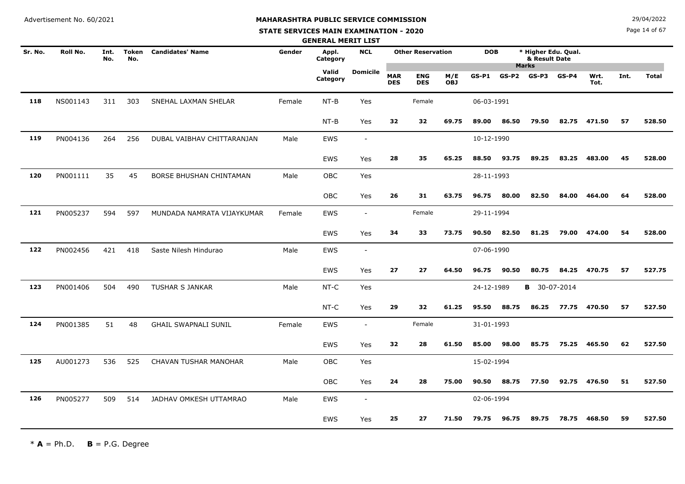#### **STATE SERVICES MAIN EXAMINATION - 2020**

**N**  $29/04/2022$ 

Page 14 of 67

|         |          |             |              |                             |        | <b>GENERAL MERIT LIST</b> |                          |                          |                          |                   |            |         |                                                      |         |              |      |              |
|---------|----------|-------------|--------------|-----------------------------|--------|---------------------------|--------------------------|--------------------------|--------------------------|-------------------|------------|---------|------------------------------------------------------|---------|--------------|------|--------------|
| Sr. No. | Roll No. | Int.<br>No. | Token<br>No. | <b>Candidates' Name</b>     | Gender | Appl.<br>Category         | <b>NCL</b>               |                          | <b>Other Reservation</b> |                   | <b>DOB</b> |         | * Higher Edu. Qual.<br>& Result Date<br><b>Marks</b> |         |              |      |              |
|         |          |             |              |                             |        | Valid<br>Category         | Domicile                 | <b>MAR</b><br><b>DES</b> | <b>ENG</b><br><b>DES</b> | M/E<br><b>OBJ</b> | $GS-P1$    | $GS-P2$ | $GS-P3$                                              | $GS-P4$ | Wrt.<br>Tot. | Int. | <b>Total</b> |
| 118     | NS001143 | 311         | 303          | SNEHAL LAXMAN SHELAR        | Female | $NT-B$                    | Yes                      |                          | Female                   |                   | 06-03-1991 |         |                                                      |         |              |      |              |
|         |          |             |              |                             |        | $NT-B$                    | Yes                      | 32                       | 32                       | 69.75             | 89.00      | 86.50   | 79.50                                                | 82.75   | 471.50       | 57   | 528.50       |
| 119     | PN004136 | 264         | 256          | DUBAL VAIBHAV CHITTARANJAN  | Male   | <b>EWS</b>                | $\overline{\phantom{a}}$ |                          |                          |                   | 10-12-1990 |         |                                                      |         |              |      |              |
|         |          |             |              |                             |        | EWS                       | Yes                      | 28                       | 35                       | 65.25             | 88.50      | 93.75   | 89.25                                                | 83.25   | 483.00       | 45   | 528.00       |
| 120     | PN001111 | 35          | 45           | BORSE BHUSHAN CHINTAMAN     | Male   | OBC                       | Yes                      |                          |                          |                   | 28-11-1993 |         |                                                      |         |              |      |              |
|         |          |             |              |                             |        | <b>OBC</b>                | Yes                      | 26                       | 31                       | 63.75             | 96.75      | 80.00   | 82.50                                                | 84.00   | 464.00       | 64   | 528.00       |
| 121     | PN005237 | 594         | 597          | MUNDADA NAMRATA VIJAYKUMAR  | Female | <b>EWS</b>                | $\overline{\phantom{a}}$ |                          | Female                   |                   | 29-11-1994 |         |                                                      |         |              |      |              |
|         |          |             |              |                             |        | <b>EWS</b>                | Yes                      | 34                       | 33                       | 73.75             | 90.50      | 82.50   | 81.25                                                | 79.00   | 474.00       | 54   | 528.00       |
| 122     | PN002456 | 421         | 418          | Saste Nilesh Hindurao       | Male   | EWS                       | $\overline{\phantom{a}}$ |                          |                          |                   | 07-06-1990 |         |                                                      |         |              |      |              |
|         |          |             |              |                             |        | EWS                       | Yes                      | 27                       | 27                       | 64.50             | 96.75      | 90.50   | 80.75                                                | 84.25   | 470.75       | 57   | 527.75       |
| 123     | PN001406 | 504         | 490          | <b>TUSHAR S JANKAR</b>      | Male   | NT-C                      | Yes                      |                          |                          |                   | 24-12-1989 |         | <b>B</b> 30-07-2014                                  |         |              |      |              |
|         |          |             |              |                             |        | NT-C                      | Yes                      | 29                       | 32                       | 61.25             | 95.50      | 88.75   | 86.25                                                | 77.75   | 470.50       | 57   | 527.50       |
| 124     | PN001385 | 51          | 48           | <b>GHAIL SWAPNALI SUNIL</b> | Female | <b>EWS</b>                | $\overline{\phantom{a}}$ |                          | Female                   |                   | 31-01-1993 |         |                                                      |         |              |      |              |
|         |          |             |              |                             |        | <b>EWS</b>                | Yes                      | 32                       | 28                       | 61.50             | 85.00      | 98.00   | 85.75                                                | 75.25   | 465.50       | 62   | 527.50       |
| 125     | AU001273 | 536         | 525          | CHAVAN TUSHAR MANOHAR       | Male   | OBC                       | Yes                      |                          |                          |                   | 15-02-1994 |         |                                                      |         |              |      |              |
|         |          |             |              |                             |        | <b>OBC</b>                | Yes                      | 24                       | 28                       | 75.00             | 90.50      | 88.75   | 77.50                                                | 92.75   | 476.50       | 51   | 527.50       |
| 126     | PN005277 | 509         | 514          | JADHAV OMKESH UTTAMRAO      | Male   | <b>EWS</b>                | $\overline{\phantom{a}}$ |                          |                          |                   | 02-06-1994 |         |                                                      |         |              |      |              |
|         |          |             |              |                             |        | EWS                       | Yes                      | 25                       | 27                       | 71.50             | 79.75      | 96.75   | 89.75                                                | 78.75   | 468.50       | 59   | 527.50       |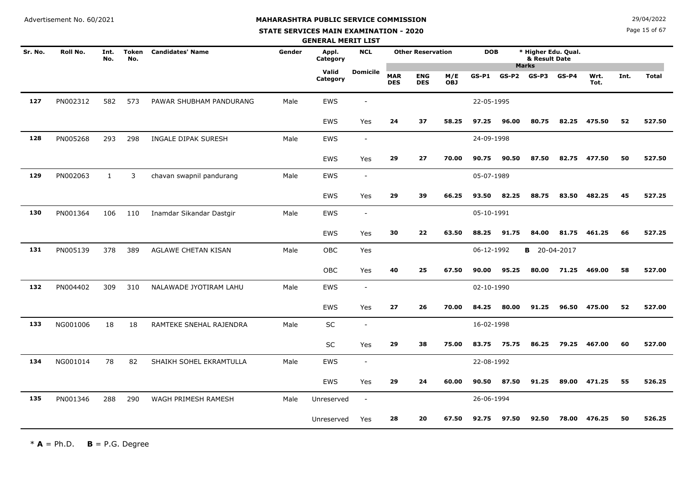#### **STATE SERVICES MAIN EXAMINATION - 2020**

**N**  $29/04/2022$ 

Page 15 of 67

|         |          |              |                     |                          |        | <b>GENERAL MERIT LIST</b> |                          |                          |                          |                   |            |         |                       |                     |              |      |              |
|---------|----------|--------------|---------------------|--------------------------|--------|---------------------------|--------------------------|--------------------------|--------------------------|-------------------|------------|---------|-----------------------|---------------------|--------------|------|--------------|
| Sr. No. | Roll No. | Int.<br>No.  | <b>Token</b><br>No. | <b>Candidates' Name</b>  | Gender | Appl.<br>Category         | <b>NCL</b>               |                          | <b>Other Reservation</b> |                   | <b>DOB</b> |         | & Result Date         | * Higher Edu. Qual. |              |      |              |
|         |          |              |                     |                          |        | Valid<br>Category         | <b>Domicile</b>          | <b>MAR</b><br><b>DES</b> | <b>ENG</b><br><b>DES</b> | M/E<br><b>OBJ</b> | $GS-P1$    | $GS-P2$ | <b>Marks</b><br>GS-P3 | $GS-P4$             | Wrt.<br>Tot. | Int. | <b>Total</b> |
| 127     | PN002312 | 582          | 573                 | PAWAR SHUBHAM PANDURANG  | Male   | EWS                       |                          |                          |                          |                   | 22-05-1995 |         |                       |                     |              |      |              |
|         |          |              |                     |                          |        | EWS                       | Yes                      | 24                       | 37                       | 58.25             | 97.25      | 96.00   | 80.75                 | 82.25               | 475.50       | 52   | 527.50       |
| 128     | PN005268 | 293          | 298                 | INGALE DIPAK SURESH      | Male   | <b>EWS</b>                | $\overline{\phantom{a}}$ |                          |                          |                   | 24-09-1998 |         |                       |                     |              |      |              |
|         |          |              |                     |                          |        | EWS                       | Yes                      | 29                       | 27                       | 70.00             | 90.75      | 90.50   | 87.50                 | 82.75               | 477.50       | 50   | 527.50       |
| 129     | PN002063 | $\mathbf{1}$ | 3                   | chavan swapnil pandurang | Male   | EWS                       | $\overline{\phantom{a}}$ |                          |                          |                   | 05-07-1989 |         |                       |                     |              |      |              |
|         |          |              |                     |                          |        | <b>EWS</b>                | Yes                      | 29                       | 39                       | 66.25             | 93.50      | 82.25   | 88.75                 | 83.50               | 482.25       | 45   | 527.25       |
| 130     | PN001364 | 106          | 110                 | Inamdar Sikandar Dastgir | Male   | <b>EWS</b>                | $\overline{\phantom{a}}$ |                          |                          |                   | 05-10-1991 |         |                       |                     |              |      |              |
|         |          |              |                     |                          |        | <b>EWS</b>                | Yes                      | 30                       | 22                       | 63.50             | 88.25      | 91.75   | 84.00                 | 81.75               | 461.25       | 66   | 527.25       |
| 131     | PN005139 | 378          | 389                 | AGLAWE CHETAN KISAN      | Male   | <b>OBC</b>                | Yes                      |                          |                          |                   | 06-12-1992 |         | <b>B</b> 20-04-2017   |                     |              |      |              |
|         |          |              |                     |                          |        | OBC                       | Yes                      | 40                       | 25                       | 67.50             | 90.00      | 95.25   | 80.00                 | 71.25               | 469.00       | 58   | 527.00       |
| 132     | PN004402 | 309          | 310                 | NALAWADE JYOTIRAM LAHU   | Male   | EWS                       | $\overline{\phantom{a}}$ |                          |                          |                   | 02-10-1990 |         |                       |                     |              |      |              |
|         |          |              |                     |                          |        | <b>EWS</b>                | Yes                      | 27                       | 26                       | 70.00             | 84.25      | 80.00   | 91.25                 | 96.50               | 475.00       | 52   | 527.00       |
| 133     | NG001006 | 18           | 18                  | RAMTEKE SNEHAL RAJENDRA  | Male   | SC                        | $\overline{\phantom{a}}$ |                          |                          |                   | 16-02-1998 |         |                       |                     |              |      |              |
|         |          |              |                     |                          |        | SC                        | Yes                      | 29                       | 38                       | 75.00             | 83.75      | 75.75   | 86.25                 | 79.25               | 467.00       | 60   | 527.00       |
| 134     | NG001014 | 78           | 82                  | SHAIKH SOHEL EKRAMTULLA  | Male   | EWS                       | $\sim$                   |                          |                          |                   | 22-08-1992 |         |                       |                     |              |      |              |
|         |          |              |                     |                          |        | <b>EWS</b>                | Yes                      | 29                       | 24                       | 60.00             | 90.50      | 87.50   | 91.25                 | 89.00               | 471.25       | 55   | 526.25       |
| 135     | PN001346 | 288          | 290                 | WAGH PRIMESH RAMESH      | Male   | Unreserved                | $\sim$                   |                          |                          |                   | 26-06-1994 |         |                       |                     |              |      |              |
|         |          |              |                     |                          |        | Unreserved                | Yes                      | 28                       | 20                       | 67.50             | 92.75      | 97.50   | 92.50                 | 78.00               | 476.25       | 50   | 526.25       |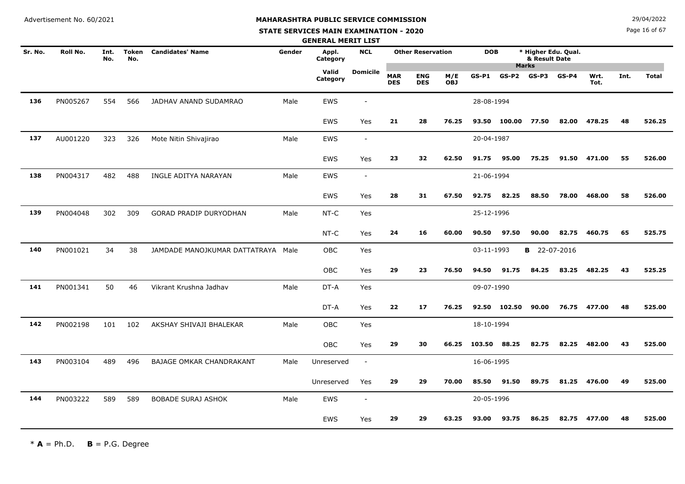# **MAHARASHTRA PUBLIC SERVICE COMMISSION**

#### **STATE SERVICES MAIN EXAMINATION - 2020**

**N**  $29/04/2022$ 

Page 16 of 67

|         |          |             |                     |                                    |        | <b>GENERAL MERIT LIST</b> |                          |                          |                          |                   |              |         |                                                      |         |              |      |              |
|---------|----------|-------------|---------------------|------------------------------------|--------|---------------------------|--------------------------|--------------------------|--------------------------|-------------------|--------------|---------|------------------------------------------------------|---------|--------------|------|--------------|
| Sr. No. | Roll No. | Int.<br>No. | <b>Token</b><br>No. | <b>Candidates' Name</b>            | Gender | Appl.<br>Category         | <b>NCL</b>               |                          | <b>Other Reservation</b> |                   | <b>DOB</b>   |         | * Higher Edu. Qual.<br>& Result Date<br><b>Marks</b> |         |              |      |              |
|         |          |             |                     |                                    |        | Valid<br>Category         | <b>Domicile</b>          | <b>MAR</b><br><b>DES</b> | <b>ENG</b><br><b>DES</b> | M/E<br><b>OBJ</b> | $GS-P1$      | $GS-P2$ | $GS-P3$                                              | $GS-P4$ | Wrt.<br>Tot. | Int. | <b>Total</b> |
| 136     | PN005267 | 554         | 566                 | JADHAV ANAND SUDAMRAO              | Male   | EWS                       | $\overline{\phantom{a}}$ |                          |                          |                   | 28-08-1994   |         |                                                      |         |              |      |              |
|         |          |             |                     |                                    |        | <b>EWS</b>                | Yes                      | 21                       | 28                       | 76.25             | 93.50        | 100.00  | 77.50                                                | 82.00   | 478.25       | 48   | 526.25       |
| 137     | AU001220 | 323         | 326                 | Mote Nitin Shivajirao              | Male   | <b>EWS</b>                | $\sim$                   |                          |                          |                   | 20-04-1987   |         |                                                      |         |              |      |              |
|         |          |             |                     |                                    |        | <b>EWS</b>                | Yes                      | 23                       | 32                       | 62.50             | 91.75        | 95.00   | 75.25                                                | 91.50   | 471.00       | 55   | 526.00       |
| 138     | PN004317 | 482         | 488                 | INGLE ADITYA NARAYAN               | Male   | EWS                       | $\overline{\phantom{a}}$ |                          |                          |                   | 21-06-1994   |         |                                                      |         |              |      |              |
|         |          |             |                     |                                    |        | EWS                       | Yes                      | 28                       | 31                       | 67.50             | 92.75        | 82.25   | 88.50                                                | 78.00   | 468.00       | 58   | 526.00       |
| 139     | PN004048 | 302         | 309                 | <b>GORAD PRADIP DURYODHAN</b>      | Male   | NT-C                      | Yes                      |                          |                          |                   | 25-12-1996   |         |                                                      |         |              |      |              |
|         |          |             |                     |                                    |        | NT-C                      | Yes                      | 24                       | 16                       | 60.00             | 90.50        | 97.50   | 90.00                                                | 82.75   | 460.75       | 65   | 525.75       |
| 140     | PN001021 | 34          | 38                  | JAMDADE MANOJKUMAR DATTATRAYA Male |        | <b>OBC</b>                | Yes                      |                          |                          |                   | 03-11-1993   |         | <b>B</b> 22-07-2016                                  |         |              |      |              |
|         |          |             |                     |                                    |        | OBC                       | Yes                      | 29                       | 23                       | 76.50             | 94.50        | 91.75   | 84.25                                                | 83.25   | 482.25       | 43   | 525.25       |
| 141     | PN001341 | 50          | 46                  | Vikrant Krushna Jadhav             | Male   | DT-A                      | Yes                      |                          |                          |                   | 09-07-1990   |         |                                                      |         |              |      |              |
|         |          |             |                     |                                    |        | DT-A                      | Yes                      | 22                       | 17                       | 76.25             | 92.50        | 102.50  | 90.00                                                |         | 76.75 477.00 | 48   | 525.00       |
| 142     | PN002198 | 101         | 102                 | AKSHAY SHIVAJI BHALEKAR            | Male   | OBC                       | Yes                      |                          |                          |                   | 18-10-1994   |         |                                                      |         |              |      |              |
|         |          |             |                     |                                    |        | <b>OBC</b>                | Yes                      | 29                       | 30                       | 66.25             | 103.50 88.25 |         | 82.75                                                | 82.25   | 482.00       | 43   | 525.00       |
| 143     | PN003104 | 489         | 496                 | BAJAGE OMKAR CHANDRAKANT           | Male   | Unreserved                | $\overline{\phantom{a}}$ |                          |                          |                   | 16-06-1995   |         |                                                      |         |              |      |              |
|         |          |             |                     |                                    |        | Unreserved                | Yes                      | 29                       | 29                       | 70.00             | 85.50        | 91.50   | 89.75                                                | 81.25   | 476.00       | 49   | 525.00       |
| 144     | PN003222 | 589         | 589                 | <b>BOBADE SURAJ ASHOK</b>          | Male   | EWS                       | $\blacksquare$           |                          |                          |                   | 20-05-1996   |         |                                                      |         |              |      |              |
|         |          |             |                     |                                    |        | <b>EWS</b>                | Yes                      | 29                       | 29                       | 63.25             | 93.00        | 93.75   | 86.25                                                | 82.75   | 477.00       | 48   | 525.00       |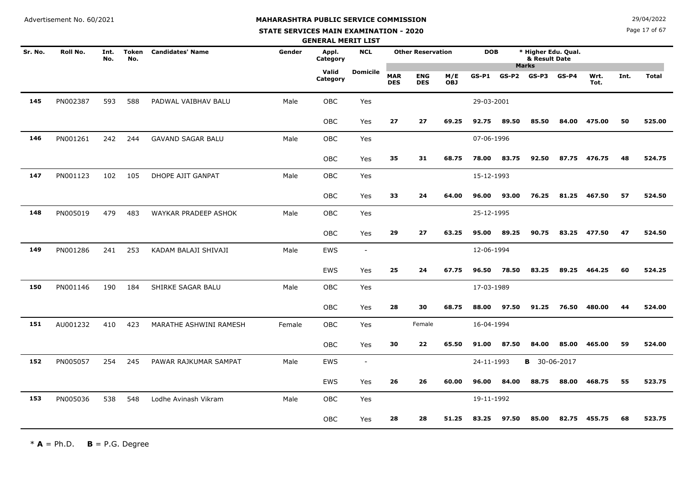**STATE SERVICES MAIN EXAMINATION - 2020**

**N**  $29/04/2022$ 

Page 17 of 67

|         |          |             |              |                          |        | <b>GENERAL MERIT LIST</b> |                          |                          |                          |                   |            |         |                                      |            |              |      |              |
|---------|----------|-------------|--------------|--------------------------|--------|---------------------------|--------------------------|--------------------------|--------------------------|-------------------|------------|---------|--------------------------------------|------------|--------------|------|--------------|
| Sr. No. | Roll No. | Int.<br>No. | Token<br>No. | <b>Candidates' Name</b>  | Gender | Appl.<br>Category         | <b>NCL</b>               |                          | <b>Other Reservation</b> |                   | <b>DOB</b> |         | * Higher Edu. Qual.<br>& Result Date |            |              |      |              |
|         |          |             |              |                          |        | Valid<br>Category         | <b>Domicile</b>          | <b>MAR</b><br><b>DES</b> | <b>ENG</b><br><b>DES</b> | M/E<br><b>OBJ</b> | $GS-P1$    | $GS-P2$ | <b>Marks</b><br>GS-P3                | $GS-P4$    | Wrt.<br>Tot. | Int. | <b>Total</b> |
| 145     | PN002387 | 593         | 588          | PADWAL VAIBHAV BALU      | Male   | <b>OBC</b>                | Yes                      |                          |                          |                   | 29-03-2001 |         |                                      |            |              |      |              |
|         |          |             |              |                          |        | <b>OBC</b>                | Yes                      | 27                       | 27                       | 69.25             | 92.75      | 89.50   | 85.50                                | 84.00      | 475.00       | 50   | 525.00       |
| 146     | PN001261 | 242         | 244          | <b>GAVAND SAGAR BALU</b> | Male   | <b>OBC</b>                | Yes                      |                          |                          |                   | 07-06-1996 |         |                                      |            |              |      |              |
|         |          |             |              |                          |        | OBC                       | Yes                      | 35                       | 31                       | 68.75             | 78.00      | 83.75   | 92.50                                | 87.75      | 476.75       | 48   | 524.75       |
| 147     | PN001123 | 102         | 105          | DHOPE AJIT GANPAT        | Male   | OBC                       | Yes                      |                          |                          |                   | 15-12-1993 |         |                                      |            |              |      |              |
|         |          |             |              |                          |        | OBC                       | Yes                      | 33                       | 24                       | 64.00             | 96.00      | 93.00   | 76.25                                | 81.25      | 467.50       | 57   | 524.50       |
| 148     | PN005019 | 479         | 483          | WAYKAR PRADEEP ASHOK     | Male   | OBC                       | Yes                      |                          |                          |                   | 25-12-1995 |         |                                      |            |              |      |              |
|         |          |             |              |                          |        | OBC                       | Yes                      | 29                       | 27                       | 63.25             | 95.00      | 89.25   | 90.75                                | 83.25      | 477.50       | 47   | 524.50       |
| 149     | PN001286 | 241         | 253          | KADAM BALAJI SHIVAJI     | Male   | <b>EWS</b>                | $\blacksquare$           |                          |                          |                   | 12-06-1994 |         |                                      |            |              |      |              |
|         |          |             |              |                          |        | EWS                       | Yes                      | 25                       | 24                       | 67.75             | 96.50      | 78.50   | 83.25                                | 89.25      | 464.25       | 60   | 524.25       |
| 150     | PN001146 | 190         | 184          | SHIRKE SAGAR BALU        | Male   | <b>OBC</b>                | Yes                      |                          |                          |                   | 17-03-1989 |         |                                      |            |              |      |              |
|         |          |             |              |                          |        | OBC                       | Yes                      | 28                       | 30                       | 68.75             | 88.00      | 97.50   | 91.25                                | 76.50      | 480.00       | 44   | 524.00       |
| 151     | AU001232 | 410         | 423          | MARATHE ASHWINI RAMESH   | Female | OBC                       | Yes                      |                          | Female                   |                   | 16-04-1994 |         |                                      |            |              |      |              |
|         |          |             |              |                          |        | OBC                       | Yes                      | 30                       | 22                       | 65.50             | 91.00      | 87.50   | 84.00                                | 85.00      | 465.00       | 59   | 524.00       |
| 152     | PN005057 | 254         | 245          | PAWAR RAJKUMAR SAMPAT    | Male   | <b>EWS</b>                | $\overline{\phantom{a}}$ |                          |                          |                   | 24-11-1993 |         | в                                    | 30-06-2017 |              |      |              |
|         |          |             |              |                          |        | <b>EWS</b>                | Yes                      | 26                       | 26                       | 60.00             | 96.00      | 84.00   | 88.75                                | 88.00      | 468.75       | 55   | 523.75       |
| 153     | PN005036 | 538         | 548          | Lodhe Avinash Vikram     | Male   | OBC                       | Yes                      |                          |                          |                   | 19-11-1992 |         |                                      |            |              |      |              |
|         |          |             |              |                          |        | <b>OBC</b>                | Yes                      | 28                       | 28                       | 51.25             | 83.25      | 97.50   | 85.00                                | 82.75      | 455.75       | 68   | 523.75       |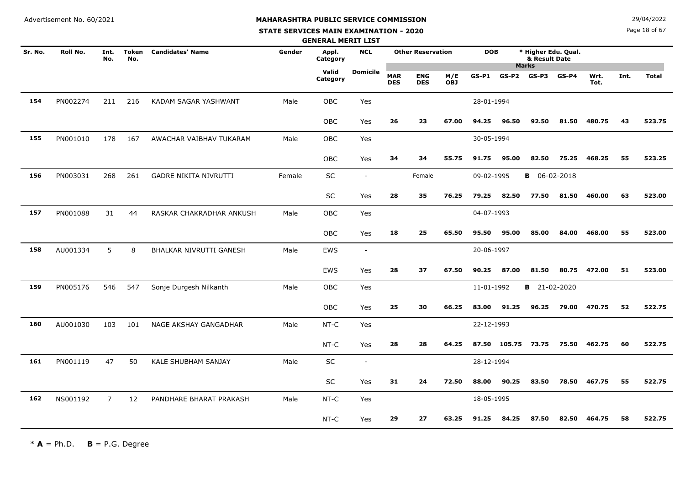#### **STATE SERVICES MAIN EXAMINATION - 2020**

**N**  $29/04/2022$ 

Page 18 of 67

|         |          |                |                     |                          |        | <b>GENERAL MERIT LIST</b> |                          |                          |                          |                   |            |              |                                                      |         |              |      |              |
|---------|----------|----------------|---------------------|--------------------------|--------|---------------------------|--------------------------|--------------------------|--------------------------|-------------------|------------|--------------|------------------------------------------------------|---------|--------------|------|--------------|
| Sr. No. | Roll No. | Int.<br>No.    | <b>Token</b><br>No. | <b>Candidates' Name</b>  | Gender | Appl.<br>Category         | <b>NCL</b>               |                          | <b>Other Reservation</b> |                   | <b>DOB</b> |              | * Higher Edu. Qual.<br>& Result Date<br><b>Marks</b> |         |              |      |              |
|         |          |                |                     |                          |        | Valid<br>Category         | <b>Domicile</b>          | <b>MAR</b><br><b>DES</b> | <b>ENG</b><br><b>DES</b> | M/E<br><b>OBJ</b> | $GS-P1$    | GS-P2        | $GS-P3$                                              | $GS-P4$ | Wrt.<br>Tot. | Int. | <b>Total</b> |
| 154     | PN002274 | 211            | 216                 | KADAM SAGAR YASHWANT     | Male   | OBC                       | Yes                      |                          |                          |                   | 28-01-1994 |              |                                                      |         |              |      |              |
|         |          |                |                     |                          |        | OBC                       | Yes                      | 26                       | 23                       | 67.00             | 94.25      | 96.50        | 92.50                                                | 81.50   | 480.75       | 43   | 523.75       |
| 155     | PN001010 | 178            | 167                 | AWACHAR VAIBHAV TUKARAM  | Male   | <b>OBC</b>                | Yes                      |                          |                          |                   | 30-05-1994 |              |                                                      |         |              |      |              |
|         |          |                |                     |                          |        | <b>OBC</b>                | Yes                      | 34                       | 34                       | 55.75             | 91.75      | 95.00        | 82.50                                                | 75.25   | 468.25       | 55   | 523.25       |
| 156     | PN003031 | 268            | 261                 | GADRE NIKITA NIVRUTTI    | Female | SC                        | $\overline{\phantom{a}}$ |                          | Female                   |                   | 09-02-1995 |              | <b>B</b> 06-02-2018                                  |         |              |      |              |
|         |          |                |                     |                          |        | SC                        | Yes                      | 28                       | 35                       | 76.25             | 79.25      | 82.50        | 77.50                                                | 81.50   | 460.00       | 63   | 523.00       |
| 157     | PN001088 | 31             | 44                  | RASKAR CHAKRADHAR ANKUSH | Male   | <b>OBC</b>                | Yes                      |                          |                          |                   | 04-07-1993 |              |                                                      |         |              |      |              |
|         |          |                |                     |                          |        | <b>OBC</b>                | Yes                      | 18                       | 25                       | 65.50             | 95.50      | 95.00        | 85.00                                                | 84.00   | 468.00       | 55   | 523.00       |
| 158     | AU001334 | 5              | 8                   | BHALKAR NIVRUTTI GANESH  | Male   | <b>EWS</b>                | $\overline{\phantom{a}}$ |                          |                          |                   | 20-06-1997 |              |                                                      |         |              |      |              |
|         |          |                |                     |                          |        | <b>EWS</b>                | Yes                      | 28                       | 37                       | 67.50             | 90.25      | 87.00        | 81.50                                                | 80.75   | 472.00       | 51   | 523.00       |
| 159     | PN005176 | 546            | 547                 | Sonje Durgesh Nilkanth   | Male   | <b>OBC</b>                | Yes                      |                          |                          |                   | 11-01-1992 |              | <b>B</b> 21-02-2020                                  |         |              |      |              |
|         |          |                |                     |                          |        | OBC                       | Yes                      | 25                       | 30                       | 66.25             | 83.00      | 91.25        | 96.25                                                | 79.00   | 470.75       | 52   | 522.75       |
| 160     | AU001030 | 103            | 101                 | NAGE AKSHAY GANGADHAR    | Male   | $NT-C$                    | Yes                      |                          |                          |                   | 22-12-1993 |              |                                                      |         |              |      |              |
|         |          |                |                     |                          |        | NT-C                      | Yes                      | 28                       | 28                       | 64.25             |            | 87.50 105.75 | 73.75                                                |         | 75.50 462.75 | 60   | 522.75       |
| 161     | PN001119 | 47             | 50                  | KALE SHUBHAM SANJAY      | Male   | SC                        | $\overline{\phantom{a}}$ |                          |                          |                   | 28-12-1994 |              |                                                      |         |              |      |              |
|         |          |                |                     |                          |        | SC                        | Yes                      | 31                       | 24                       | 72.50             | 88.00      | 90.25        | 83.50                                                | 78.50   | 467.75       | 55   | 522.75       |
| 162     | NS001192 | $\overline{7}$ | 12                  | PANDHARE BHARAT PRAKASH  | Male   | $NT-C$                    | Yes                      |                          |                          |                   | 18-05-1995 |              |                                                      |         |              |      |              |
|         |          |                |                     |                          |        | $NT-C$                    | Yes                      | 29                       | 27                       | 63.25             | 91.25      | 84.25        | 87.50                                                | 82.50   | 464.75       | 58   | 522.75       |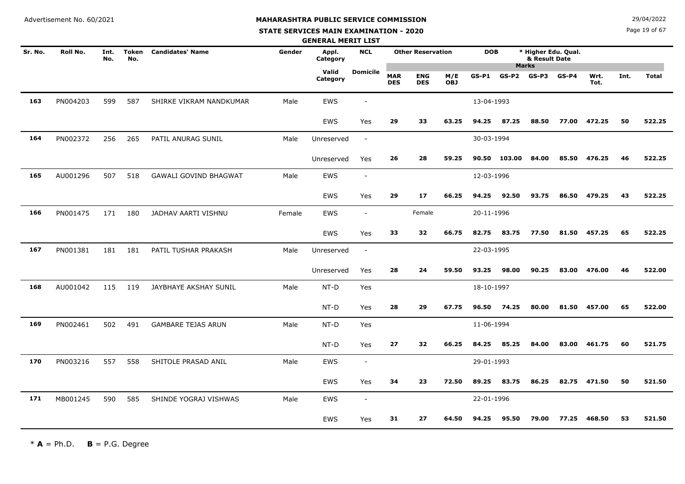#### **STATE SERVICES MAIN EXAMINATION - 2020**

**N**  $29/04/2022$ 

Page 19 of 67

|         |          |             |                     |                              |        | <b>GENERAL MERIT LIST</b> |                          |                          |                          |                   |            |                 |                                      |         |              |      |              |
|---------|----------|-------------|---------------------|------------------------------|--------|---------------------------|--------------------------|--------------------------|--------------------------|-------------------|------------|-----------------|--------------------------------------|---------|--------------|------|--------------|
| Sr. No. | Roll No. | Int.<br>No. | <b>Token</b><br>No. | <b>Candidates' Name</b>      | Gender | Appl.<br>Category         | <b>NCL</b>               |                          | <b>Other Reservation</b> |                   | <b>DOB</b> | <b>Marks</b>    | * Higher Edu. Qual.<br>& Result Date |         |              |      |              |
|         |          |             |                     |                              |        | Valid<br>Category         | Domicile                 | <b>MAR</b><br><b>DES</b> | <b>ENG</b><br><b>DES</b> | M/E<br><b>OBJ</b> | GS-P1      | $GS-P2$ $GS-P3$ |                                      | $GS-P4$ | Wrt.<br>Tot. | Int. | <b>Total</b> |
| 163     | PN004203 | 599         | 587                 | SHIRKE VIKRAM NANDKUMAR      | Male   | EWS                       |                          |                          |                          |                   | 13-04-1993 |                 |                                      |         |              |      |              |
|         |          |             |                     |                              |        | EWS                       | Yes                      | 29                       | 33                       | 63.25             | 94.25      | 87.25           | 88.50                                | 77.00   | 472.25       | 50   | 522.25       |
| 164     | PN002372 | 256         | 265                 | PATIL ANURAG SUNIL           | Male   | Unreserved                | $\blacksquare$           |                          |                          |                   | 30-03-1994 |                 |                                      |         |              |      |              |
|         |          |             |                     |                              |        | Unreserved                | Yes                      | 26                       | 28                       | 59.25             | 90.50      | 103.00          | 84.00                                | 85.50   | 476.25       | 46   | 522.25       |
| 165     | AU001296 | 507         | 518                 | <b>GAWALI GOVIND BHAGWAT</b> | Male   | <b>EWS</b>                | $\overline{\phantom{a}}$ |                          |                          |                   | 12-03-1996 |                 |                                      |         |              |      |              |
|         |          |             |                     |                              |        | EWS                       | Yes                      | 29                       | 17                       | 66.25             | 94.25      | 92.50           | 93.75                                | 86.50   | 479.25       | 43   | 522.25       |
| 166     | PN001475 | 171         | 180                 | JADHAV AARTI VISHNU          | Female | <b>EWS</b>                | $\overline{\phantom{a}}$ |                          | Female                   |                   | 20-11-1996 |                 |                                      |         |              |      |              |
|         |          |             |                     |                              |        | EWS                       | Yes                      | 33                       | 32                       | 66.75             | 82.75      | 83.75           | 77.50                                | 81.50   | 457.25       | 65   | 522.25       |
| 167     | PN001381 | 181         | 181                 | PATIL TUSHAR PRAKASH         | Male   | Unreserved                | $\blacksquare$           |                          |                          |                   | 22-03-1995 |                 |                                      |         |              |      |              |
|         |          |             |                     |                              |        | Unreserved                | Yes                      | 28                       | 24                       | 59.50             | 93.25      | 98.00           | 90.25                                | 83.00   | 476.00       | 46   | 522.00       |
| 168     | AU001042 | 115         | 119                 | JAYBHAYE AKSHAY SUNIL        | Male   | NT-D                      | Yes                      |                          |                          |                   | 18-10-1997 |                 |                                      |         |              |      |              |
|         |          |             |                     |                              |        | NT-D                      | Yes                      | 28                       | 29                       | 67.75             | 96.50      | 74.25           | 80.00                                | 81.50   | 457.00       | 65   | 522.00       |
| 169     | PN002461 | 502         | 491                 | <b>GAMBARE TEJAS ARUN</b>    | Male   | NT-D                      | Yes                      |                          |                          |                   | 11-06-1994 |                 |                                      |         |              |      |              |
|         |          |             |                     |                              |        | NT-D                      | Yes                      | 27                       | 32                       | 66.25             | 84.25      | 85.25           | 84.00                                | 83.00   | 461.75       | 60   | 521.75       |
| 170     | PN003216 | 557         | 558                 | SHITOLE PRASAD ANIL          | Male   | <b>EWS</b>                | $\overline{\phantom{a}}$ |                          |                          |                   | 29-01-1993 |                 |                                      |         |              |      |              |
|         |          |             |                     |                              |        | <b>EWS</b>                | Yes                      | 34                       | 23                       | 72.50             | 89.25      | 83.75           | 86.25                                | 82.75   | 471.50       | 50   | 521.50       |
| 171     | MB001245 | 590         | 585                 | SHINDE YOGRAJ VISHWAS        | Male   | <b>EWS</b>                | $\overline{\phantom{a}}$ |                          |                          |                   | 22-01-1996 |                 |                                      |         |              |      |              |
|         |          |             |                     |                              |        | EWS                       | Yes                      | 31                       | 27                       | 64.50             | 94.25      | 95.50           | 79.00                                | 77.25   | 468.50       | 53   | 521.50       |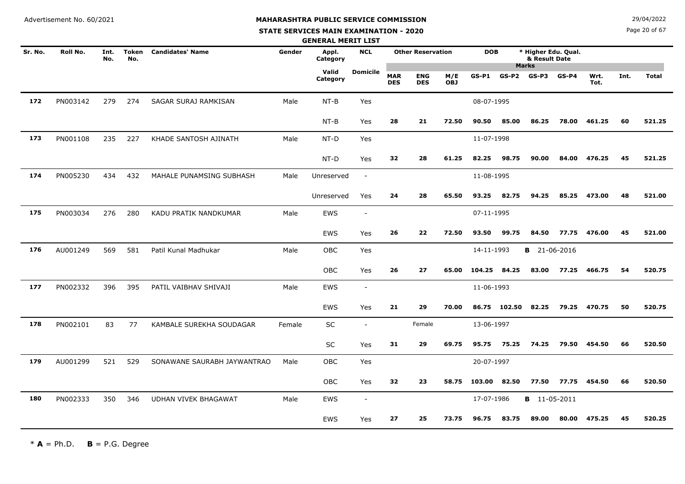#### **STATE SERVICES MAIN EXAMINATION - 2020**

**N**  $29/04/2022$ 

Page 20 of 67

|         |                 |             |                     |                             |        | <b>GENERAL MERIT LIST</b> |                          |                          |                          |                   |            |              |                                      |         |              |      |              |
|---------|-----------------|-------------|---------------------|-----------------------------|--------|---------------------------|--------------------------|--------------------------|--------------------------|-------------------|------------|--------------|--------------------------------------|---------|--------------|------|--------------|
| Sr. No. | <b>Roll No.</b> | Int.<br>No. | <b>Token</b><br>No. | <b>Candidates' Name</b>     | Gender | Appl.<br>Category         | <b>NCL</b>               |                          | <b>Other Reservation</b> |                   | <b>DOB</b> |              | * Higher Edu. Qual.<br>& Result Date |         |              |      |              |
|         |                 |             |                     |                             |        | Valid<br>Category         | <b>Domicile</b>          | <b>MAR</b><br><b>DES</b> | <b>ENG</b><br><b>DES</b> | M/E<br><b>OBJ</b> | $GS-P1$    | $GS-P2$      | <b>Marks</b><br>GS-P3                | $GS-P4$ | Wrt.<br>Tot. | Int. | <b>Total</b> |
| 172     | PN003142        | 279         | 274                 | SAGAR SURAJ RAMKISAN        | Male   | $NT-B$                    | Yes                      |                          |                          |                   | 08-07-1995 |              |                                      |         |              |      |              |
|         |                 |             |                     |                             |        | $NT-B$                    | Yes                      | 28                       | 21                       | 72.50             | 90.50      | 85.00        | 86.25                                | 78.00   | 461.25       | 60   | 521.25       |
| 173     | PN001108        | 235         | 227                 | KHADE SANTOSH AJINATH       | Male   | NT-D                      | Yes                      |                          |                          |                   | 11-07-1998 |              |                                      |         |              |      |              |
|         |                 |             |                     |                             |        | NT-D                      | Yes                      | 32                       | 28                       | 61.25             | 82.25      | 98.75        | 90.00                                | 84.00   | 476.25       | 45   | 521.25       |
| 174     | PN005230        | 434         | 432                 | MAHALE PUNAMSING SUBHASH    | Male   | Unreserved                | $\overline{\phantom{a}}$ |                          |                          |                   | 11-08-1995 |              |                                      |         |              |      |              |
|         |                 |             |                     |                             |        | Unreserved                | Yes                      | 24                       | 28                       | 65.50             | 93.25      | 82.75        | 94.25                                | 85.25   | 473.00       | 48   | 521.00       |
| 175     | PN003034        | 276         | 280                 | KADU PRATIK NANDKUMAR       | Male   | EWS                       | $\sim$                   |                          |                          |                   | 07-11-1995 |              |                                      |         |              |      |              |
|         |                 |             |                     |                             |        | <b>EWS</b>                | Yes                      | 26                       | 22                       | 72.50             | 93.50      | 99.75        | 84.50                                | 77.75   | 476.00       | 45   | 521.00       |
| 176     | AU001249        | 569         | 581                 | Patil Kunal Madhukar        | Male   | OBC                       | Yes                      |                          |                          |                   | 14-11-1993 |              | <b>B</b> 21-06-2016                  |         |              |      |              |
|         |                 |             |                     |                             |        | OBC                       | Yes                      | 26                       | 27                       | 65.00             | 104.25     | 84.25        | 83.00                                | 77.25   | 466.75       | 54   | 520.75       |
| 177     | PN002332        | 396         | 395                 | PATIL VAIBHAV SHIVAJI       | Male   | EWS                       | $\sim$                   |                          |                          |                   | 11-06-1993 |              |                                      |         |              |      |              |
|         |                 |             |                     |                             |        | EWS                       | Yes                      | 21                       | 29                       | 70.00             |            | 86.75 102.50 | 82.25                                | 79.25   | 470.75       | 50   | 520.75       |
| 178     | PN002101        | 83          | 77                  | KAMBALE SUREKHA SOUDAGAR    | Female | SC                        | $\sim$                   |                          | Female                   |                   | 13-06-1997 |              |                                      |         |              |      |              |
|         |                 |             |                     |                             |        | SC                        | Yes                      | 31                       | 29                       | 69.75             | 95.75      | 75.25        | 74.25                                | 79.50   | 454.50       | 66   | 520.50       |
| 179     | AU001299        | 521         | 529                 | SONAWANE SAURABH JAYWANTRAO | Male   | <b>OBC</b>                | Yes                      |                          |                          |                   | 20-07-1997 |              |                                      |         |              |      |              |
|         |                 |             |                     |                             |        | OBC                       | Yes                      | 32                       | 23                       | 58.75             | 103.00     | 82.50        | 77.50                                | 77.75   | 454.50       | 66   | 520.50       |
| 180     | PN002333        | 350         | 346                 | <b>UDHAN VIVEK BHAGAWAT</b> | Male   | <b>EWS</b>                | $\overline{\phantom{a}}$ |                          |                          |                   | 17-07-1986 |              | <b>B</b> 11-05-2011                  |         |              |      |              |
|         |                 |             |                     |                             |        | <b>EWS</b>                | Yes                      | 27                       | 25                       | 73.75             | 96.75      | 83.75        | 89.00                                | 80.00   | 475.25       | 45   | 520.25       |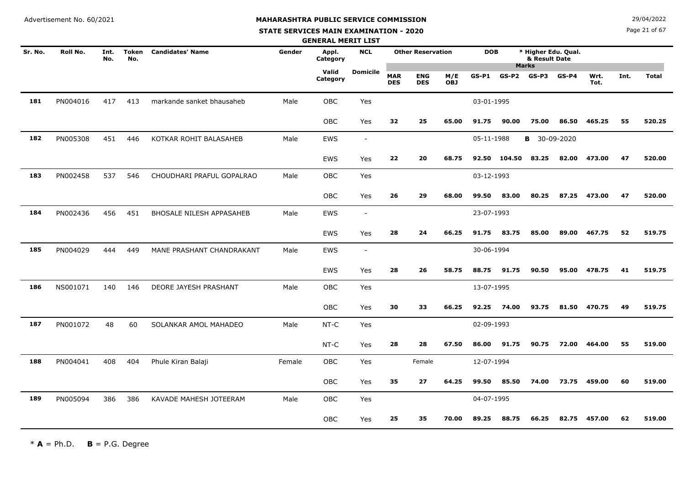**STATE SERVICES MAIN EXAMINATION - 2020**

Page 21 of 67

|         |                 |             |                     |                           |        | <b>GENERAL MERIT LIST</b> |                 |                          |                          |            |            |         |                                                      |         |              |      |              |
|---------|-----------------|-------------|---------------------|---------------------------|--------|---------------------------|-----------------|--------------------------|--------------------------|------------|------------|---------|------------------------------------------------------|---------|--------------|------|--------------|
| Sr. No. | <b>Roll No.</b> | Int.<br>No. | <b>Token</b><br>No. | <b>Candidates' Name</b>   | Gender | Appl.<br>Category         | <b>NCL</b>      |                          | <b>Other Reservation</b> |            | <b>DOB</b> |         | * Higher Edu. Qual.<br>& Result Date<br><b>Marks</b> |         |              |      |              |
|         |                 |             |                     |                           |        | Valid<br>Category         | <b>Domicile</b> | <b>MAR</b><br><b>DES</b> | <b>ENG</b><br><b>DES</b> | M/E<br>OBJ | $GS-P1$    | $GS-P2$ | GS-P3                                                | $GS-P4$ | Wrt.<br>Tot. | Int. | <b>Total</b> |
| 181     | PN004016        | 417         | 413                 | markande sanket bhausaheb | Male   | <b>OBC</b>                | Yes             |                          |                          |            | 03-01-1995 |         |                                                      |         |              |      |              |
|         |                 |             |                     |                           |        | OBC                       | Yes             | 32                       | 25                       | 65.00      | 91.75      | 90.00   | 75.00                                                | 86.50   | 465.25       | 55   | 520.25       |
| 182     | PN005308        | 451         | 446                 | KOTKAR ROHIT BALASAHEB    | Male   | <b>EWS</b>                | $\sim$          |                          |                          |            | 05-11-1988 |         | <b>B</b> 30-09-2020                                  |         |              |      |              |
|         |                 |             |                     |                           |        | <b>EWS</b>                | Yes             | 22                       | 20                       | 68.75      | 92.50      | 104.50  | 83.25                                                | 82.00   | 473.00       | 47   | 520.00       |
| 183     | PN002458        | 537         | 546                 | CHOUDHARI PRAFUL GOPALRAO | Male   | OBC                       | Yes             |                          |                          |            | 03-12-1993 |         |                                                      |         |              |      |              |
|         |                 |             |                     |                           |        | OBC                       | Yes             | 26                       | 29                       | 68.00      | 99.50      | 83.00   | 80.25                                                | 87.25   | 473.00       | 47   | 520.00       |
| 184     | PN002436        | 456         | 451                 | BHOSALE NILESH APPASAHEB  | Male   | <b>EWS</b>                | $\sim$          |                          |                          |            | 23-07-1993 |         |                                                      |         |              |      |              |
|         |                 |             |                     |                           |        | <b>EWS</b>                | Yes             | 28                       | 24                       | 66.25      | 91.75      | 83.75   | 85.00                                                | 89.00   | 467.75       | 52   | 519.75       |
| 185     | PN004029        | 444         | 449                 | MANE PRASHANT CHANDRAKANT | Male   | EWS                       | $\sim$          |                          |                          |            | 30-06-1994 |         |                                                      |         |              |      |              |
|         |                 |             |                     |                           |        | <b>EWS</b>                | Yes             | 28                       | 26                       | 58.75      | 88.75      | 91.75   | 90.50                                                | 95.00   | 478.75       | 41   | 519.75       |
| 186     | NS001071        | 140         | 146                 | DEORE JAYESH PRASHANT     | Male   | <b>OBC</b>                | Yes             |                          |                          |            | 13-07-1995 |         |                                                      |         |              |      |              |
|         |                 |             |                     |                           |        | OBC                       | Yes             | 30                       | 33                       | 66.25      | 92.25      | 74.00   | 93.75                                                | 81.50   | 470.75       | 49   | 519.75       |
| 187     | PN001072        | 48          | 60                  | SOLANKAR AMOL MAHADEO     | Male   | NT-C                      | Yes             |                          |                          |            | 02-09-1993 |         |                                                      |         |              |      |              |
|         |                 |             |                     |                           |        | NT-C                      | Yes             | 28                       | 28                       | 67.50      | 86.00      | 91.75   | 90.75                                                | 72.00   | 464.00       | 55   | 519.00       |
| 188     | PN004041        | 408         | 404                 | Phule Kiran Balaji        | Female | <b>OBC</b>                | Yes             |                          | Female                   |            | 12-07-1994 |         |                                                      |         |              |      |              |
|         |                 |             |                     |                           |        | OBC                       | Yes             | 35                       | 27                       | 64.25      | 99.50      | 85.50   | 74.00                                                | 73.75   | 459.00       | 60   | 519.00       |
| 189     | PN005094        | 386         | 386                 | KAVADE MAHESH JOTEERAM    | Male   | OBC                       | Yes             |                          |                          |            | 04-07-1995 |         |                                                      |         |              |      |              |
|         |                 |             |                     |                           |        | OBC                       | Yes             | 25                       | 35                       | 70.00      | 89.25      | 88.75   | 66.25                                                | 82.75   | 457.00       | 62   | 519.00       |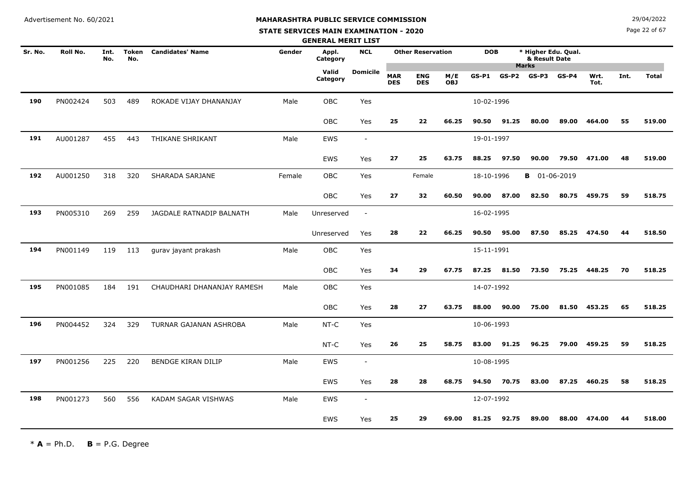# **MAHARASHTRA PUBLIC SERVICE COMMISSION**

#### **STATE SERVICES MAIN EXAMINATION - 2020**

**N**  $29/04/2022$ 

Page 22 of 67

|         |          |             |                     |                            |        | <b>GENERAL MERIT LIST</b> |                          |                          |                          |                   |            |         |                                      |         |              |      |              |
|---------|----------|-------------|---------------------|----------------------------|--------|---------------------------|--------------------------|--------------------------|--------------------------|-------------------|------------|---------|--------------------------------------|---------|--------------|------|--------------|
| Sr. No. | Roll No. | Int.<br>No. | <b>Token</b><br>No. | <b>Candidates' Name</b>    | Gender | Appl.<br>Category         | <b>NCL</b>               |                          | <b>Other Reservation</b> |                   | <b>DOB</b> |         | * Higher Edu. Qual.<br>& Result Date |         |              |      |              |
|         |          |             |                     |                            |        | Valid<br>Category         | <b>Domicile</b>          | <b>MAR</b><br><b>DES</b> | <b>ENG</b><br><b>DES</b> | M/E<br><b>OBJ</b> | $GS-P1$    | $GS-P2$ | <b>Marks</b><br>GS-P3                | $GS-P4$ | Wrt.<br>Tot. | Int. | <b>Total</b> |
| 190     | PN002424 | 503         | 489                 | ROKADE VIJAY DHANANJAY     | Male   | <b>OBC</b>                | Yes                      |                          |                          |                   | 10-02-1996 |         |                                      |         |              |      |              |
|         |          |             |                     |                            |        | <b>OBC</b>                | Yes                      | 25                       | 22                       | 66.25             | 90.50      | 91.25   | 80.00                                | 89.00   | 464.00       | 55   | 519.00       |
| 191     | AU001287 | 455         | 443                 | THIKANE SHRIKANT           | Male   | <b>EWS</b>                | $\overline{\phantom{a}}$ |                          |                          |                   | 19-01-1997 |         |                                      |         |              |      |              |
|         |          |             |                     |                            |        | EWS                       | Yes                      | 27                       | 25                       | 63.75             | 88.25      | 97.50   | 90.00                                | 79.50   | 471.00       | 48   | 519.00       |
| 192     | AU001250 | 318         | 320                 | SHARADA SARJANE            | Female | <b>OBC</b>                | Yes                      |                          | Female                   |                   | 18-10-1996 |         | <b>B</b> 01-06-2019                  |         |              |      |              |
|         |          |             |                     |                            |        | OBC                       | Yes                      | 27                       | 32                       | 60.50             | 90.00      | 87.00   | 82.50                                | 80.75   | 459.75       | 59   | 518.75       |
| 193     | PN005310 | 269         | 259                 | JAGDALE RATNADIP BALNATH   | Male   | Unreserved                | $\overline{\phantom{a}}$ |                          |                          |                   | 16-02-1995 |         |                                      |         |              |      |              |
|         |          |             |                     |                            |        | Unreserved                | Yes                      | 28                       | 22                       | 66.25             | 90.50      | 95.00   | 87.50                                | 85.25   | 474.50       | 44   | 518.50       |
| 194     | PN001149 | 119         | 113                 | gurav jayant prakash       | Male   | <b>OBC</b>                | Yes                      |                          |                          |                   | 15-11-1991 |         |                                      |         |              |      |              |
|         |          |             |                     |                            |        | OBC                       | Yes                      | 34                       | 29                       | 67.75             | 87.25      | 81.50   | 73.50                                | 75.25   | 448.25       | 70   | 518.25       |
| 195     | PN001085 | 184         | 191                 | CHAUDHARI DHANANJAY RAMESH | Male   | <b>OBC</b>                | Yes                      |                          |                          |                   | 14-07-1992 |         |                                      |         |              |      |              |
|         |          |             |                     |                            |        | OBC                       | Yes                      | 28                       | 27                       | 63.75             | 88.00      | 90.00   | 75.00                                | 81.50   | 453.25       | 65   | 518.25       |
| 196     | PN004452 | 324         | 329                 | TURNAR GAJANAN ASHROBA     | Male   | NT-C                      | Yes                      |                          |                          |                   | 10-06-1993 |         |                                      |         |              |      |              |
|         |          |             |                     |                            |        | NT-C                      | Yes                      | 26                       | 25                       | 58.75             | 83.00      | 91.25   | 96.25                                | 79.00   | 459.25       | 59   | 518.25       |
| 197     | PN001256 | 225         | 220                 | BENDGE KIRAN DILIP         | Male   | EWS                       | $\sim$                   |                          |                          |                   | 10-08-1995 |         |                                      |         |              |      |              |
|         |          |             |                     |                            |        | <b>EWS</b>                | Yes                      | 28                       | 28                       | 68.75             | 94.50      | 70.75   | 83.00                                | 87.25   | 460.25       | 58   | 518.25       |
| 198     | PN001273 | 560         | 556                 | KADAM SAGAR VISHWAS        | Male   | <b>EWS</b>                | $\sim$                   |                          |                          |                   | 12-07-1992 |         |                                      |         |              |      |              |
|         |          |             |                     |                            |        | EWS                       | Yes                      | 25                       | 29                       | 69.00             | 81.25      | 92.75   | 89.00                                | 88.00   | 474.00       | 44   | 518.00       |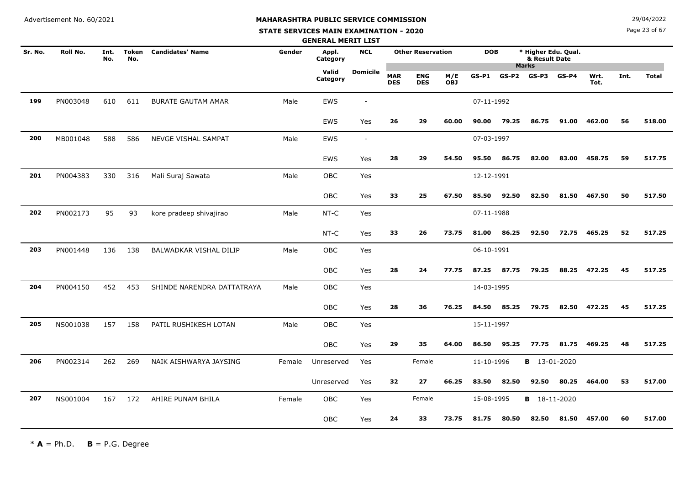**STATE SERVICES MAIN EXAMINATION - 2020**

**N**  $29/04/2022$ 

Page 23 of 67

|         |          |             |                     |                            |        | <b>GENERAL MERIT LIST</b> |                          |                          |                          |                   |            |         |                       |                     |              |      |              |
|---------|----------|-------------|---------------------|----------------------------|--------|---------------------------|--------------------------|--------------------------|--------------------------|-------------------|------------|---------|-----------------------|---------------------|--------------|------|--------------|
| Sr. No. | Roll No. | Int.<br>No. | <b>Token</b><br>No. | <b>Candidates' Name</b>    | Gender | Appl.<br>Category         | <b>NCL</b>               |                          | <b>Other Reservation</b> |                   | <b>DOB</b> |         | & Result Date         | * Higher Edu. Qual. |              |      |              |
|         |          |             |                     |                            |        | Valid<br>Category         | <b>Domicile</b>          | <b>MAR</b><br><b>DES</b> | <b>ENG</b><br><b>DES</b> | M/E<br><b>OBJ</b> | $GS-P1$    | $GS-P2$ | <b>Marks</b><br>GS-P3 | $GS-P4$             | Wrt.<br>Tot. | Int. | <b>Total</b> |
| 199     | PN003048 | 610         | 611                 | <b>BURATE GAUTAM AMAR</b>  | Male   | EWS                       | $\overline{\phantom{a}}$ |                          |                          |                   | 07-11-1992 |         |                       |                     |              |      |              |
|         |          |             |                     |                            |        | <b>EWS</b>                | Yes                      | 26                       | 29                       | 60.00             | 90.00      | 79.25   | 86.75                 | 91.00               | 462.00       | 56   | 518.00       |
| 200     | MB001048 | 588         | 586                 | NEVGE VISHAL SAMPAT        | Male   | <b>EWS</b>                | $\overline{\phantom{a}}$ |                          |                          |                   | 07-03-1997 |         |                       |                     |              |      |              |
|         |          |             |                     |                            |        | EWS                       | Yes                      | 28                       | 29                       | 54.50             | 95.50      | 86.75   | 82.00                 | 83.00               | 458.75       | 59   | 517.75       |
| 201     | PN004383 | 330         | 316                 | Mali Suraj Sawata          | Male   | <b>OBC</b>                | Yes                      |                          |                          |                   | 12-12-1991 |         |                       |                     |              |      |              |
|         |          |             |                     |                            |        | OBC                       | Yes                      | 33                       | 25                       | 67.50             | 85.50      | 92.50   | 82.50                 | 81.50               | 467.50       | 50   | 517.50       |
| 202     | PN002173 | 95          | 93                  | kore pradeep shivajirao    | Male   | NT-C                      | Yes                      |                          |                          |                   | 07-11-1988 |         |                       |                     |              |      |              |
|         |          |             |                     |                            |        | NT-C                      | Yes                      | 33                       | 26                       | 73.75             | 81.00      | 86.25   | 92.50                 | 72.75               | 465.25       | 52   | 517.25       |
| 203     | PN001448 | 136         | 138                 | BALWADKAR VISHAL DILIP     | Male   | <b>OBC</b>                | Yes                      |                          |                          |                   | 06-10-1991 |         |                       |                     |              |      |              |
|         |          |             |                     |                            |        | OBC                       | Yes                      | 28                       | 24                       | 77.75             | 87.25      | 87.75   | 79.25                 | 88.25               | 472.25       | 45   | 517.25       |
| 204     | PN004150 | 452         | 453                 | SHINDE NARENDRA DATTATRAYA | Male   | OBC                       | Yes                      |                          |                          |                   | 14-03-1995 |         |                       |                     |              |      |              |
|         |          |             |                     |                            |        | OBC                       | Yes                      | 28                       | 36                       | 76.25             | 84.50      | 85.25   | 79.75                 | 82.50               | 472.25       | 45   | 517.25       |
| 205     | NS001038 | 157         | 158                 | PATIL RUSHIKESH LOTAN      | Male   | OBC                       | Yes                      |                          |                          |                   | 15-11-1997 |         |                       |                     |              |      |              |
|         |          |             |                     |                            |        | OBC                       | Yes                      | 29                       | 35                       | 64.00             | 86.50      | 95.25   | 77.75                 | 81.75               | 469.25       | 48   | 517.25       |
| 206     | PN002314 | 262         | 269                 | NAIK AISHWARYA JAYSING     | Female | Unreserved                | Yes                      |                          | Female                   |                   | 11-10-1996 |         | <b>B</b> 13-01-2020   |                     |              |      |              |
|         |          |             |                     |                            |        | Unreserved                | Yes                      | 32                       | 27                       | 66.25             | 83.50      | 82.50   | 92.50                 | 80.25               | 464.00       | 53   | 517.00       |
| 207     | NS001004 | 167         | 172                 | AHIRE PUNAM BHILA          | Female | OBC                       | Yes                      |                          | Female                   |                   | 15-08-1995 |         | В                     | 18-11-2020          |              |      |              |
|         |          |             |                     |                            |        | <b>OBC</b>                | Yes                      | 24                       | 33                       | 73.75             | 81.75      | 80.50   | 82.50                 | 81.50               | 457.00       | 60   | 517.00       |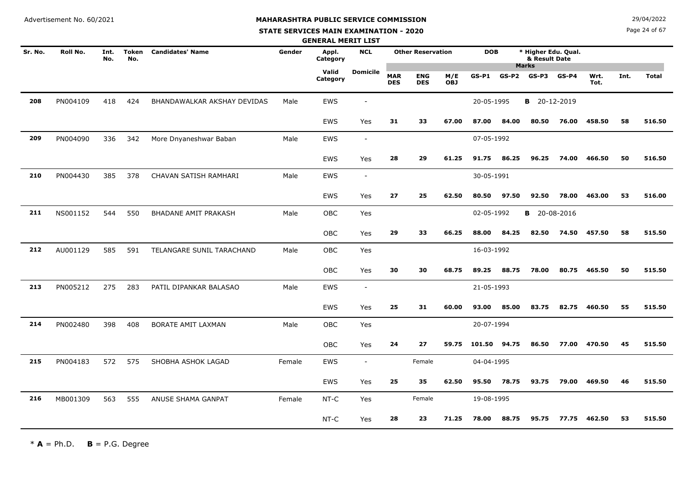#### **STATE SERVICES MAIN EXAMINATION - 2020**

**N**  $29/04/2022$ 

Page 24 of 67

|         |          |             |                     |                             |        | <b>GENERAL MERIT LIST</b> |                          |                          |                          |                   |              |         |                                      |         |              |      |              |
|---------|----------|-------------|---------------------|-----------------------------|--------|---------------------------|--------------------------|--------------------------|--------------------------|-------------------|--------------|---------|--------------------------------------|---------|--------------|------|--------------|
| Sr. No. | Roll No. | Int.<br>No. | <b>Token</b><br>No. | <b>Candidates' Name</b>     | Gender | Appl.<br>Category         | <b>NCL</b>               |                          | <b>Other Reservation</b> |                   | <b>DOB</b>   |         | * Higher Edu. Qual.<br>& Result Date |         |              |      |              |
|         |          |             |                     |                             |        | Valid<br>Category         | <b>Domicile</b>          | <b>MAR</b><br><b>DES</b> | <b>ENG</b><br><b>DES</b> | M/E<br><b>OBJ</b> | $GS-P1$      | $GS-P2$ | <b>Marks</b><br>GS-P3                | $GS-P4$ | Wrt.<br>Tot. | Int. | <b>Total</b> |
| 208     | PN004109 | 418         | 424                 | BHANDAWALKAR AKSHAY DEVIDAS | Male   | EWS                       | $\overline{\phantom{a}}$ |                          |                          |                   | 20-05-1995   |         | <b>B</b> 20-12-2019                  |         |              |      |              |
|         |          |             |                     |                             |        | EWS                       | Yes                      | 31                       | 33                       | 67.00             | 87.00        | 84.00   | 80.50                                | 76.00   | 458.50       | 58   | 516.50       |
| 209     | PN004090 | 336         | 342                 | More Dnyaneshwar Baban      | Male   | <b>EWS</b>                | $\overline{\phantom{a}}$ |                          |                          |                   | 07-05-1992   |         |                                      |         |              |      |              |
|         |          |             |                     |                             |        | EWS                       | Yes                      | 28                       | 29                       | 61.25             | 91.75        | 86.25   | 96.25                                | 74.00   | 466.50       | 50   | 516.50       |
| 210     | PN004430 | 385         | 378                 | CHAVAN SATISH RAMHARI       | Male   | <b>EWS</b>                | $\overline{\phantom{a}}$ |                          |                          |                   | 30-05-1991   |         |                                      |         |              |      |              |
|         |          |             |                     |                             |        | <b>EWS</b>                | Yes                      | 27                       | 25                       | 62.50             | 80.50        | 97.50   | 92.50                                | 78.00   | 463.00       | 53   | 516.00       |
| 211     | NS001152 | 544         | 550                 | <b>BHADANE AMIT PRAKASH</b> | Male   | OBC                       | Yes                      |                          |                          |                   | 02-05-1992   |         | <b>B</b> 20-08-2016                  |         |              |      |              |
|         |          |             |                     |                             |        | OBC                       | Yes                      | 29                       | 33                       | 66.25             | 88.00        | 84.25   | 82.50                                | 74.50   | 457.50       | 58   | 515.50       |
| 212     | AU001129 | 585         | 591                 | TELANGARE SUNIL TARACHAND   | Male   | <b>OBC</b>                | Yes                      |                          |                          |                   | 16-03-1992   |         |                                      |         |              |      |              |
|         |          |             |                     |                             |        | OBC                       | Yes                      | 30                       | 30                       | 68.75             | 89.25        | 88.75   | 78.00                                | 80.75   | 465.50       | 50   | 515.50       |
| 213     | PN005212 | 275         | 283                 | PATIL DIPANKAR BALASAO      | Male   | EWS                       | $\overline{\phantom{a}}$ |                          |                          |                   | 21-05-1993   |         |                                      |         |              |      |              |
|         |          |             |                     |                             |        | <b>EWS</b>                | Yes                      | 25                       | 31                       | 60.00             | 93.00        | 85.00   | 83.75                                | 82.75   | 460.50       | 55   | 515.50       |
| 214     | PN002480 | 398         | 408                 | BORATE AMIT LAXMAN          | Male   | OBC                       | Yes                      |                          |                          |                   | 20-07-1994   |         |                                      |         |              |      |              |
|         |          |             |                     |                             |        | OBC                       | Yes                      | 24                       | 27                       | 59.75             | 101.50 94.75 |         | 86.50                                | 77.00   | 470.50       | 45   | 515.50       |
| 215     | PN004183 | 572         | 575                 | SHOBHA ASHOK LAGAD          | Female | EWS                       | $\sim$                   |                          | Female                   |                   | 04-04-1995   |         |                                      |         |              |      |              |
|         |          |             |                     |                             |        | <b>EWS</b>                | Yes                      | 25                       | 35                       | 62.50             | 95.50        | 78.75   | 93.75                                | 79.00   | 469.50       | 46   | 515.50       |
| 216     | MB001309 | 563         | 555                 | ANUSE SHAMA GANPAT          | Female | NT-C                      | Yes                      |                          | Female                   |                   | 19-08-1995   |         |                                      |         |              |      |              |
|         |          |             |                     |                             |        | $NT-C$                    | Yes                      | 28                       | 23                       | 71.25             | 78.00        | 88.75   | 95.75                                | 77.75   | 462.50       | 53   | 515.50       |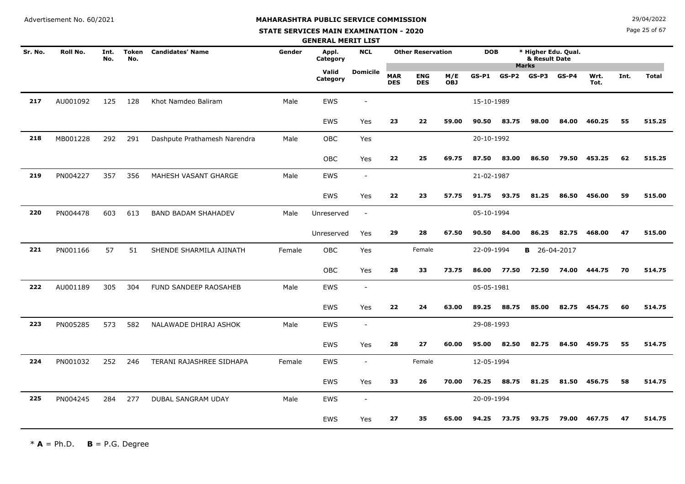**STATE SERVICES MAIN EXAMINATION - 2020**

Page 25 of 67

|         |          |             |                     |                              |        | <b>GENERAL MERIT LIST</b> |                          |                          |                          |            |            |         |                                                      |         |              |      |              |
|---------|----------|-------------|---------------------|------------------------------|--------|---------------------------|--------------------------|--------------------------|--------------------------|------------|------------|---------|------------------------------------------------------|---------|--------------|------|--------------|
| Sr. No. | Roll No. | Int.<br>No. | <b>Token</b><br>No. | <b>Candidates' Name</b>      | Gender | Appl.<br>Category         | <b>NCL</b>               |                          | <b>Other Reservation</b> |            | <b>DOB</b> |         | * Higher Edu. Qual.<br>& Result Date<br><b>Marks</b> |         |              |      |              |
|         |          |             |                     |                              |        | Valid<br>Category         | <b>Domicile</b>          | <b>MAR</b><br><b>DES</b> | <b>ENG</b><br><b>DES</b> | M/E<br>OBJ | $GS-P1$    | $GS-P2$ | GS-P3                                                | $GS-P4$ | Wrt.<br>Tot. | Int. | <b>Total</b> |
| 217     | AU001092 | 125         | 128                 | Khot Namdeo Baliram          | Male   | <b>EWS</b>                | $\overline{\phantom{a}}$ |                          |                          |            | 15-10-1989 |         |                                                      |         |              |      |              |
|         |          |             |                     |                              |        | EWS                       | Yes                      | 23                       | 22                       | 59.00      | 90.50      | 83.75   | 98.00                                                | 84.00   | 460.25       | 55   | 515.25       |
| 218     | MB001228 | 292         | 291                 | Dashpute Prathamesh Narendra | Male   | OBC                       | Yes                      |                          |                          |            | 20-10-1992 |         |                                                      |         |              |      |              |
|         |          |             |                     |                              |        | OBC                       | Yes                      | 22                       | 25                       | 69.75      | 87.50      | 83.00   | 86.50                                                | 79.50   | 453.25       | 62   | 515.25       |
| 219     | PN004227 | 357         | 356                 | MAHESH VASANT GHARGE         | Male   | <b>EWS</b>                | $\sim$                   |                          |                          |            | 21-02-1987 |         |                                                      |         |              |      |              |
|         |          |             |                     |                              |        | <b>EWS</b>                | Yes                      | 22                       | 23                       | 57.75      | 91.75      | 93.75   | 81.25                                                | 86.50   | 456.00       | 59   | 515.00       |
| 220     | PN004478 | 603         | 613                 | <b>BAND BADAM SHAHADEV</b>   | Male   | Unreserved                | $\sim$                   |                          |                          |            | 05-10-1994 |         |                                                      |         |              |      |              |
|         |          |             |                     |                              |        | Unreserved                | Yes                      | 29                       | 28                       | 67.50      | 90.50      | 84.00   | 86.25                                                | 82.75   | 468.00       | 47   | 515.00       |
| 221     | PN001166 | 57          | 51                  | SHENDE SHARMILA AJINATH      | Female | OBC                       | Yes                      |                          | Female                   |            | 22-09-1994 |         | <b>B</b> 26-04-2017                                  |         |              |      |              |
|         |          |             |                     |                              |        | OBC                       | Yes                      | 28                       | 33                       | 73.75      | 86.00      | 77.50   | 72.50                                                | 74.00   | 444.75       | 70   | 514.75       |
| 222     | AU001189 | 305         | 304                 | FUND SANDEEP RAOSAHEB        | Male   | <b>EWS</b>                | $\sim$                   |                          |                          |            | 05-05-1981 |         |                                                      |         |              |      |              |
|         |          |             |                     |                              |        | <b>EWS</b>                | Yes                      | 22                       | 24                       | 63.00      | 89.25      | 88.75   | 85.00                                                | 82.75   | 454.75       | 60   | 514.75       |
| 223     | PN005285 | 573         | 582                 | NALAWADE DHIRAJ ASHOK        | Male   | <b>EWS</b>                | $\sim$                   |                          |                          |            | 29-08-1993 |         |                                                      |         |              |      |              |
|         |          |             |                     |                              |        | <b>EWS</b>                | Yes                      | 28                       | 27                       | 60.00      | 95.00      | 82.50   | 82.75                                                | 84.50   | 459.75       | 55   | 514.75       |
| 224     | PN001032 | 252         | 246                 | TERANI RAJASHREE SIDHAPA     | Female | <b>EWS</b>                | $\sim$                   |                          | Female                   |            | 12-05-1994 |         |                                                      |         |              |      |              |
|         |          |             |                     |                              |        | <b>EWS</b>                | Yes                      | 33                       | 26                       | 70.00      | 76.25      | 88.75   | 81.25                                                | 81.50   | 456.75       | 58   | 514.75       |
| 225     | PN004245 | 284         | 277                 | <b>DUBAL SANGRAM UDAY</b>    | Male   | <b>EWS</b>                | $\sim$                   |                          |                          |            | 20-09-1994 |         |                                                      |         |              |      |              |
|         |          |             |                     |                              |        | <b>EWS</b>                | Yes                      | 27                       | 35                       | 65.00      | 94.25      | 73.75   | 93.75                                                | 79.00   | 467.75       | 47   | 514.75       |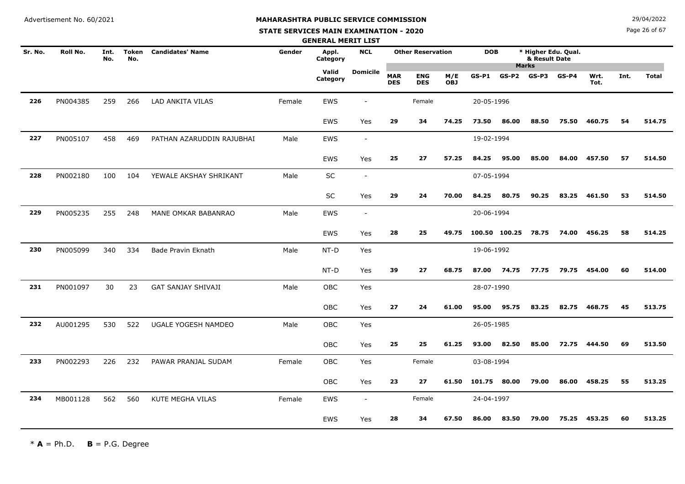**STATE SERVICES MAIN EXAMINATION - 2020**

**N**  $29/04/2022$ 

Page 26 of 67

|         |          |             |                     |                           |        | <b>GENERAL MERIT LIST</b> |                          |                          |                          |                   |                     |       |                                                      |         |              |      |              |
|---------|----------|-------------|---------------------|---------------------------|--------|---------------------------|--------------------------|--------------------------|--------------------------|-------------------|---------------------|-------|------------------------------------------------------|---------|--------------|------|--------------|
| Sr. No. | Roll No. | Int.<br>No. | <b>Token</b><br>No. | <b>Candidates' Name</b>   | Gender | Appl.<br>Category         | <b>NCL</b>               |                          | <b>Other Reservation</b> |                   | <b>DOB</b>          |       | * Higher Edu. Qual.<br>& Result Date<br><b>Marks</b> |         |              |      |              |
|         |          |             |                     |                           |        | Valid<br>Category         | <b>Domicile</b>          | <b>MAR</b><br><b>DES</b> | <b>ENG</b><br><b>DES</b> | M/E<br><b>OBJ</b> | GS-P1               | GS-P2 | GS-P3                                                | $GS-P4$ | Wrt.<br>Tot. | Int. | <b>Total</b> |
| 226     | PN004385 | 259         | 266                 | LAD ANKITA VILAS          | Female | <b>EWS</b>                |                          |                          | Female                   |                   | 20-05-1996          |       |                                                      |         |              |      |              |
|         |          |             |                     |                           |        | EWS                       | Yes                      | 29                       | 34                       | 74.25             | 73.50               | 86.00 | 88.50                                                | 75.50   | 460.75       | 54   | 514.75       |
| 227     | PN005107 | 458         | 469                 | PATHAN AZARUDDIN RAJUBHAI | Male   | EWS                       | $\sim$                   |                          |                          |                   | 19-02-1994          |       |                                                      |         |              |      |              |
|         |          |             |                     |                           |        | EWS                       | Yes                      | 25                       | 27                       | 57.25             | 84.25               | 95.00 | 85.00                                                | 84.00   | 457.50       | 57   | 514.50       |
| 228     | PN002180 | 100         | 104                 | YEWALE AKSHAY SHRIKANT    | Male   | SC                        | $\overline{\phantom{a}}$ |                          |                          |                   | 07-05-1994          |       |                                                      |         |              |      |              |
|         |          |             |                     |                           |        | SC                        | Yes                      | 29                       | 24                       | 70.00             | 84.25               | 80.75 | 90.25                                                | 83.25   | 461.50       | 53   | 514.50       |
| 229     | PN005235 | 255         | 248                 | MANE OMKAR BABANRAO       | Male   | EWS                       | $\overline{\phantom{a}}$ |                          |                          |                   | 20-06-1994          |       |                                                      |         |              |      |              |
|         |          |             |                     |                           |        | EWS                       | Yes                      | 28                       | 25                       | 49.75             | 100.50 100.25 78.75 |       |                                                      | 74.00   | 456.25       | 58   | 514.25       |
| 230     | PN005099 | 340         | 334                 | Bade Pravin Eknath        | Male   | NT-D                      | Yes                      |                          |                          |                   | 19-06-1992          |       |                                                      |         |              |      |              |
|         |          |             |                     |                           |        | NT-D                      | Yes                      | 39                       | 27                       | 68.75             | 87.00               | 74.75 | 77.75                                                | 79.75   | 454.00       | 60   | 514.00       |
| 231     | PN001097 | 30          | 23                  | GAT SANJAY SHIVAJI        | Male   | OBC                       | Yes                      |                          |                          |                   | 28-07-1990          |       |                                                      |         |              |      |              |
|         |          |             |                     |                           |        | OBC                       | Yes                      | 27                       | 24                       | 61.00             | 95.00               | 95.75 | 83.25                                                | 82.75   | 468.75       | 45   | 513.75       |
| 232     | AU001295 | 530         | 522                 | UGALE YOGESH NAMDEO       | Male   | OBC                       | Yes                      |                          |                          |                   | 26-05-1985          |       |                                                      |         |              |      |              |
|         |          |             |                     |                           |        | <b>OBC</b>                | Yes                      | 25                       | 25                       | 61.25             | 93.00               | 82.50 | 85.00                                                | 72.75   | 444.50       | 69   | 513.50       |
| 233     | PN002293 | 226         | 232                 | PAWAR PRANJAL SUDAM       | Female | OBC                       | Yes                      |                          | Female                   |                   | 03-08-1994          |       |                                                      |         |              |      |              |
|         |          |             |                     |                           |        | <b>OBC</b>                | Yes                      | 23                       | 27                       | 61.50             | 101.75              | 80.00 | 79.00                                                | 86.00   | 458.25       | 55   | 513.25       |
| 234     | MB001128 | 562         | 560                 | KUTE MEGHA VILAS          | Female | EWS                       | $\sim$                   |                          | Female                   |                   | 24-04-1997          |       |                                                      |         |              |      |              |
|         |          |             |                     |                           |        | EWS                       | Yes                      | 28                       | 34                       | 67.50             | 86.00               | 83.50 | 79.00                                                | 75.25   | 453.25       | 60   | 513.25       |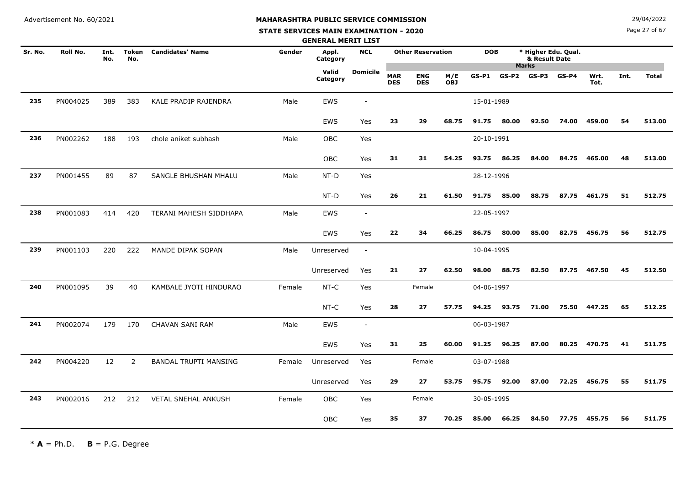#### **STATE SERVICES MAIN EXAMINATION - 2020**

**N**  $29/04/2022$ 

Page 27 of 67

|         |          |             |                |                              |        | <b>GENERAL MERIT LIST</b> |                          |                          |                          |                   |            |         |                                                      |         |              |      |              |
|---------|----------|-------------|----------------|------------------------------|--------|---------------------------|--------------------------|--------------------------|--------------------------|-------------------|------------|---------|------------------------------------------------------|---------|--------------|------|--------------|
| Sr. No. | Roll No. | Int.<br>No. | Token<br>No.   | <b>Candidates' Name</b>      | Gender | Appl.<br>Category         | <b>NCL</b>               |                          | <b>Other Reservation</b> |                   | <b>DOB</b> |         | * Higher Edu. Qual.<br>& Result Date<br><b>Marks</b> |         |              |      |              |
|         |          |             |                |                              |        | Valid<br>Category         | Domicile                 | <b>MAR</b><br><b>DES</b> | <b>ENG</b><br><b>DES</b> | M/E<br><b>OBJ</b> | $GS-P1$    | $GS-P2$ | GS-P3                                                | $GS-P4$ | Wrt.<br>Tot. | Int. | <b>Total</b> |
| 235     | PN004025 | 389         | 383            | KALE PRADIP RAJENDRA         | Male   | EWS                       | $\overline{\phantom{a}}$ |                          |                          |                   | 15-01-1989 |         |                                                      |         |              |      |              |
|         |          |             |                |                              |        | <b>EWS</b>                | Yes                      | 23                       | 29                       | 68.75             | 91.75      | 80.00   | 92.50                                                | 74.00   | 459.00       | 54   | 513.00       |
| 236     | PN002262 | 188         | 193            | chole aniket subhash         | Male   | OBC                       | Yes                      |                          |                          |                   | 20-10-1991 |         |                                                      |         |              |      |              |
|         |          |             |                |                              |        | OBC                       | Yes                      | 31                       | 31                       | 54.25             | 93.75      | 86.25   | 84.00                                                | 84.75   | 465.00       | 48   | 513.00       |
| 237     | PN001455 | 89          | 87             | SANGLE BHUSHAN MHALU         | Male   | NT-D                      | Yes                      |                          |                          |                   | 28-12-1996 |         |                                                      |         |              |      |              |
|         |          |             |                |                              |        | NT-D                      | Yes                      | 26                       | 21                       | 61.50             | 91.75      | 85.00   | 88.75                                                | 87.75   | 461.75       | 51   | 512.75       |
| 238     | PN001083 | 414         | 420            | TERANI MAHESH SIDDHAPA       | Male   | EWS                       | $\overline{\phantom{a}}$ |                          |                          |                   | 22-05-1997 |         |                                                      |         |              |      |              |
|         |          |             |                |                              |        | EWS                       | Yes                      | 22                       | 34                       | 66.25             | 86.75      | 80.00   | 85.00                                                | 82.75   | 456.75       | 56   | 512.75       |
| 239     | PN001103 | 220         | 222            | MANDE DIPAK SOPAN            | Male   | Unreserved                | $\blacksquare$           |                          |                          |                   | 10-04-1995 |         |                                                      |         |              |      |              |
|         |          |             |                |                              |        | Unreserved                | Yes                      | 21                       | 27                       | 62.50             | 98.00      | 88.75   | 82.50                                                | 87.75   | 467.50       | 45   | 512.50       |
| 240     | PN001095 | 39          | 40             | KAMBALE JYOTI HINDURAO       | Female | $NT-C$                    | Yes                      |                          | Female                   |                   | 04-06-1997 |         |                                                      |         |              |      |              |
|         |          |             |                |                              |        | $NT-C$                    | Yes                      | 28                       | 27                       | 57.75             | 94.25      | 93.75   | 71.00                                                | 75.50   | 447.25       | 65   | 512.25       |
| 241     | PN002074 | 179         | 170            | CHAVAN SANI RAM              | Male   | <b>EWS</b>                | $\overline{\phantom{a}}$ |                          |                          |                   | 06-03-1987 |         |                                                      |         |              |      |              |
|         |          |             |                |                              |        | EWS                       | Yes                      | 31                       | 25                       | 60.00             | 91.25      | 96.25   | 87.00                                                | 80.25   | 470.75       | 41   | 511.75       |
| 242     | PN004220 | 12          | $\overline{2}$ | <b>BANDAL TRUPTI MANSING</b> | Female | Unreserved                | Yes                      |                          | Female                   |                   | 03-07-1988 |         |                                                      |         |              |      |              |
|         |          |             |                |                              |        | Unreserved                | Yes                      | 29                       | 27                       | 53.75             | 95.75      | 92.00   | 87.00                                                | 72.25   | 456.75       | 55   | 511.75       |
| 243     | PN002016 | 212         | 212            | <b>VETAL SNEHAL ANKUSH</b>   | Female | OBC                       | Yes                      |                          | Female                   |                   | 30-05-1995 |         |                                                      |         |              |      |              |
|         |          |             |                |                              |        | OBC                       | Yes                      | 35                       | 37                       | 70.25             | 85.00      | 66.25   | 84.50                                                | 77.75   | 455.75       | 56   | 511.75       |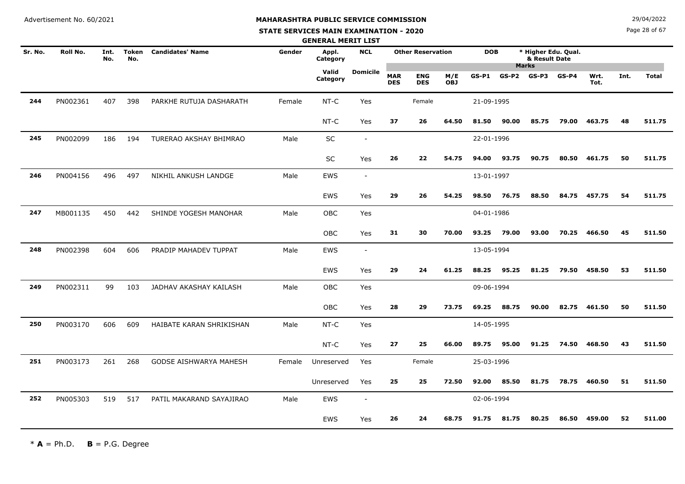# **MAHARASHTRA PUBLIC SERVICE COMMISSION**

#### **STATE SERVICES MAIN EXAMINATION - 2020**

**N**  $29/04/2022$ 

Page 28 of 67

|         |                 |             |                     |                          |        | <b>GENERAL MERIT LIST</b> |                          |                          |                          |                   |            |         |                                      |         |              |      |              |
|---------|-----------------|-------------|---------------------|--------------------------|--------|---------------------------|--------------------------|--------------------------|--------------------------|-------------------|------------|---------|--------------------------------------|---------|--------------|------|--------------|
| Sr. No. | <b>Roll No.</b> | Int.<br>No. | <b>Token</b><br>No. | <b>Candidates' Name</b>  | Gender | Appl.<br>Category         | <b>NCL</b>               |                          | <b>Other Reservation</b> |                   | <b>DOB</b> |         | * Higher Edu. Qual.<br>& Result Date |         |              |      |              |
|         |                 |             |                     |                          |        | Valid<br>Category         | <b>Domicile</b>          | <b>MAR</b><br><b>DES</b> | <b>ENG</b><br><b>DES</b> | M/E<br><b>OBJ</b> | $GS-P1$    | $GS-P2$ | <b>Marks</b><br>GS-P3                | $GS-P4$ | Wrt.<br>Tot. | Int. | <b>Total</b> |
| 244     | PN002361        | 407         | 398                 | PARKHE RUTUJA DASHARATH  | Female | NT-C                      | Yes                      |                          | Female                   |                   | 21-09-1995 |         |                                      |         |              |      |              |
|         |                 |             |                     |                          |        | $NT-C$                    | Yes                      | 37                       | 26                       | 64.50             | 81.50      | 90.00   | 85.75                                | 79.00   | 463.75       | 48   | 511.75       |
| 245     | PN002099        | 186         | 194                 | TURERAO AKSHAY BHIMRAO   | Male   | SC                        | $\overline{\phantom{a}}$ |                          |                          |                   | 22-01-1996 |         |                                      |         |              |      |              |
|         |                 |             |                     |                          |        | SC                        | Yes                      | 26                       | 22                       | 54.75             | 94.00      | 93.75   | 90.75                                | 80.50   | 461.75       | 50   | 511.75       |
| 246     | PN004156        | 496         | 497                 | NIKHIL ANKUSH LANDGE     | Male   | EWS                       | $\overline{\phantom{a}}$ |                          |                          |                   | 13-01-1997 |         |                                      |         |              |      |              |
|         |                 |             |                     |                          |        | EWS                       | Yes                      | 29                       | 26                       | 54.25             | 98.50      | 76.75   | 88.50                                | 84.75   | 457.75       | 54   | 511.75       |
| 247     | MB001135        | 450         | 442                 | SHINDE YOGESH MANOHAR    | Male   | OBC                       | Yes                      |                          |                          |                   | 04-01-1986 |         |                                      |         |              |      |              |
|         |                 |             |                     |                          |        | <b>OBC</b>                | Yes                      | 31                       | 30                       | 70.00             | 93.25      | 79.00   | 93.00                                | 70.25   | 466.50       | 45   | 511.50       |
| 248     | PN002398        | 604         | 606                 | PRADIP MAHADEV TUPPAT    | Male   | EWS                       | $\overline{\phantom{a}}$ |                          |                          |                   | 13-05-1994 |         |                                      |         |              |      |              |
|         |                 |             |                     |                          |        | EWS                       | Yes                      | 29                       | 24                       | 61.25             | 88.25      | 95.25   | 81.25                                | 79.50   | 458.50       | 53   | 511.50       |
| 249     | PN002311        | 99          | 103                 | JADHAV AKASHAY KAILASH   | Male   | <b>OBC</b>                | Yes                      |                          |                          |                   | 09-06-1994 |         |                                      |         |              |      |              |
|         |                 |             |                     |                          |        | OBC                       | Yes                      | 28                       | 29                       | 73.75             | 69.25      | 88.75   | 90.00                                | 82.75   | 461.50       | 50   | 511.50       |
| 250     | PN003170        | 606         | 609                 | HAIBATE KARAN SHRIKISHAN | Male   | $NT-C$                    | Yes                      |                          |                          |                   | 14-05-1995 |         |                                      |         |              |      |              |
|         |                 |             |                     |                          |        | NT-C                      | Yes                      | 27                       | 25                       | 66.00             | 89.75      | 95.00   | 91.25                                | 74.50   | 468.50       | 43   | 511.50       |
| 251     | PN003173        | 261         | 268                 | GODSE AISHWARYA MAHESH   | Female | Unreserved                | Yes                      |                          | Female                   |                   | 25-03-1996 |         |                                      |         |              |      |              |
|         |                 |             |                     |                          |        | Unreserved                | Yes                      | 25                       | 25                       | 72.50             | 92.00      | 85.50   | 81.75                                | 78.75   | 460.50       | 51   | 511.50       |
| 252     | PN005303        | 519         | 517                 | PATIL MAKARAND SAYAJIRAO | Male   | EWS                       | $\overline{\phantom{a}}$ |                          |                          |                   | 02-06-1994 |         |                                      |         |              |      |              |
|         |                 |             |                     |                          |        | EWS                       | Yes                      | 26                       | 24                       | 68.75             | 91.75      | 81.75   | 80.25                                | 86.50   | 459.00       | 52   | 511.00       |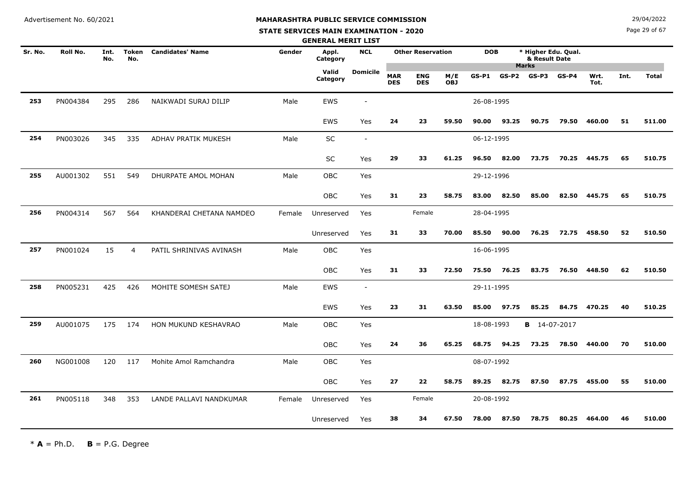# **STATE SERVICES MAIN EXAMINATION - 2020**

**N**  $29/04/2022$ 

Page 29 of 67

|         |          |             |                |                          |        | <b>GENERAL MERIT LIST</b> |                          |                          |                          |                   |            |       |                                      |         |              |      |              |
|---------|----------|-------------|----------------|--------------------------|--------|---------------------------|--------------------------|--------------------------|--------------------------|-------------------|------------|-------|--------------------------------------|---------|--------------|------|--------------|
| Sr. No. | Roll No. | Int.<br>No. | Token<br>No.   | <b>Candidates' Name</b>  | Gender | Appl.<br>Category         | <b>NCL</b>               |                          | <b>Other Reservation</b> |                   | <b>DOB</b> |       | * Higher Edu. Qual.<br>& Result Date |         |              |      |              |
|         |          |             |                |                          |        | Valid<br>Category         | <b>Domicile</b>          | <b>MAR</b><br><b>DES</b> | <b>ENG</b><br><b>DES</b> | M/E<br><b>OBJ</b> | $GS-P1$    |       | <b>Marks</b><br>$GS-P2$ $GS-P3$      | $GS-P4$ | Wrt.<br>Tot. | Int. | <b>Total</b> |
| 253     | PN004384 | 295         | 286            | NAIKWADI SURAJ DILIP     | Male   | <b>EWS</b>                |                          |                          |                          |                   | 26-08-1995 |       |                                      |         |              |      |              |
|         |          |             |                |                          |        | EWS                       | Yes                      | 24                       | 23                       | 59.50             | 90.00      | 93.25 | 90.75                                | 79.50   | 460.00       | 51   | 511.00       |
| 254     | PN003026 | 345         | 335            | ADHAV PRATIK MUKESH      | Male   | SC                        | $\sim$                   |                          |                          |                   | 06-12-1995 |       |                                      |         |              |      |              |
|         |          |             |                |                          |        | <b>SC</b>                 | Yes                      | 29                       | 33                       | 61.25             | 96.50      | 82.00 | 73.75                                | 70.25   | 445.75       | 65   | 510.75       |
| 255     | AU001302 | 551         | 549            | DHURPATE AMOL MOHAN      | Male   | OBC                       | Yes                      |                          |                          |                   | 29-12-1996 |       |                                      |         |              |      |              |
|         |          |             |                |                          |        | OBC                       | Yes                      | 31                       | 23                       | 58.75             | 83.00      | 82.50 | 85.00                                | 82.50   | 445.75       | 65   | 510.75       |
| 256     | PN004314 | 567         | 564            | KHANDERAI CHETANA NAMDEO | Female | Unreserved                | Yes                      |                          | Female                   |                   | 28-04-1995 |       |                                      |         |              |      |              |
|         |          |             |                |                          |        | Unreserved                | Yes                      | 31                       | 33                       | 70.00             | 85.50      | 90.00 | 76.25                                | 72.75   | 458.50       | 52   | 510.50       |
| 257     | PN001024 | 15          | $\overline{4}$ | PATIL SHRINIVAS AVINASH  | Male   | OBC                       | Yes                      |                          |                          |                   | 16-06-1995 |       |                                      |         |              |      |              |
|         |          |             |                |                          |        | OBC                       | Yes                      | 31                       | 33                       | 72.50             | 75.50      | 76.25 | 83.75                                | 76.50   | 448.50       | 62   | 510.50       |
| 258     | PN005231 | 425         | 426            | MOHITE SOMESH SATEJ      | Male   | <b>EWS</b>                | $\overline{\phantom{a}}$ |                          |                          |                   | 29-11-1995 |       |                                      |         |              |      |              |
|         |          |             |                |                          |        | EWS                       | Yes                      | 23                       | 31                       | 63.50             | 85.00      | 97.75 | 85.25                                | 84.75   | 470.25       | 40   | 510.25       |
| 259     | AU001075 | 175         | 174            | HON MUKUND KESHAVRAO     | Male   | <b>OBC</b>                | Yes                      |                          |                          |                   | 18-08-1993 |       | <b>B</b> 14-07-2017                  |         |              |      |              |
|         |          |             |                |                          |        | OBC                       | Yes                      | 24                       | 36                       | 65.25             | 68.75      | 94.25 | 73.25                                | 78.50   | 440.00       | 70   | 510.00       |
| 260     | NG001008 | 120         | 117            | Mohite Amol Ramchandra   | Male   | OBC                       | Yes                      |                          |                          |                   | 08-07-1992 |       |                                      |         |              |      |              |
|         |          |             |                |                          |        | OBC                       | Yes                      | 27                       | 22                       | 58.75             | 89.25      | 82.75 | 87.50                                | 87.75   | 455.00       | 55   | 510.00       |
| 261     | PN005118 | 348         | 353            | LANDE PALLAVI NANDKUMAR  | Female | Unreserved                | Yes                      |                          | Female                   |                   | 20-08-1992 |       |                                      |         |              |      |              |
|         |          |             |                |                          |        | Unreserved                | Yes                      | 38                       | 34                       | 67.50             | 78.00      | 87.50 | 78.75                                | 80.25   | 464.00       | 46   | 510.00       |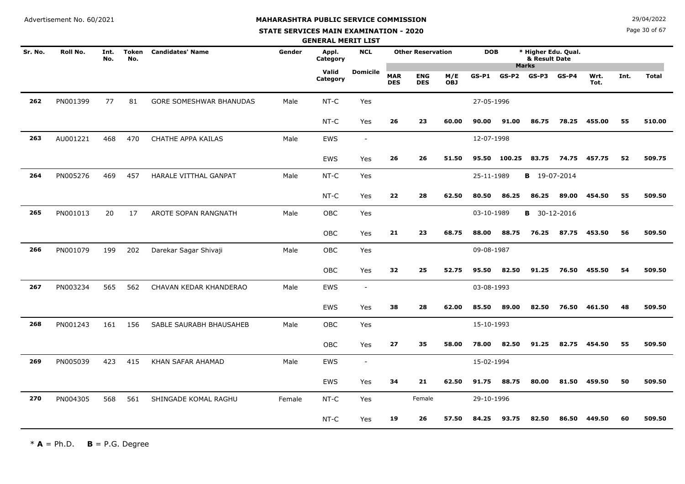**STATE SERVICES MAIN EXAMINATION - 2020**

**N**  $29/04/2022$ 

Page 30 of 67

|         |          |             |              |                         |        | <b>GENERAL MERIT LIST</b> |                 |                          |                          |                   |            |        |                                                      |         |              |      |              |
|---------|----------|-------------|--------------|-------------------------|--------|---------------------------|-----------------|--------------------------|--------------------------|-------------------|------------|--------|------------------------------------------------------|---------|--------------|------|--------------|
| Sr. No. | Roll No. | Int.<br>No. | Token<br>No. | <b>Candidates' Name</b> | Gender | Appl.<br>Category         | <b>NCL</b>      |                          | <b>Other Reservation</b> |                   | <b>DOB</b> |        | * Higher Edu. Qual.<br>& Result Date<br><b>Marks</b> |         |              |      |              |
|         |          |             |              |                         |        | Valid<br>Category         | <b>Domicile</b> | <b>MAR</b><br><b>DES</b> | <b>ENG</b><br><b>DES</b> | M/E<br><b>OBJ</b> | GS-P1      | GS-P2  | GS-P3                                                | $GS-P4$ | Wrt.<br>Tot. | Int. | <b>Total</b> |
| 262     | PN001399 | 77          | 81           | GORE SOMESHWAR BHANUDAS | Male   | NT-C                      | Yes             |                          |                          |                   | 27-05-1996 |        |                                                      |         |              |      |              |
|         |          |             |              |                         |        | $NT-C$                    | Yes             | 26                       | 23                       | 60.00             | 90.00      | 91.00  | 86.75                                                | 78.25   | 455.00       | 55   | 510.00       |
| 263     | AU001221 | 468         | 470          | CHATHE APPA KAILAS      | Male   | EWS                       | $\blacksquare$  |                          |                          |                   | 12-07-1998 |        |                                                      |         |              |      |              |
|         |          |             |              |                         |        | EWS                       | Yes             | 26                       | 26                       | 51.50             | 95.50      | 100.25 | 83.75                                                | 74.75   | 457.75       | 52   | 509.75       |
| 264     | PN005276 | 469         | 457          | HARALE VITTHAL GANPAT   | Male   | NT-C                      | Yes             |                          |                          |                   | 25-11-1989 |        | <b>B</b> 19-07-2014                                  |         |              |      |              |
|         |          |             |              |                         |        | NT-C                      | Yes             | 22                       | 28                       | 62.50             | 80.50      | 86.25  | 86.25                                                | 89.00   | 454.50       | 55   | 509.50       |
| 265     | PN001013 | 20          | 17           | AROTE SOPAN RANGNATH    | Male   | OBC                       | Yes             |                          |                          |                   | 03-10-1989 |        | <b>B</b> 30-12-2016                                  |         |              |      |              |
|         |          |             |              |                         |        | OBC                       | Yes             | 21                       | 23                       | 68.75             | 88.00      | 88.75  | 76.25                                                | 87.75   | 453.50       | 56   | 509.50       |
| 266     | PN001079 | 199         | 202          | Darekar Sagar Shivaji   | Male   | OBC                       | Yes             |                          |                          |                   | 09-08-1987 |        |                                                      |         |              |      |              |
|         |          |             |              |                         |        | OBC                       | Yes             | 32                       | 25                       | 52.75             | 95.50      | 82.50  | 91.25                                                | 76.50   | 455.50       | 54   | 509.50       |
| 267     | PN003234 | 565         | 562          | CHAVAN KEDAR KHANDERAO  | Male   | EWS                       | $\sim$          |                          |                          |                   | 03-08-1993 |        |                                                      |         |              |      |              |
|         |          |             |              |                         |        | EWS                       | Yes             | 38                       | 28                       | 62.00             | 85.50      | 89.00  | 82.50                                                | 76.50   | 461.50       | 48   | 509.50       |
| 268     | PN001243 | 161         | 156          | SABLE SAURABH BHAUSAHEB | Male   | OBC                       | Yes             |                          |                          |                   | 15-10-1993 |        |                                                      |         |              |      |              |
|         |          |             |              |                         |        | <b>OBC</b>                | Yes             | 27                       | 35                       | 58.00             | 78.00      | 82.50  | 91.25                                                | 82.75   | 454.50       | 55   | 509.50       |
| 269     | PN005039 | 423         | 415          | KHAN SAFAR AHAMAD       | Male   | EWS                       | $\sim$          |                          |                          |                   | 15-02-1994 |        |                                                      |         |              |      |              |
|         |          |             |              |                         |        | EWS                       | Yes             | 34                       | 21                       | 62.50             | 91.75      | 88.75  | 80.00                                                | 81.50   | 459.50       | 50   | 509.50       |
| 270     | PN004305 | 568         | 561          | SHINGADE KOMAL RAGHU    | Female | NT-C                      | Yes             |                          | Female                   |                   | 29-10-1996 |        |                                                      |         |              |      |              |
|         |          |             |              |                         |        | NT-C                      | Yes             | 19                       | 26                       | 57.50             | 84.25      | 93.75  | 82.50                                                | 86.50   | 449.50       | 60   | 509.50       |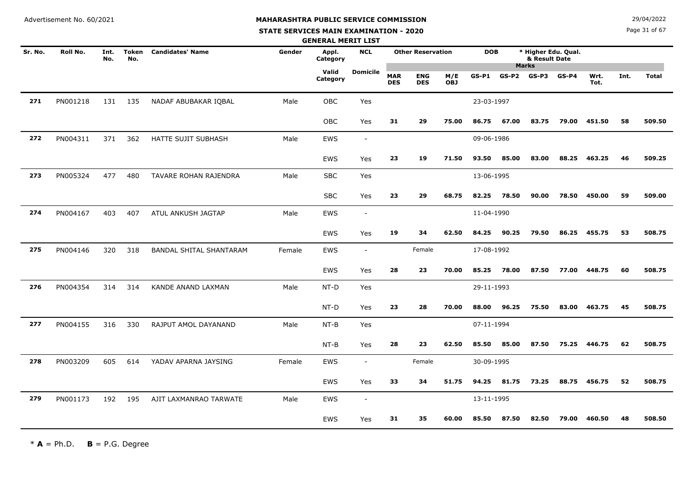**STATE SERVICES MAIN EXAMINATION - 2020**

**N**  $29/04/2022$ 

Page 31 of 67

|         |          |             |              |                         |        | <b>GENERAL MERIT LIST</b> |                          |                          |                          |                   |            |       |                                                      |         |              |      |              |
|---------|----------|-------------|--------------|-------------------------|--------|---------------------------|--------------------------|--------------------------|--------------------------|-------------------|------------|-------|------------------------------------------------------|---------|--------------|------|--------------|
| Sr. No. | Roll No. | Int.<br>No. | Token<br>No. | <b>Candidates' Name</b> | Gender | Appl.<br>Category         | <b>NCL</b>               |                          | <b>Other Reservation</b> |                   | <b>DOB</b> |       | * Higher Edu. Qual.<br>& Result Date<br><b>Marks</b> |         |              |      |              |
|         |          |             |              |                         |        | Valid<br>Category         | <b>Domicile</b>          | <b>MAR</b><br><b>DES</b> | <b>ENG</b><br><b>DES</b> | M/E<br><b>OBJ</b> | $GS-P1$    | GS-P2 | GS-P3                                                | $GS-P4$ | Wrt.<br>Tot. | Int. | <b>Total</b> |
| 271     | PN001218 | 131         | 135          | NADAF ABUBAKAR IQBAL    | Male   | OBC                       | Yes                      |                          |                          |                   | 23-03-1997 |       |                                                      |         |              |      |              |
|         |          |             |              |                         |        | OBC                       | Yes                      | 31                       | 29                       | 75.00             | 86.75      | 67.00 | 83.75                                                | 79.00   | 451.50       | 58   | 509.50       |
| 272     | PN004311 | 371         | 362          | HATTE SUJIT SUBHASH     | Male   | EWS                       | $\overline{\phantom{a}}$ |                          |                          |                   | 09-06-1986 |       |                                                      |         |              |      |              |
|         |          |             |              |                         |        | <b>EWS</b>                | Yes                      | 23                       | 19                       | 71.50             | 93.50      | 85.00 | 83.00                                                | 88.25   | 463.25       | 46   | 509.25       |
| 273     | PN005324 | 477         | 480          | TAVARE ROHAN RAJENDRA   | Male   | <b>SBC</b>                | Yes                      |                          |                          |                   | 13-06-1995 |       |                                                      |         |              |      |              |
|         |          |             |              |                         |        | <b>SBC</b>                | Yes                      | 23                       | 29                       | 68.75             | 82.25      | 78.50 | 90.00                                                | 78.50   | 450.00       | 59   | 509.00       |
| 274     | PN004167 | 403         | 407          | ATUL ANKUSH JAGTAP      | Male   | <b>EWS</b>                | $\overline{\phantom{a}}$ |                          |                          |                   | 11-04-1990 |       |                                                      |         |              |      |              |
|         |          |             |              |                         |        | <b>EWS</b>                | Yes                      | 19                       | 34                       | 62.50             | 84.25      | 90.25 | 79.50                                                | 86.25   | 455.75       | 53   | 508.75       |
| 275     | PN004146 | 320         | 318          | BANDAL SHITAL SHANTARAM | Female | <b>EWS</b>                | $\overline{\phantom{a}}$ |                          | Female                   |                   | 17-08-1992 |       |                                                      |         |              |      |              |
|         |          |             |              |                         |        | EWS                       | Yes                      | 28                       | 23                       | 70.00             | 85.25      | 78.00 | 87.50                                                | 77.00   | 448.75       | 60   | 508.75       |
| 276     | PN004354 | 314         | 314          | KANDE ANAND LAXMAN      | Male   | NT-D                      | Yes                      |                          |                          |                   | 29-11-1993 |       |                                                      |         |              |      |              |
|         |          |             |              |                         |        | NT-D                      | Yes                      | 23                       | 28                       | 70.00             | 88.00      | 96.25 | 75.50                                                | 83.00   | 463.75       | 45   | 508.75       |
| 277     | PN004155 | 316         | 330          | RAJPUT AMOL DAYANAND    | Male   | $NT-B$                    | Yes                      |                          |                          |                   | 07-11-1994 |       |                                                      |         |              |      |              |
|         |          |             |              |                         |        | $NT-B$                    | Yes                      | 28                       | 23                       | 62.50             | 85.50      | 85.00 | 87.50                                                | 75.25   | 446.75       | 62   | 508.75       |
| 278     | PN003209 | 605         | 614          | YADAV APARNA JAYSING    | Female | <b>EWS</b>                | $\blacksquare$           |                          | Female                   |                   | 30-09-1995 |       |                                                      |         |              |      |              |
|         |          |             |              |                         |        | <b>EWS</b>                | Yes                      | 33                       | 34                       | 51.75             | 94.25      | 81.75 | 73.25                                                | 88.75   | 456.75       | 52   | 508.75       |
| 279     | PN001173 | 192         | 195          | AJIT LAXMANRAO TARWATE  | Male   | <b>EWS</b>                | $\blacksquare$           |                          |                          |                   | 13-11-1995 |       |                                                      |         |              |      |              |
|         |          |             |              |                         |        | EWS                       | Yes                      | 31                       | 35                       | 60.00             | 85.50      | 87.50 | 82.50                                                | 79.00   | 460.50       | 48   | 508.50       |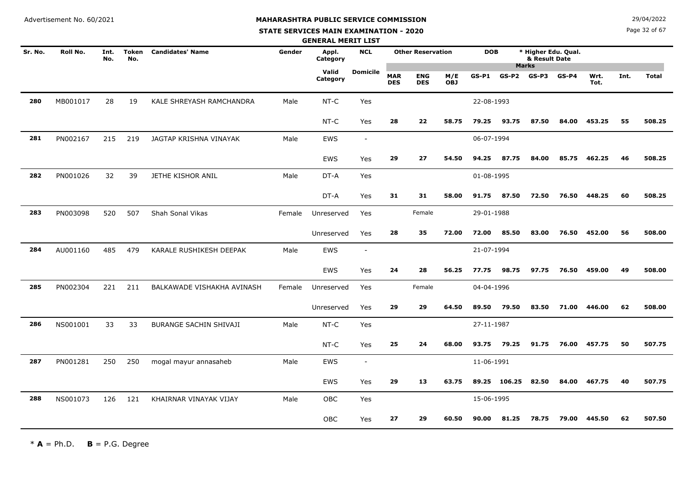**STATE SERVICES MAIN EXAMINATION - 2020**

Page 32 of 67

|         |          |             |                     |                            |        | <b>GENERAL MERIT LIST</b> |                          |                          |                          |                   |            |              |                       |                     |              |      |              |
|---------|----------|-------------|---------------------|----------------------------|--------|---------------------------|--------------------------|--------------------------|--------------------------|-------------------|------------|--------------|-----------------------|---------------------|--------------|------|--------------|
| Sr. No. | Roll No. | Int.<br>No. | <b>Token</b><br>No. | <b>Candidates' Name</b>    | Gender | Appl.<br>Category         | <b>NCL</b>               |                          | <b>Other Reservation</b> |                   | <b>DOB</b> |              | & Result Date         | * Higher Edu. Qual. |              |      |              |
|         |          |             |                     |                            |        | Valid<br>Category         | <b>Domicile</b>          | <b>MAR</b><br><b>DES</b> | <b>ENG</b><br><b>DES</b> | M/E<br><b>OBJ</b> | $GS-P1$    | $GS-P2$      | <b>Marks</b><br>GS-P3 | $GS-P4$             | Wrt.<br>Tot. | Int. | <b>Total</b> |
| 280     | MB001017 | 28          | 19                  | KALE SHREYASH RAMCHANDRA   | Male   | $NT-C$                    | Yes                      |                          |                          |                   | 22-08-1993 |              |                       |                     |              |      |              |
|         |          |             |                     |                            |        | $NT-C$                    | Yes                      | 28                       | 22                       | 58.75             | 79.25      | 93.75        | 87.50                 | 84.00               | 453.25       | 55   | 508.25       |
| 281     | PN002167 | 215         | 219                 | JAGTAP KRISHNA VINAYAK     | Male   | <b>EWS</b>                | $\overline{\phantom{a}}$ |                          |                          |                   | 06-07-1994 |              |                       |                     |              |      |              |
|         |          |             |                     |                            |        | EWS                       | Yes                      | 29                       | 27                       | 54.50             | 94.25      | 87.75        | 84.00                 | 85.75               | 462.25       | 46   | 508.25       |
| 282     | PN001026 | 32          | 39                  | JETHE KISHOR ANIL          | Male   | DT-A                      | Yes                      |                          |                          |                   | 01-08-1995 |              |                       |                     |              |      |              |
|         |          |             |                     |                            |        | DT-A                      | Yes                      | 31                       | 31                       | 58.00             | 91.75      | 87.50        | 72.50                 | 76.50               | 448.25       | 60   | 508.25       |
| 283     | PN003098 | 520         | 507                 | Shah Sonal Vikas           | Female | Unreserved                | Yes                      |                          | Female                   |                   | 29-01-1988 |              |                       |                     |              |      |              |
|         |          |             |                     |                            |        | Unreserved                | Yes                      | 28                       | 35                       | 72.00             | 72.00      | 85.50        | 83.00                 | 76.50               | 452.00       | 56   | 508.00       |
| 284     | AU001160 | 485         | 479                 | KARALE RUSHIKESH DEEPAK    | Male   | <b>EWS</b>                | $\overline{\phantom{a}}$ |                          |                          |                   | 21-07-1994 |              |                       |                     |              |      |              |
|         |          |             |                     |                            |        | EWS                       | Yes                      | 24                       | 28                       | 56.25             | 77.75      | 98.75        | 97.75                 | 76.50               | 459.00       | 49   | 508.00       |
| 285     | PN002304 | 221         | 211                 | BALKAWADE VISHAKHA AVINASH | Female | Unreserved                | Yes                      |                          | Female                   |                   | 04-04-1996 |              |                       |                     |              |      |              |
|         |          |             |                     |                            |        | Unreserved                | Yes                      | 29                       | 29                       | 64.50             | 89.50      | 79.50        | 83.50                 | 71.00               | 446.00       | 62   | 508.00       |
| 286     | NS001001 | 33          | 33                  | BURANGE SACHIN SHIVAJI     | Male   | NT-C                      | Yes                      |                          |                          |                   | 27-11-1987 |              |                       |                     |              |      |              |
|         |          |             |                     |                            |        | NT-C                      | Yes                      | 25                       | 24                       | 68.00             | 93.75      | 79.25        | 91.75                 | 76.00               | 457.75       | 50   | 507.75       |
| 287     | PN001281 | 250         | 250                 | mogal mayur annasaheb      | Male   | <b>EWS</b>                | $\overline{\phantom{a}}$ |                          |                          |                   | 11-06-1991 |              |                       |                     |              |      |              |
|         |          |             |                     |                            |        | <b>EWS</b>                | Yes                      | 29                       | 13                       | 63.75             |            | 89.25 106.25 | 82.50                 | 84.00               | 467.75       | 40   | 507.75       |
| 288     | NS001073 | 126         | 121                 | KHAIRNAR VINAYAK VIJAY     | Male   | OBC                       | Yes                      |                          |                          |                   | 15-06-1995 |              |                       |                     |              |      |              |
|         |          |             |                     |                            |        | <b>OBC</b>                | Yes                      | 27                       | 29                       | 60.50             | 90.00      | 81.25        | 78.75                 | 79.00               | 445.50       | 62   | 507.50       |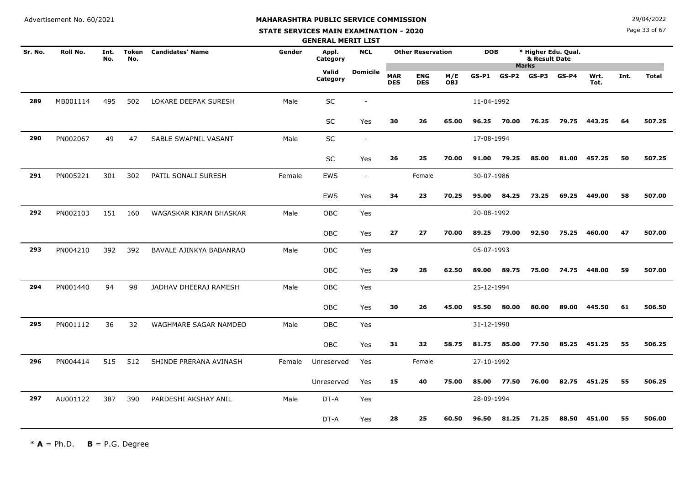# **MAHARASHTRA PUBLIC SERVICE COMMISSION**

#### **STATE SERVICES MAIN EXAMINATION - 2020**

**N**  $29/04/2022$ 

Page 33 of 67

|         |          |             |              |                         |        | <b>GENERAL MERIT LIST</b> |                          |                          |                          |                   |            |       |                                                      |         |              |      |              |
|---------|----------|-------------|--------------|-------------------------|--------|---------------------------|--------------------------|--------------------------|--------------------------|-------------------|------------|-------|------------------------------------------------------|---------|--------------|------|--------------|
| Sr. No. | Roll No. | Int.<br>No. | Token<br>No. | <b>Candidates' Name</b> | Gender | Appl.<br>Category         | <b>NCL</b>               |                          | <b>Other Reservation</b> |                   | <b>DOB</b> |       | * Higher Edu. Qual.<br>& Result Date<br><b>Marks</b> |         |              |      |              |
|         |          |             |              |                         |        | Valid<br>Category         | <b>Domicile</b>          | <b>MAR</b><br><b>DES</b> | <b>ENG</b><br><b>DES</b> | M/E<br><b>OBJ</b> | GS-P1      | GS-P2 | GS-P3                                                | $GS-P4$ | Wrt.<br>Tot. | Int. | <b>Total</b> |
| 289     | MB001114 | 495         | 502          | LOKARE DEEPAK SURESH    | Male   | SC                        | $\overline{\phantom{a}}$ |                          |                          |                   | 11-04-1992 |       |                                                      |         |              |      |              |
|         |          |             |              |                         |        | <b>SC</b>                 | Yes                      | 30                       | 26                       | 65.00             | 96.25      | 70.00 | 76.25                                                | 79.75   | 443.25       | 64   | 507.25       |
| 290     | PN002067 | 49          | 47           | SABLE SWAPNIL VASANT    | Male   | SC                        | $\blacksquare$           |                          |                          |                   | 17-08-1994 |       |                                                      |         |              |      |              |
|         |          |             |              |                         |        | SC                        | Yes                      | 26                       | 25                       | 70.00             | 91.00      | 79.25 | 85.00                                                | 81.00   | 457.25       | 50   | 507.25       |
| 291     | PN005221 | 301         | 302          | PATIL SONALI SURESH     | Female | EWS                       | $\sim$                   |                          | Female                   |                   | 30-07-1986 |       |                                                      |         |              |      |              |
|         |          |             |              |                         |        | <b>EWS</b>                | Yes                      | 34                       | 23                       | 70.25             | 95.00      | 84.25 | 73.25                                                | 69.25   | 449.00       | 58   | 507.00       |
| 292     | PN002103 | 151         | 160          | WAGASKAR KIRAN BHASKAR  | Male   | OBC                       | Yes                      |                          |                          |                   | 20-08-1992 |       |                                                      |         |              |      |              |
|         |          |             |              |                         |        | <b>OBC</b>                | Yes                      | 27                       | 27                       | 70.00             | 89.25      | 79.00 | 92.50                                                | 75.25   | 460.00       | 47   | 507.00       |
| 293     | PN004210 | 392         | 392          | BAVALE AJINKYA BABANRAO | Male   | <b>OBC</b>                | Yes                      |                          |                          |                   | 05-07-1993 |       |                                                      |         |              |      |              |
|         |          |             |              |                         |        | OBC                       | Yes                      | 29                       | 28                       | 62.50             | 89.00      | 89.75 | 75.00                                                | 74.75   | 448.00       | 59   | 507.00       |
| 294     | PN001440 | 94          | 98           | JADHAV DHEERAJ RAMESH   | Male   | <b>OBC</b>                | Yes                      |                          |                          |                   | 25-12-1994 |       |                                                      |         |              |      |              |
|         |          |             |              |                         |        | <b>OBC</b>                | Yes                      | 30                       | 26                       | 45.00             | 95.50      | 80.00 | 80.00                                                | 89.00   | 445.50       | 61   | 506.50       |
| 295     | PN001112 | 36          | 32           | WAGHMARE SAGAR NAMDEO   | Male   | <b>OBC</b>                | Yes                      |                          |                          |                   | 31-12-1990 |       |                                                      |         |              |      |              |
|         |          |             |              |                         |        | <b>OBC</b>                | Yes                      | 31                       | 32                       | 58.75             | 81.75      | 85.00 | 77.50                                                | 85.25   | 451.25       | 55   | 506.25       |
| 296     | PN004414 | 515         | 512          | SHINDE PRERANA AVINASH  | Female | Unreserved                | Yes                      |                          | Female                   |                   | 27-10-1992 |       |                                                      |         |              |      |              |
|         |          |             |              |                         |        | Unreserved                | Yes                      | 15                       | 40                       | 75.00             | 85.00      | 77.50 | 76.00                                                | 82.75   | 451.25       | 55   | 506.25       |
| 297     | AU001122 | 387         | 390          | PARDESHI AKSHAY ANIL    | Male   | DT-A                      | Yes                      |                          |                          |                   | 28-09-1994 |       |                                                      |         |              |      |              |
|         |          |             |              |                         |        | DT-A                      | Yes                      | 28                       | 25                       | 60.50             | 96.50      | 81.25 | 71.25                                                | 88.50   | 451.00       | 55   | 506.00       |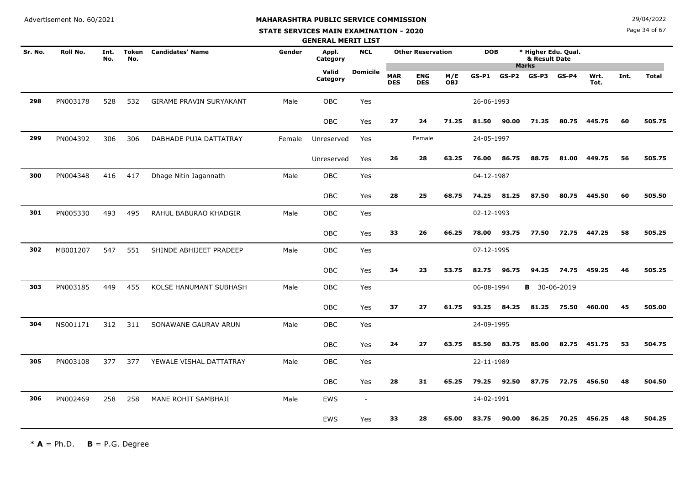#### **STATE SERVICES MAIN EXAMINATION - 2020**

**N**  $29/04/2022$ 

Page 34 of 67

|         |          |             |              |                         |        | <b>GENERAL MERIT LIST</b> |                          |                          |                          |                   |            |         |                                      |            |              |      |              |
|---------|----------|-------------|--------------|-------------------------|--------|---------------------------|--------------------------|--------------------------|--------------------------|-------------------|------------|---------|--------------------------------------|------------|--------------|------|--------------|
| Sr. No. | Roll No. | Int.<br>No. | Token<br>No. | <b>Candidates' Name</b> | Gender | Appl.<br>Category         | <b>NCL</b>               |                          | <b>Other Reservation</b> |                   | <b>DOB</b> |         | * Higher Edu. Qual.<br>& Result Date |            |              |      |              |
|         |          |             |              |                         |        | Valid<br>Category         | <b>Domicile</b>          | <b>MAR</b><br><b>DES</b> | <b>ENG</b><br><b>DES</b> | M/E<br><b>OBJ</b> | $GS-P1$    | $GS-P2$ | <b>Marks</b><br>GS-P3                | $GS-P4$    | Wrt.<br>Tot. | Int. | <b>Total</b> |
| 298     | PN003178 | 528         | 532          | GIRAME PRAVIN SURYAKANT | Male   | <b>OBC</b>                | Yes                      |                          |                          |                   | 26-06-1993 |         |                                      |            |              |      |              |
|         |          |             |              |                         |        | <b>OBC</b>                | Yes                      | 27                       | 24                       | 71.25             | 81.50      | 90.00   | 71.25                                | 80.75      | 445.75       | 60   | 505.75       |
| 299     | PN004392 | 306         | 306          | DABHADE PUJA DATTATRAY  | Female | Unreserved                | Yes                      |                          | Female                   |                   | 24-05-1997 |         |                                      |            |              |      |              |
|         |          |             |              |                         |        | Unreserved                | Yes                      | 26                       | 28                       | 63.25             | 76.00      | 86.75   | 88.75                                | 81.00      | 449.75       | 56   | 505.75       |
| 300     | PN004348 | 416         | 417          | Dhage Nitin Jagannath   | Male   | OBC                       | Yes                      |                          |                          |                   | 04-12-1987 |         |                                      |            |              |      |              |
|         |          |             |              |                         |        | OBC                       | Yes                      | 28                       | 25                       | 68.75             | 74.25      | 81.25   | 87.50                                | 80.75      | 445.50       | 60   | 505.50       |
| 301     | PN005330 | 493         | 495          | RAHUL BABURAO KHADGIR   | Male   | OBC                       | Yes                      |                          |                          |                   | 02-12-1993 |         |                                      |            |              |      |              |
|         |          |             |              |                         |        | OBC                       | Yes                      | 33                       | 26                       | 66.25             | 78.00      | 93.75   | 77.50                                | 72.75      | 447.25       | 58   | 505.25       |
| 302     | MB001207 | 547         | 551          | SHINDE ABHIJEET PRADEEP | Male   | <b>OBC</b>                | Yes                      |                          |                          |                   | 07-12-1995 |         |                                      |            |              |      |              |
|         |          |             |              |                         |        | OBC                       | Yes                      | 34                       | 23                       | 53.75             | 82.75      | 96.75   | 94.25                                | 74.75      | 459.25       | 46   | 505.25       |
| 303     | PN003185 | 449         | 455          | KOLSE HANUMANT SUBHASH  | Male   | <b>OBC</b>                | Yes                      |                          |                          |                   | 06-08-1994 |         | В                                    | 30-06-2019 |              |      |              |
|         |          |             |              |                         |        | OBC                       | Yes                      | 37                       | 27                       | 61.75             | 93.25      | 84.25   | 81.25                                | 75.50      | 460.00       | 45   | 505.00       |
| 304     | NS001171 | 312         | 311          | SONAWANE GAURAV ARUN    | Male   | OBC                       | Yes                      |                          |                          |                   | 24-09-1995 |         |                                      |            |              |      |              |
|         |          |             |              |                         |        | OBC                       | Yes                      | 24                       | 27                       | 63.75             | 85.50      | 83.75   | 85.00                                | 82.75      | 451.75       | 53   | 504.75       |
| 305     | PN003108 | 377         | 377          | YEWALE VISHAL DATTATRAY | Male   | OBC                       | Yes                      |                          |                          |                   | 22-11-1989 |         |                                      |            |              |      |              |
|         |          |             |              |                         |        | OBC                       | <b>Yes</b>               | 28                       | 31                       | 65.25             | 79.25      | 92.50   | 87.75                                | 72.75      | 456.50       | 48   | 504.50       |
| 306     | PN002469 | 258         | 258          | MANE ROHIT SAMBHAJI     | Male   | <b>EWS</b>                | $\overline{\phantom{a}}$ |                          |                          |                   | 14-02-1991 |         |                                      |            |              |      |              |
|         |          |             |              |                         |        | EWS                       | Yes                      | 33                       | 28                       | 65.00             | 83.75      | 90.00   | 86.25                                | 70.25      | 456.25       | 48   | 504.25       |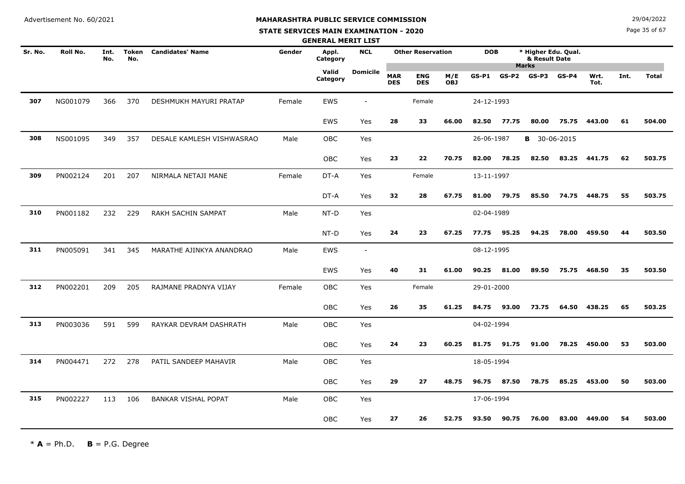**STATE SERVICES MAIN EXAMINATION - 2020**

Page 35 of 67

|         |          |             |                     |                            |        | <b>GENERAL MERIT LIST</b> |                 |                          |                          |                   |            |         |                                      |         |              |      |              |
|---------|----------|-------------|---------------------|----------------------------|--------|---------------------------|-----------------|--------------------------|--------------------------|-------------------|------------|---------|--------------------------------------|---------|--------------|------|--------------|
| Sr. No. | Roll No. | Int.<br>No. | <b>Token</b><br>No. | <b>Candidates' Name</b>    | Gender | Appl.<br>Category         | <b>NCL</b>      |                          | <b>Other Reservation</b> |                   | <b>DOB</b> |         | * Higher Edu. Qual.<br>& Result Date |         |              |      |              |
|         |          |             |                     |                            |        | Valid<br>Category         | <b>Domicile</b> | <b>MAR</b><br><b>DES</b> | <b>ENG</b><br><b>DES</b> | M/E<br><b>OBJ</b> | $GS-P1$    | $GS-P2$ | <b>Marks</b><br>GS-P3                | $GS-P4$ | Wrt.<br>Tot. | Int. | <b>Total</b> |
| 307     | NG001079 | 366         | 370                 | DESHMUKH MAYURI PRATAP     | Female | EWS                       |                 |                          | Female                   |                   | 24-12-1993 |         |                                      |         |              |      |              |
|         |          |             |                     |                            |        | <b>EWS</b>                | Yes             | 28                       | 33                       | 66.00             | 82.50      | 77.75   | 80.00                                | 75.75   | 443.00       | 61   | 504.00       |
| 308     | NS001095 | 349         | 357                 | DESALE KAMLESH VISHWASRAO  | Male   | OBC                       | Yes             |                          |                          |                   | 26-06-1987 |         | <b>B</b> 30-06-2015                  |         |              |      |              |
|         |          |             |                     |                            |        | OBC                       | Yes             | 23                       | 22                       | 70.75             | 82.00      | 78.25   | 82.50                                | 83.25   | 441.75       | 62   | 503.75       |
| 309     | PN002124 | 201         | 207                 | NIRMALA NETAJI MANE        | Female | DT-A                      | Yes             |                          | Female                   |                   | 13-11-1997 |         |                                      |         |              |      |              |
|         |          |             |                     |                            |        | DT-A                      | Yes             | 32                       | 28                       | 67.75             | 81.00      | 79.75   | 85.50                                | 74.75   | 448.75       | 55   | 503.75       |
| 310     | PN001182 | 232         | 229                 | RAKH SACHIN SAMPAT         | Male   | NT-D                      | Yes             |                          |                          |                   | 02-04-1989 |         |                                      |         |              |      |              |
|         |          |             |                     |                            |        | NT-D                      | Yes             | 24                       | 23                       | 67.25             | 77.75      | 95.25   | 94.25                                | 78.00   | 459.50       | 44   | 503.50       |
| 311     | PN005091 | 341         | 345                 | MARATHE AJINKYA ANANDRAO   | Male   | <b>EWS</b>                | $\sim$          |                          |                          |                   | 08-12-1995 |         |                                      |         |              |      |              |
|         |          |             |                     |                            |        | <b>EWS</b>                | Yes             | 40                       | 31                       | 61.00             | 90.25      | 81.00   | 89.50                                | 75.75   | 468.50       | 35   | 503.50       |
| 312     | PN002201 | 209         | 205                 | RAJMANE PRADNYA VIJAY      | Female | <b>OBC</b>                | Yes             |                          | Female                   |                   | 29-01-2000 |         |                                      |         |              |      |              |
|         |          |             |                     |                            |        | OBC                       | Yes             | 26                       | 35                       | 61.25             | 84.75      | 93.00   | 73.75                                | 64.50   | 438.25       | 65   | 503.25       |
| 313     | PN003036 | 591         | 599                 | RAYKAR DEVRAM DASHRATH     | Male   | OBC                       | Yes             |                          |                          |                   | 04-02-1994 |         |                                      |         |              |      |              |
|         |          |             |                     |                            |        | OBC                       | Yes             | 24                       | 23                       | 60.25             | 81.75      | 91.75   | 91.00                                | 78.25   | 450.00       | 53   | 503.00       |
| 314     | PN004471 | 272         | 278                 | PATIL SANDEEP MAHAVIR      | Male   | <b>OBC</b>                | Yes             |                          |                          |                   | 18-05-1994 |         |                                      |         |              |      |              |
|         |          |             |                     |                            |        | OBC                       | Yes             | 29                       | 27                       | 48.75             | 96.75      | 87.50   | 78.75                                | 85.25   | 453.00       | 50   | 503.00       |
| 315     | PN002227 | 113         | 106                 | <b>BANKAR VISHAL POPAT</b> | Male   | OBC                       | Yes             |                          |                          |                   | 17-06-1994 |         |                                      |         |              |      |              |
|         |          |             |                     |                            |        | <b>OBC</b>                | Yes             | 27                       | 26                       | 52.75             | 93.50      | 90.75   | 76.00                                | 83.00   | 449.00       | 54   | 503.00       |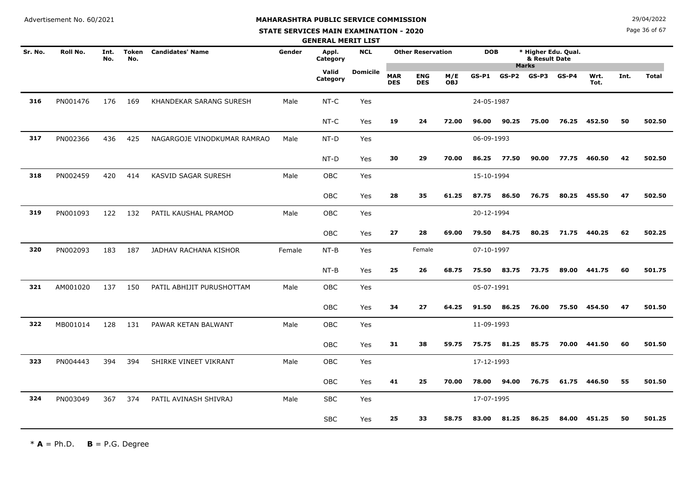#### **STATE SERVICES MAIN EXAMINATION - 2020**

**N**  $29/04/2022$ 

Page 36 of 67

|         |          |             |                     |                             |        | <b>GENERAL MERIT LIST</b> |                 |                          |                          |                   |            |                                 |                                      |         |              |      |              |
|---------|----------|-------------|---------------------|-----------------------------|--------|---------------------------|-----------------|--------------------------|--------------------------|-------------------|------------|---------------------------------|--------------------------------------|---------|--------------|------|--------------|
| Sr. No. | Roll No. | Int.<br>No. | <b>Token</b><br>No. | <b>Candidates' Name</b>     | Gender | Appl.<br>Category         | <b>NCL</b>      |                          | <b>Other Reservation</b> |                   | <b>DOB</b> |                                 | * Higher Edu. Qual.<br>& Result Date |         |              |      |              |
|         |          |             |                     |                             |        | Valid<br>Category         | <b>Domicile</b> | <b>MAR</b><br><b>DES</b> | <b>ENG</b><br><b>DES</b> | M/E<br><b>OBJ</b> | $GS-P1$    | <b>Marks</b><br>$GS-P2$ $GS-P3$ |                                      | $GS-P4$ | Wrt.<br>Tot. | Int. | <b>Total</b> |
| 316     | PN001476 | 176         | 169                 | KHANDEKAR SARANG SURESH     | Male   | $NT-C$                    | Yes             |                          |                          |                   | 24-05-1987 |                                 |                                      |         |              |      |              |
|         |          |             |                     |                             |        | $NT-C$                    | Yes             | 19                       | 24                       | 72.00             | 96.00      | 90.25                           | 75.00                                | 76.25   | 452.50       | 50   | 502.50       |
| 317     | PN002366 | 436         | 425                 | NAGARGOJE VINODKUMAR RAMRAO | Male   | NT-D                      | Yes             |                          |                          |                   | 06-09-1993 |                                 |                                      |         |              |      |              |
|         |          |             |                     |                             |        | NT-D                      | Yes             | 30                       | 29                       | 70.00             | 86.25      | 77.50                           | 90.00                                | 77.75   | 460.50       | 42   | 502.50       |
| 318     | PN002459 | 420         | 414                 | KASVID SAGAR SURESH         | Male   | OBC                       | Yes             |                          |                          |                   | 15-10-1994 |                                 |                                      |         |              |      |              |
|         |          |             |                     |                             |        | OBC                       | Yes             | 28                       | 35                       | 61.25             | 87.75      | 86.50                           | 76.75                                | 80.25   | 455.50       | 47   | 502.50       |
| 319     | PN001093 | 122         | 132                 | PATIL KAUSHAL PRAMOD        | Male   | OBC                       | Yes             |                          |                          |                   | 20-12-1994 |                                 |                                      |         |              |      |              |
|         |          |             |                     |                             |        | OBC                       | Yes             | 27                       | 28                       | 69.00             | 79.50      | 84.75                           | 80.25                                | 71.75   | 440.25       | 62   | 502.25       |
| 320     | PN002093 | 183         | 187                 | JADHAV RACHANA KISHOR       | Female | $NT-B$                    | Yes             |                          | Female                   |                   | 07-10-1997 |                                 |                                      |         |              |      |              |
|         |          |             |                     |                             |        | $NT-B$                    | Yes             | 25                       | 26                       | 68.75             | 75.50      | 83.75                           | 73.75                                | 89.00   | 441.75       | 60   | 501.75       |
| 321     | AM001020 | 137         | 150                 | PATIL ABHIJIT PURUSHOTTAM   | Male   | OBC                       | Yes             |                          |                          |                   | 05-07-1991 |                                 |                                      |         |              |      |              |
|         |          |             |                     |                             |        | OBC                       | Yes             | 34                       | 27                       | 64.25             | 91.50      | 86.25                           | 76.00                                | 75.50   | 454.50       | 47   | 501.50       |
| 322     | MB001014 | 128         | 131                 | PAWAR KETAN BALWANT         | Male   | OBC                       | Yes             |                          |                          |                   | 11-09-1993 |                                 |                                      |         |              |      |              |
|         |          |             |                     |                             |        | OBC                       | Yes             | 31                       | 38                       | 59.75             | 75.75      | 81.25                           | 85.75                                | 70.00   | 441.50       | 60   | 501.50       |
| 323     | PN004443 | 394         | 394                 | SHIRKE VINEET VIKRANT       | Male   | OBC                       | Yes             |                          |                          |                   | 17-12-1993 |                                 |                                      |         |              |      |              |
|         |          |             |                     |                             |        | OBC                       | Yes             | 41                       | 25                       | 70.00             | 78.00      | 94.00                           | 76.75                                | 61.75   | 446.50       | 55   | 501.50       |
| 324     | PN003049 | 367         | 374                 | PATIL AVINASH SHIVRAJ       | Male   | <b>SBC</b>                | Yes             |                          |                          |                   | 17-07-1995 |                                 |                                      |         |              |      |              |
|         |          |             |                     |                             |        | <b>SBC</b>                | Yes             | 25                       | 33                       | 58.75             | 83.00      | 81.25                           | 86.25                                | 84.00   | 451.25       | 50   | 501.25       |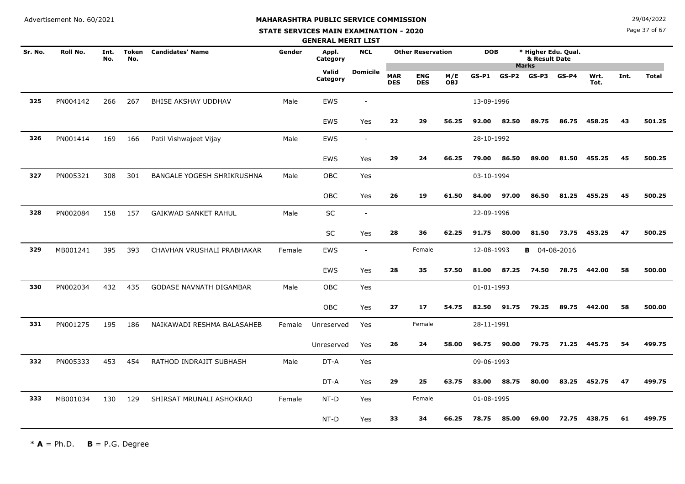**STATE SERVICES MAIN EXAMINATION - 2020**

**N**  $29/04/2022$ 

Page 37 of 67

|         |          |             |                     |                                   |        | <b>GENERAL MERIT LIST</b> |                          |                          |                          |                   |            |       |                                      |         |              |      |              |
|---------|----------|-------------|---------------------|-----------------------------------|--------|---------------------------|--------------------------|--------------------------|--------------------------|-------------------|------------|-------|--------------------------------------|---------|--------------|------|--------------|
| Sr. No. | Roll No. | Int.<br>No. | <b>Token</b><br>No. | <b>Candidates' Name</b>           | Gender | Appl.<br>Category         | <b>NCL</b>               |                          | <b>Other Reservation</b> |                   | <b>DOB</b> |       | * Higher Edu. Qual.<br>& Result Date |         |              |      |              |
|         |          |             |                     |                                   |        | Valid<br>Category         | <b>Domicile</b>          | <b>MAR</b><br><b>DES</b> | <b>ENG</b><br><b>DES</b> | M/E<br><b>OBJ</b> | $GS-P1$    |       | <b>Marks</b><br>$GS-P2$ $GS-P3$      | $GS-P4$ | Wrt.<br>Tot. | Int. | <b>Total</b> |
| 325     | PN004142 | 266         | 267                 | BHISE AKSHAY UDDHAV               | Male   | <b>EWS</b>                |                          |                          |                          |                   | 13-09-1996 |       |                                      |         |              |      |              |
|         |          |             |                     |                                   |        | EWS                       | Yes                      | 22                       | 29                       | 56.25             | 92.00      | 82.50 | 89.75                                | 86.75   | 458.25       | 43   | 501.25       |
| 326     | PN001414 | 169         | 166                 | Patil Vishwajeet Vijay            | Male   | <b>EWS</b>                | $\overline{\phantom{a}}$ |                          |                          |                   | 28-10-1992 |       |                                      |         |              |      |              |
|         |          |             |                     |                                   |        | EWS                       | Yes                      | 29                       | 24                       | 66.25             | 79.00      | 86.50 | 89.00                                | 81.50   | 455.25       | 45   | 500.25       |
| 327     | PN005321 | 308         | 301                 | <b>BANGALE YOGESH SHRIKRUSHNA</b> | Male   | OBC                       | Yes                      |                          |                          |                   | 03-10-1994 |       |                                      |         |              |      |              |
|         |          |             |                     |                                   |        | <b>OBC</b>                | Yes                      | 26                       | 19                       | 61.50             | 84.00      | 97.00 | 86.50                                | 81.25   | 455.25       | 45   | 500.25       |
| 328     | PN002084 | 158         | 157                 | GAIKWAD SANKET RAHUL              | Male   | SC                        | $\overline{\phantom{a}}$ |                          |                          |                   | 22-09-1996 |       |                                      |         |              |      |              |
|         |          |             |                     |                                   |        | SC                        | Yes                      | 28                       | 36                       | 62.25             | 91.75      | 80.00 | 81.50                                | 73.75   | 453.25       | 47   | 500.25       |
| 329     | MB001241 | 395         | 393                 | CHAVHAN VRUSHALI PRABHAKAR        | Female | <b>EWS</b>                | $\sim$                   |                          | Female                   |                   | 12-08-1993 |       | <b>B</b> 04-08-2016                  |         |              |      |              |
|         |          |             |                     |                                   |        | EWS                       | Yes                      | 28                       | 35                       | 57.50             | 81.00      | 87.25 | 74.50                                | 78.75   | 442.00       | 58   | 500.00       |
| 330     | PN002034 | 432         | 435                 | <b>GODASE NAVNATH DIGAMBAR</b>    | Male   | <b>OBC</b>                | Yes                      |                          |                          |                   | 01-01-1993 |       |                                      |         |              |      |              |
|         |          |             |                     |                                   |        | OBC                       | Yes                      | 27                       | 17                       | 54.75             | 82.50      | 91.75 | 79.25                                | 89.75   | 442.00       | 58   | 500.00       |
| 331     | PN001275 | 195         | 186                 | NAIKAWADI RESHMA BALASAHEB        | Female | Unreserved                | Yes                      |                          | Female                   |                   | 28-11-1991 |       |                                      |         |              |      |              |
|         |          |             |                     |                                   |        | Unreserved                | Yes                      | 26                       | 24                       | 58.00             | 96.75      | 90.00 | 79.75                                | 71.25   | 445.75       | 54   | 499.75       |
| 332     | PN005333 | 453         | 454                 | RATHOD INDRAJIT SUBHASH           | Male   | DT-A                      | Yes                      |                          |                          |                   | 09-06-1993 |       |                                      |         |              |      |              |
|         |          |             |                     |                                   |        | DT-A                      | Yes                      | 29                       | 25                       | 63.75             | 83.00      | 88.75 | 80.00                                | 83.25   | 452.75       | 47   | 499.75       |
| 333     | MB001034 | 130         | 129                 | SHIRSAT MRUNALI ASHOKRAO          | Female | NT-D                      | Yes                      |                          | Female                   |                   | 01-08-1995 |       |                                      |         |              |      |              |
|         |          |             |                     |                                   |        | NT-D                      | Yes                      | 33                       | 34                       | 66.25             | 78.75      | 85.00 | 69.00                                | 72.75   | 438.75       | 61   | 499.75       |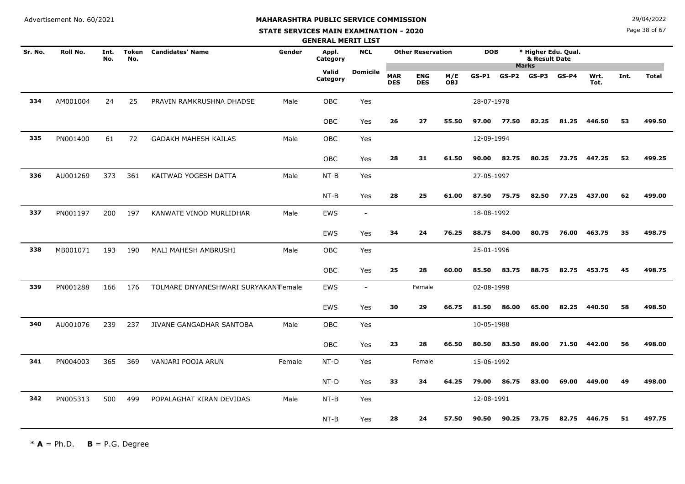#### **STATE SERVICES MAIN EXAMINATION - 2020**

**N**  $29/04/2022$ 

Page 38 of 67

|         |          |             |              |                                     |        | <b>GENERAL MERIT LIST</b> |                          |                          |                          |                   |            |       |                                                      |         |              |      |              |
|---------|----------|-------------|--------------|-------------------------------------|--------|---------------------------|--------------------------|--------------------------|--------------------------|-------------------|------------|-------|------------------------------------------------------|---------|--------------|------|--------------|
| Sr. No. | Roll No. | Int.<br>No. | Token<br>No. | <b>Candidates' Name</b>             | Gender | Appl.<br>Category         | <b>NCL</b>               |                          | <b>Other Reservation</b> |                   | <b>DOB</b> |       | * Higher Edu. Qual.<br>& Result Date<br><b>Marks</b> |         |              |      |              |
|         |          |             |              |                                     |        | Valid<br>Category         | <b>Domicile</b>          | <b>MAR</b><br><b>DES</b> | <b>ENG</b><br><b>DES</b> | M/E<br><b>OBJ</b> | $GS-P1$    | GS-P2 | GS-P3                                                | $GS-P4$ | Wrt.<br>Tot. | Int. | <b>Total</b> |
| 334     | AM001004 | 24          | 25           | PRAVIN RAMKRUSHNA DHADSE            | Male   | OBC                       | Yes                      |                          |                          |                   | 28-07-1978 |       |                                                      |         |              |      |              |
|         |          |             |              |                                     |        | OBC                       | Yes                      | 26                       | 27                       | 55.50             | 97.00      | 77.50 | 82.25                                                | 81.25   | 446.50       | 53   | 499.50       |
| 335     | PN001400 | 61          | 72           | <b>GADAKH MAHESH KAILAS</b>         | Male   | OBC                       | Yes                      |                          |                          |                   | 12-09-1994 |       |                                                      |         |              |      |              |
|         |          |             |              |                                     |        | OBC                       | Yes                      | 28                       | 31                       | 61.50             | 90.00      | 82.75 | 80.25                                                | 73.75   | 447.25       | 52   | 499.25       |
| 336     | AU001269 | 373         | 361          | KAITWAD YOGESH DATTA                | Male   | NT-B                      | Yes                      |                          |                          |                   | 27-05-1997 |       |                                                      |         |              |      |              |
|         |          |             |              |                                     |        | $NT-B$                    | Yes                      | 28                       | 25                       | 61.00             | 87.50      | 75.75 | 82.50                                                | 77.25   | 437.00       | 62   | 499.00       |
| 337     | PN001197 | 200         | 197          | KANWATE VINOD MURLIDHAR             | Male   | <b>EWS</b>                | $\overline{\phantom{a}}$ |                          |                          |                   | 18-08-1992 |       |                                                      |         |              |      |              |
|         |          |             |              |                                     |        | <b>EWS</b>                | Yes                      | 34                       | 24                       | 76.25             | 88.75      | 84.00 | 80.75                                                | 76.00   | 463.75       | 35   | 498.75       |
| 338     | MB001071 | 193         | 190          | MALI MAHESH AMBRUSHI                | Male   | OBC                       | Yes                      |                          |                          |                   | 25-01-1996 |       |                                                      |         |              |      |              |
|         |          |             |              |                                     |        | OBC                       | Yes                      | 25                       | 28                       | 60.00             | 85.50      | 83.75 | 88.75                                                | 82.75   | 453.75       | 45   | 498.75       |
| 339     | PN001288 | 166         | 176          | TOLMARE DNYANESHWARI SURYAKANTEmale |        | <b>EWS</b>                | $\overline{\phantom{a}}$ |                          | Female                   |                   | 02-08-1998 |       |                                                      |         |              |      |              |
|         |          |             |              |                                     |        | <b>EWS</b>                | Yes                      | 30                       | 29                       | 66.75             | 81.50      | 86.00 | 65.00                                                | 82.25   | 440.50       | 58   | 498.50       |
| 340     | AU001076 | 239         | 237          | JIVANE GANGADHAR SANTOBA            | Male   | OBC                       | Yes                      |                          |                          |                   | 10-05-1988 |       |                                                      |         |              |      |              |
|         |          |             |              |                                     |        | <b>OBC</b>                | Yes                      | 23                       | 28                       | 66.50             | 80.50      | 83.50 | 89.00                                                | 71.50   | 442.00       | 56   | 498.00       |
| 341     | PN004003 | 365         | 369          | VANJARI POOJA ARUN                  | Female | NT-D                      | Yes                      |                          | Female                   |                   | 15-06-1992 |       |                                                      |         |              |      |              |
|         |          |             |              |                                     |        | NT-D                      | Yes                      | 33                       | 34                       | 64.25             | 79.00      | 86.75 | 83.00                                                | 69.00   | 449.00       | 49   | 498.00       |
| 342     | PN005313 | 500         | 499          | POPALAGHAT KIRAN DEVIDAS            | Male   | $NT-B$                    | Yes                      |                          |                          |                   | 12-08-1991 |       |                                                      |         |              |      |              |
|         |          |             |              |                                     |        | $NT-B$                    | Yes                      | 28                       | 24                       | 57.50             | 90.50      | 90.25 | 73.75                                                | 82.75   | 446.75       | 51   | 497.75       |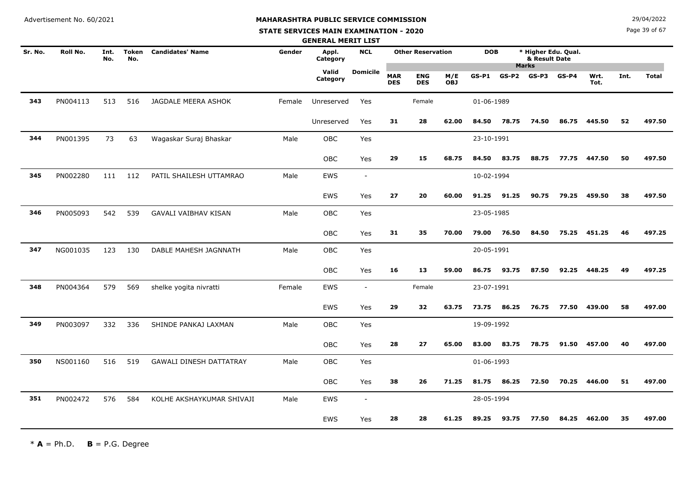#### **STATE SERVICES MAIN EXAMINATION - 2020**

**N**  $29/04/2022$ 

Page 39 of 67

|         |          |             |              |                                |        | <b>GENERAL MERIT LIST</b> |                          |                          |                          |                   |            |                 |                                                      |         |              |      |              |
|---------|----------|-------------|--------------|--------------------------------|--------|---------------------------|--------------------------|--------------------------|--------------------------|-------------------|------------|-----------------|------------------------------------------------------|---------|--------------|------|--------------|
| Sr. No. | Roll No. | Int.<br>No. | Token<br>No. | <b>Candidates' Name</b>        | Gender | Appl.<br>Category         | <b>NCL</b>               |                          | <b>Other Reservation</b> |                   | <b>DOB</b> |                 | * Higher Edu. Qual.<br>& Result Date<br><b>Marks</b> |         |              |      |              |
|         |          |             |              |                                |        | Valid<br>Category         | <b>Domicile</b>          | <b>MAR</b><br><b>DES</b> | <b>ENG</b><br><b>DES</b> | M/E<br><b>OBJ</b> | $GS-P1$    | $GS-P2$ $GS-P3$ |                                                      | $GS-P4$ | Wrt.<br>Tot. | Int. | <b>Total</b> |
| 343     | PN004113 | 513         | 516          | JAGDALE MEERA ASHOK            | Female | Unreserved                | Yes                      |                          | Female                   |                   | 01-06-1989 |                 |                                                      |         |              |      |              |
|         |          |             |              |                                |        | Unreserved                | Yes                      | 31                       | 28                       | 62.00             | 84.50      | 78.75           | 74.50                                                | 86.75   | 445.50       | 52   | 497.50       |
| 344     | PN001395 | 73          | 63           | Wagaskar Suraj Bhaskar         | Male   | OBC                       | Yes                      |                          |                          |                   | 23-10-1991 |                 |                                                      |         |              |      |              |
|         |          |             |              |                                |        | <b>OBC</b>                | Yes                      | 29                       | 15                       | 68.75             | 84.50      | 83.75           | 88.75                                                | 77.75   | 447.50       | 50   | 497.50       |
| 345     | PN002280 | 111         | 112          | PATIL SHAILESH UTTAMRAO        | Male   | <b>EWS</b>                | $\overline{\phantom{a}}$ |                          |                          |                   | 10-02-1994 |                 |                                                      |         |              |      |              |
|         |          |             |              |                                |        | <b>EWS</b>                | Yes                      | 27                       | 20                       | 60.00             | 91.25      | 91.25           | 90.75                                                | 79.25   | 459.50       | 38   | 497.50       |
| 346     | PN005093 | 542         | 539          | <b>GAVALI VAIBHAV KISAN</b>    | Male   | <b>OBC</b>                | Yes                      |                          |                          |                   | 23-05-1985 |                 |                                                      |         |              |      |              |
|         |          |             |              |                                |        | OBC                       | Yes                      | 31                       | 35                       | 70.00             | 79.00      | 76.50           | 84.50                                                | 75.25   | 451.25       | 46   | 497.25       |
| 347     | NG001035 | 123         | 130          | DABLE MAHESH JAGNNATH          | Male   | OBC                       | Yes                      |                          |                          |                   | 20-05-1991 |                 |                                                      |         |              |      |              |
|         |          |             |              |                                |        | OBC                       | Yes                      | 16                       | 13                       | 59.00             | 86.75      | 93.75           | 87.50                                                | 92.25   | 448.25       | 49   | 497.25       |
| 348     | PN004364 | 579         | 569          | shelke yogita nivratti         | Female | <b>EWS</b>                | $\sim$                   |                          | Female                   |                   | 23-07-1991 |                 |                                                      |         |              |      |              |
|         |          |             |              |                                |        | <b>EWS</b>                | Yes                      | 29                       | 32                       | 63.75             | 73.75      | 86.25           | 76.75                                                | 77.50   | 439.00       | 58   | 497.00       |
| 349     | PN003097 | 332         | 336          | SHINDE PANKAJ LAXMAN           | Male   | <b>OBC</b>                | Yes                      |                          |                          |                   | 19-09-1992 |                 |                                                      |         |              |      |              |
|         |          |             |              |                                |        | OBC                       | Yes                      | 28                       | 27                       | 65.00             | 83.00      | 83.75           | 78.75                                                | 91.50   | 457.00       | 40   | 497.00       |
| 350     | NS001160 | 516         | 519          | <b>GAWALI DINESH DATTATRAY</b> | Male   | OBC                       | Yes                      |                          |                          |                   | 01-06-1993 |                 |                                                      |         |              |      |              |
|         |          |             |              |                                |        | <b>OBC</b>                | Yes                      | 38                       | 26                       | 71.25             | 81.75      | 86.25           | 72.50                                                | 70.25   | 446.00       | 51   | 497.00       |
| 351     | PN002472 | 576         | 584          | KOLHE AKSHAYKUMAR SHIVAJI      | Male   | <b>EWS</b>                | $\overline{\phantom{a}}$ |                          |                          |                   | 28-05-1994 |                 |                                                      |         |              |      |              |
|         |          |             |              |                                |        | <b>EWS</b>                | Yes                      | 28                       | 28                       | 61.25             | 89.25      | 93.75           | 77.50                                                | 84.25   | 462.00       | 35   | 497.00       |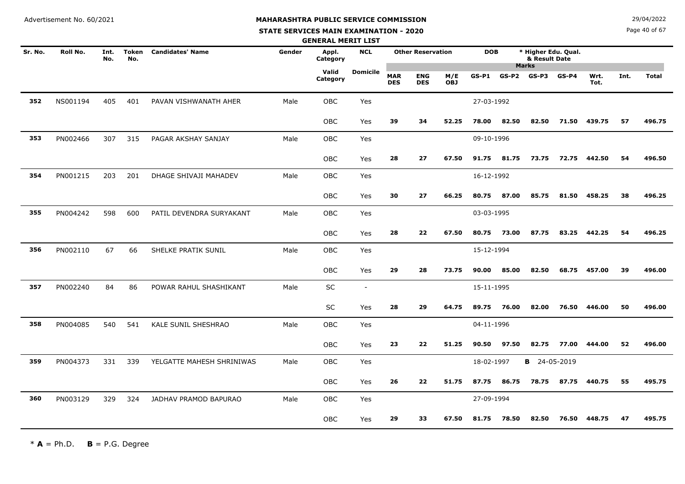#### **STATE SERVICES MAIN EXAMINATION - 2020**

**N**  $29/04/2022$ 

Page 40 of 67

|         |          |             |                     |                           |        | <b>GENERAL MERIT LIST</b> |                          |                          |                          |                   |            |         |                                                      |         |              |      |              |
|---------|----------|-------------|---------------------|---------------------------|--------|---------------------------|--------------------------|--------------------------|--------------------------|-------------------|------------|---------|------------------------------------------------------|---------|--------------|------|--------------|
| Sr. No. | Roll No. | Int.<br>No. | <b>Token</b><br>No. | <b>Candidates' Name</b>   | Gender | Appl.<br>Category         | <b>NCL</b>               |                          | <b>Other Reservation</b> |                   | <b>DOB</b> |         | * Higher Edu. Qual.<br>& Result Date<br><b>Marks</b> |         |              |      |              |
|         |          |             |                     |                           |        | Valid<br>Category         | <b>Domicile</b>          | <b>MAR</b><br><b>DES</b> | <b>ENG</b><br><b>DES</b> | M/E<br><b>OBJ</b> | $GS-P1$    | $GS-P2$ | $GS-P3$                                              | $GS-P4$ | Wrt.<br>Tot. | Int. | <b>Total</b> |
| 352     | NS001194 | 405         | 401                 | PAVAN VISHWANATH AHER     | Male   | OBC                       | Yes                      |                          |                          |                   | 27-03-1992 |         |                                                      |         |              |      |              |
|         |          |             |                     |                           |        | <b>OBC</b>                | Yes                      | 39                       | 34                       | 52.25             | 78.00      | 82.50   | 82.50                                                | 71.50   | 439.75       | 57   | 496.75       |
| 353     | PN002466 | 307         | 315                 | PAGAR AKSHAY SANJAY       | Male   | <b>OBC</b>                | Yes                      |                          |                          |                   | 09-10-1996 |         |                                                      |         |              |      |              |
|         |          |             |                     |                           |        | <b>OBC</b>                | Yes                      | 28                       | 27                       | 67.50             | 91.75      | 81.75   | 73.75                                                | 72.75   | 442.50       | 54   | 496.50       |
| 354     | PN001215 | 203         | 201                 | DHAGE SHIVAJI MAHADEV     | Male   | OBC                       | Yes                      |                          |                          |                   | 16-12-1992 |         |                                                      |         |              |      |              |
|         |          |             |                     |                           |        | OBC                       | Yes                      | 30                       | 27                       | 66.25             | 80.75      | 87.00   | 85.75                                                | 81.50   | 458.25       | 38   | 496.25       |
| 355     | PN004242 | 598         | 600                 | PATIL DEVENDRA SURYAKANT  | Male   | <b>OBC</b>                | Yes                      |                          |                          |                   | 03-03-1995 |         |                                                      |         |              |      |              |
|         |          |             |                     |                           |        | <b>OBC</b>                | Yes                      | 28                       | 22                       | 67.50             | 80.75      | 73.00   | 87.75                                                | 83.25   | 442.25       | 54   | 496.25       |
| 356     | PN002110 | 67          | 66                  | SHELKE PRATIK SUNIL       | Male   | OBC                       | Yes                      |                          |                          |                   | 15-12-1994 |         |                                                      |         |              |      |              |
|         |          |             |                     |                           |        | OBC                       | Yes                      | 29                       | 28                       | 73.75             | 90.00      | 85.00   | 82.50                                                | 68.75   | 457.00       | 39   | 496.00       |
| 357     | PN002240 | 84          | 86                  | POWAR RAHUL SHASHIKANT    | Male   | SC                        | $\overline{\phantom{a}}$ |                          |                          |                   | 15-11-1995 |         |                                                      |         |              |      |              |
|         |          |             |                     |                           |        | <b>SC</b>                 | Yes                      | 28                       | 29                       | 64.75             | 89.75      | 76.00   | 82.00                                                | 76.50   | 446.00       | 50   | 496.00       |
| 358     | PN004085 | 540         | 541                 | KALE SUNIL SHESHRAO       | Male   | OBC                       | Yes                      |                          |                          |                   | 04-11-1996 |         |                                                      |         |              |      |              |
|         |          |             |                     |                           |        | OBC                       | Yes                      | 23                       | 22                       | 51.25             | 90.50      | 97.50   | 82.75                                                | 77.00   | 444.00       | 52   | 496.00       |
| 359     | PN004373 | 331         | 339                 | YELGATTE MAHESH SHRINIWAS | Male   | <b>OBC</b>                | Yes                      |                          |                          |                   | 18-02-1997 |         | <b>B</b> 24-05-2019                                  |         |              |      |              |
|         |          |             |                     |                           |        | OBC                       | Yes                      | 26                       | 22                       | 51.75             | 87.75      | 86.75   | 78.75                                                | 87.75   | 440.75       | 55   | 495.75       |
| 360     | PN003129 | 329         | 324                 | JADHAV PRAMOD BAPURAO     | Male   | OBC                       | Yes                      |                          |                          |                   | 27-09-1994 |         |                                                      |         |              |      |              |
|         |          |             |                     |                           |        | <b>OBC</b>                | Yes                      | 29                       | 33                       | 67.50             | 81.75      | 78.50   | 82.50                                                | 76.50   | 448.75       | 47   | 495.75       |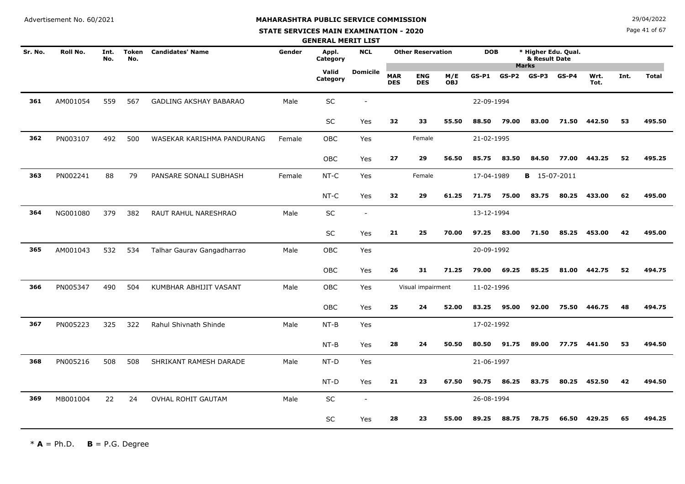#### **STATE SERVICES MAIN EXAMINATION - 2020**

**N**  $29/04/2022$ 

Page 41 of 67

|         |          |             |                     |                               |        | <b>GENERAL MERIT LIST</b> |                          |                          |                          |                   |            |       |                                      |         |              |      |              |
|---------|----------|-------------|---------------------|-------------------------------|--------|---------------------------|--------------------------|--------------------------|--------------------------|-------------------|------------|-------|--------------------------------------|---------|--------------|------|--------------|
| Sr. No. | Roll No. | Int.<br>No. | <b>Token</b><br>No. | <b>Candidates' Name</b>       | Gender | Appl.<br>Category         | <b>NCL</b>               |                          | <b>Other Reservation</b> |                   | <b>DOB</b> |       | * Higher Edu. Qual.<br>& Result Date |         |              |      |              |
|         |          |             |                     |                               |        | Valid<br>Category         | <b>Domicile</b>          | <b>MAR</b><br><b>DES</b> | <b>ENG</b><br><b>DES</b> | M/E<br><b>OBJ</b> | $GS-P1$    |       | <b>Marks</b><br>$GS-P2$ $GS-P3$      | $GS-P4$ | Wrt.<br>Tot. | Int. | <b>Total</b> |
| 361     | AM001054 | 559         | 567                 | <b>GADLING AKSHAY BABARAO</b> | Male   | $\sf SC$                  |                          |                          |                          |                   | 22-09-1994 |       |                                      |         |              |      |              |
|         |          |             |                     |                               |        | SC                        | Yes                      | 32                       | 33                       | 55.50             | 88.50      | 79.00 | 83.00                                | 71.50   | 442.50       | 53   | 495.50       |
| 362     | PN003107 | 492         | 500                 | WASEKAR KARISHMA PANDURANG    | Female | OBC                       | Yes                      |                          | Female                   |                   | 21-02-1995 |       |                                      |         |              |      |              |
|         |          |             |                     |                               |        | OBC                       | Yes                      | 27                       | 29                       | 56.50             | 85.75      | 83.50 | 84.50                                | 77.00   | 443.25       | 52   | 495.25       |
| 363     | PN002241 | 88          | 79                  | PANSARE SONALI SUBHASH        | Female | NT-C                      | Yes                      |                          | Female                   |                   | 17-04-1989 |       | <b>B</b> 15-07-2011                  |         |              |      |              |
|         |          |             |                     |                               |        | NT-C                      | Yes                      | 32                       | 29                       | 61.25             | 71.75      | 75.00 | 83.75                                | 80.25   | 433.00       | 62   | 495.00       |
| 364     | NG001080 | 379         | 382                 | RAUT RAHUL NARESHRAO          | Male   | SC                        | $\overline{\phantom{a}}$ |                          |                          |                   | 13-12-1994 |       |                                      |         |              |      |              |
|         |          |             |                     |                               |        | <b>SC</b>                 | Yes                      | 21                       | 25                       | 70.00             | 97.25      | 83.00 | 71.50                                | 85.25   | 453.00       | 42   | 495.00       |
| 365     | AM001043 | 532         | 534                 | Talhar Gaurav Gangadharrao    | Male   | <b>OBC</b>                | Yes                      |                          |                          |                   | 20-09-1992 |       |                                      |         |              |      |              |
|         |          |             |                     |                               |        | <b>OBC</b>                | Yes                      | 26                       | 31                       | 71.25             | 79.00      | 69.25 | 85.25                                | 81.00   | 442.75       | 52   | 494.75       |
| 366     | PN005347 | 490         | 504                 | KUMBHAR ABHIJIT VASANT        | Male   | OBC                       | Yes                      |                          | Visual impairment        |                   | 11-02-1996 |       |                                      |         |              |      |              |
|         |          |             |                     |                               |        | OBC                       | Yes                      | 25                       | 24                       | 52.00             | 83.25      | 95.00 | 92.00                                | 75.50   | 446.75       | 48   | 494.75       |
| 367     | PN005223 | 325         | 322                 | Rahul Shivnath Shinde         | Male   | NT-B                      | Yes                      |                          |                          |                   | 17-02-1992 |       |                                      |         |              |      |              |
|         |          |             |                     |                               |        | $NT-B$                    | Yes                      | 28                       | 24                       | 50.50             | 80.50      | 91.75 | 89.00                                | 77.75   | 441.50       | 53   | 494.50       |
| 368     | PN005216 | 508         | 508                 | SHRIKANT RAMESH DARADE        | Male   | NT-D                      | Yes                      |                          |                          |                   | 21-06-1997 |       |                                      |         |              |      |              |
|         |          |             |                     |                               |        | NT-D                      | Yes                      | 21                       | 23                       | 67.50             | 90.75      | 86.25 | 83.75                                | 80.25   | 452.50       | 42   | 494.50       |
| 369     | MB001004 | 22          | 24                  | <b>OVHAL ROHIT GAUTAM</b>     | Male   | SC                        | $\overline{\phantom{a}}$ |                          |                          |                   | 26-08-1994 |       |                                      |         |              |      |              |
|         |          |             |                     |                               |        | SC                        | Yes                      | 28                       | 23                       | 55.00             | 89.25      | 88.75 | 78.75                                | 66.50   | 429.25       | 65   | 494.25       |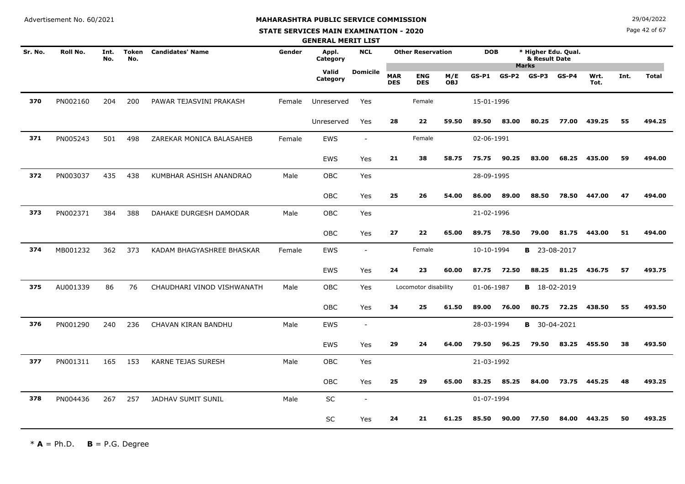# **MAHARASHTRA PUBLIC SERVICE COMMISSION**

#### **STATE SERVICES MAIN EXAMINATION - 2020**

**N**  $29/04/2022$ 

Page 42 of 67

|         |                 |             |                     |                            |        | <b>GENERAL MERIT LIST</b> |                          |                          |                          |                   |            |         |                                      |         |              |      |              |
|---------|-----------------|-------------|---------------------|----------------------------|--------|---------------------------|--------------------------|--------------------------|--------------------------|-------------------|------------|---------|--------------------------------------|---------|--------------|------|--------------|
| Sr. No. | <b>Roll No.</b> | Int.<br>No. | <b>Token</b><br>No. | <b>Candidates' Name</b>    | Gender | Appl.<br>Category         | <b>NCL</b>               |                          | <b>Other Reservation</b> |                   | <b>DOB</b> |         | * Higher Edu. Qual.<br>& Result Date |         |              |      |              |
|         |                 |             |                     |                            |        | Valid<br>Category         | Domicile                 | <b>MAR</b><br><b>DES</b> | <b>ENG</b><br><b>DES</b> | M/E<br><b>OBJ</b> | $GS-P1$    | $GS-P2$ | <b>Marks</b><br>GS-P3                | $GS-P4$ | Wrt.<br>Tot. | Int. | <b>Total</b> |
| 370     | PN002160        | 204         | 200                 | PAWAR TEJASVINI PRAKASH    | Female | Unreserved                | Yes                      |                          | Female                   |                   | 15-01-1996 |         |                                      |         |              |      |              |
|         |                 |             |                     |                            |        | Unreserved                | Yes                      | 28                       | 22                       | 59.50             | 89.50      | 83.00   | 80.25                                | 77.00   | 439.25       | 55   | 494.25       |
| 371     | PN005243        | 501         | 498                 | ZAREKAR MONICA BALASAHEB   | Female | EWS                       | $\overline{\phantom{a}}$ |                          | Female                   |                   | 02-06-1991 |         |                                      |         |              |      |              |
|         |                 |             |                     |                            |        | <b>EWS</b>                | Yes                      | 21                       | 38                       | 58.75             | 75.75      | 90.25   | 83.00                                | 68.25   | 435.00       | 59   | 494.00       |
| 372     | PN003037        | 435         | 438                 | KUMBHAR ASHISH ANANDRAO    | Male   | OBC                       | Yes                      |                          |                          |                   | 28-09-1995 |         |                                      |         |              |      |              |
|         |                 |             |                     |                            |        | <b>OBC</b>                | Yes                      | 25                       | 26                       | 54.00             | 86.00      | 89.00   | 88.50                                | 78.50   | 447.00       | 47   | 494.00       |
| 373     | PN002371        | 384         | 388                 | DAHAKE DURGESH DAMODAR     | Male   | <b>OBC</b>                | Yes                      |                          |                          |                   | 21-02-1996 |         |                                      |         |              |      |              |
|         |                 |             |                     |                            |        | <b>OBC</b>                | Yes                      | 27                       | 22                       | 65.00             | 89.75      | 78.50   | 79.00                                | 81.75   | 443.00       | 51   | 494.00       |
| 374     | MB001232        | 362         | 373                 | KADAM BHAGYASHREE BHASKAR  | Female | EWS                       | $\overline{\phantom{a}}$ |                          | Female                   |                   | 10-10-1994 |         | <b>B</b> 23-08-2017                  |         |              |      |              |
|         |                 |             |                     |                            |        | EWS                       | Yes                      | 24                       | 23                       | 60.00             | 87.75      | 72.50   | 88.25                                | 81.25   | 436.75       | 57   | 493.75       |
| 375     | AU001339        | 86          | 76                  | CHAUDHARI VINOD VISHWANATH | Male   | <b>OBC</b>                | Yes                      |                          | Locomotor disability     |                   | 01-06-1987 |         | <b>B</b> 18-02-2019                  |         |              |      |              |
|         |                 |             |                     |                            |        | OBC                       | Yes                      | 34                       | 25                       | 61.50             | 89.00      | 76.00   | 80.75                                | 72.25   | 438.50       | 55   | 493.50       |
| 376     | PN001290        | 240         | 236                 | CHAVAN KIRAN BANDHU        | Male   | EWS                       | $\sim$                   |                          |                          |                   | 28-03-1994 |         | <b>B</b> 30-04-2021                  |         |              |      |              |
|         |                 |             |                     |                            |        | EWS                       | Yes                      | 29                       | 24                       | 64.00             | 79.50      | 96.25   | 79.50                                | 83.25   | 455.50       | 38   | 493.50       |
| 377     | PN001311        | 165         | 153                 | <b>KARNE TEJAS SURESH</b>  | Male   | <b>OBC</b>                | Yes                      |                          |                          |                   | 21-03-1992 |         |                                      |         |              |      |              |
|         |                 |             |                     |                            |        | OBC                       | Yes                      | 25                       | 29                       | 65.00             | 83.25      | 85.25   | 84.00                                | 73.75   | 445.25       | 48   | 493.25       |
| 378     | PN004436        | 267         | 257                 | JADHAV SUMIT SUNIL         | Male   | <b>SC</b>                 | $\sim$                   |                          |                          |                   | 01-07-1994 |         |                                      |         |              |      |              |
|         |                 |             |                     |                            |        | <b>SC</b>                 | Yes                      | 24                       | 21                       | 61.25             | 85.50      | 90.00   | 77.50                                | 84.00   | 443.25       | 50   | 493.25       |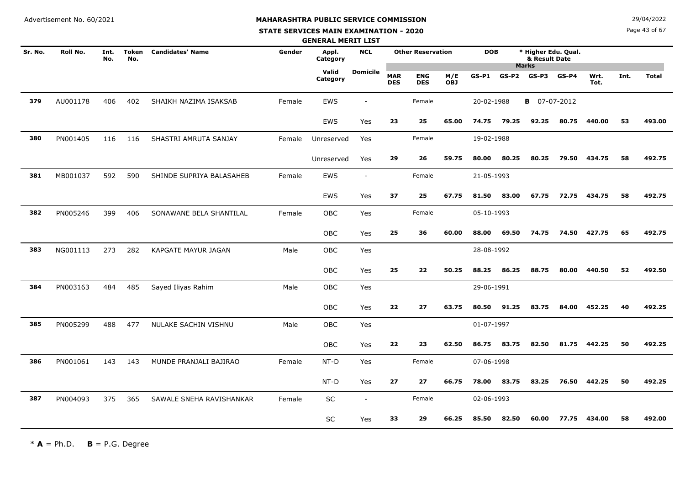# **MAHARASHTRA PUBLIC SERVICE COMMISSION**

#### **STATE SERVICES MAIN EXAMINATION - 2020**

**N**  $29/04/2022$ 

Page 43 of 67

|         |                 |             |                     |                          |        | <b>GENERAL MERIT LIST</b> |                          |                          |                          |                   |            |         |                                      |         |              |      |              |
|---------|-----------------|-------------|---------------------|--------------------------|--------|---------------------------|--------------------------|--------------------------|--------------------------|-------------------|------------|---------|--------------------------------------|---------|--------------|------|--------------|
| Sr. No. | <b>Roll No.</b> | Int.<br>No. | <b>Token</b><br>No. | <b>Candidates' Name</b>  | Gender | Appl.<br>Category         | <b>NCL</b>               |                          | <b>Other Reservation</b> |                   | <b>DOB</b> |         | * Higher Edu. Qual.<br>& Result Date |         |              |      |              |
|         |                 |             |                     |                          |        | Valid<br>Category         | <b>Domicile</b>          | <b>MAR</b><br><b>DES</b> | <b>ENG</b><br><b>DES</b> | M/E<br><b>OBJ</b> | $GS-P1$    | $GS-P2$ | <b>Marks</b><br>$GS-P3$              | $GS-P4$ | Wrt.<br>Tot. | Int. | <b>Total</b> |
| 379     | AU001178        | 406         | 402                 | SHAIKH NAZIMA ISAKSAB    | Female | <b>EWS</b>                | $\overline{\phantom{a}}$ |                          | Female                   |                   | 20-02-1988 |         | <b>B</b> 07-07-2012                  |         |              |      |              |
|         |                 |             |                     |                          |        | EWS                       | Yes                      | 23                       | 25                       | 65.00             | 74.75      | 79.25   | 92.25                                | 80.75   | 440.00       | 53   | 493.00       |
| 380     | PN001405        | 116         | 116                 | SHASTRI AMRUTA SANJAY    | Female | Unreserved                | Yes                      |                          | Female                   |                   | 19-02-1988 |         |                                      |         |              |      |              |
|         |                 |             |                     |                          |        | Unreserved                | Yes                      | 29                       | 26                       | 59.75             | 80.00      | 80.25   | 80.25                                | 79.50   | 434.75       | 58   | 492.75       |
| 381     | MB001037        | 592         | 590                 | SHINDE SUPRIYA BALASAHEB | Female | EWS                       | $\overline{\phantom{a}}$ |                          | Female                   |                   | 21-05-1993 |         |                                      |         |              |      |              |
|         |                 |             |                     |                          |        | <b>EWS</b>                | Yes                      | 37                       | 25                       | 67.75             | 81.50      | 83.00   | 67.75                                | 72.75   | 434.75       | 58   | 492.75       |
| 382     | PN005246        | 399         | 406                 | SONAWANE BELA SHANTILAL  | Female | <b>OBC</b>                | Yes                      |                          | Female                   |                   | 05-10-1993 |         |                                      |         |              |      |              |
|         |                 |             |                     |                          |        | OBC                       | Yes                      | 25                       | 36                       | 60.00             | 88.00      | 69.50   | 74.75                                | 74.50   | 427.75       | 65   | 492.75       |
| 383     | NG001113        | 273         | 282                 | KAPGATE MAYUR JAGAN      | Male   | <b>OBC</b>                | Yes                      |                          |                          |                   | 28-08-1992 |         |                                      |         |              |      |              |
|         |                 |             |                     |                          |        | <b>OBC</b>                | Yes                      | 25                       | 22                       | 50.25             | 88.25      | 86.25   | 88.75                                | 80.00   | 440.50       | 52   | 492.50       |
| 384     | PN003163        | 484         | 485                 | Sayed Iliyas Rahim       | Male   | OBC                       | Yes                      |                          |                          |                   | 29-06-1991 |         |                                      |         |              |      |              |
|         |                 |             |                     |                          |        | <b>OBC</b>                | Yes                      | 22                       | 27                       | 63.75             | 80.50      | 91.25   | 83.75                                | 84.00   | 452.25       | 40   | 492.25       |
| 385     | PN005299        | 488         | 477                 | NULAKE SACHIN VISHNU     | Male   | <b>OBC</b>                | Yes                      |                          |                          |                   | 01-07-1997 |         |                                      |         |              |      |              |
|         |                 |             |                     |                          |        | <b>OBC</b>                | Yes                      | 22                       | 23                       | 62.50             | 86.75      | 83.75   | 82.50                                |         | 81.75 442.25 | 50   | 492.25       |
| 386     | PN001061        | 143         | 143                 | MUNDE PRANJALI BAJIRAO   | Female | NT-D                      | Yes                      |                          | Female                   |                   | 07-06-1998 |         |                                      |         |              |      |              |
|         |                 |             |                     |                          |        | NT-D                      | Yes                      | 27                       | 27                       | 66.75             | 78.00      | 83.75   | 83.25                                | 76.50   | 442.25       | 50   | 492.25       |
| 387     | PN004093        | 375         | 365                 | SAWALE SNEHA RAVISHANKAR | Female | SC                        | $\blacksquare$           |                          | Female                   |                   | 02-06-1993 |         |                                      |         |              |      |              |
|         |                 |             |                     |                          |        | SC                        | Yes                      | 33                       | 29                       | 66.25             | 85.50      | 82.50   | 60.00                                | 77.75   | 434.00       | 58   | 492.00       |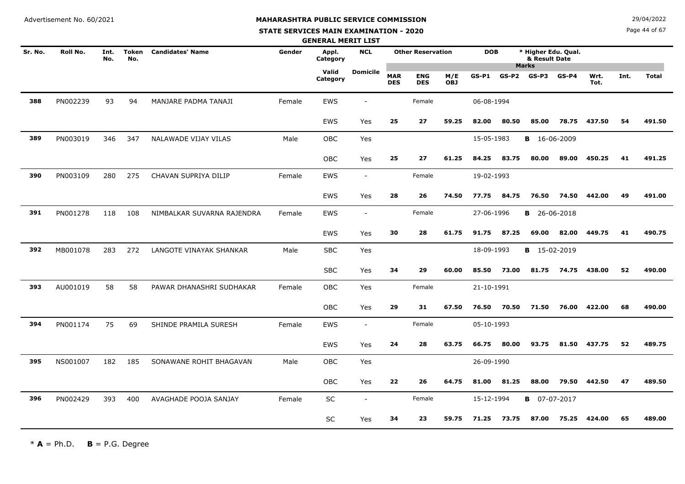#### **STATE SERVICES MAIN EXAMINATION - 2020**

**N**  $29/04/2022$ 

Page 44 of 67

|         |          |             |                     |                            |        | <b>GENERAL MERIT LIST</b> |                          |                          |                          |                   |            |         |                                                      |         |              |      |              |
|---------|----------|-------------|---------------------|----------------------------|--------|---------------------------|--------------------------|--------------------------|--------------------------|-------------------|------------|---------|------------------------------------------------------|---------|--------------|------|--------------|
| Sr. No. | Roll No. | Int.<br>No. | <b>Token</b><br>No. | <b>Candidates' Name</b>    | Gender | Appl.<br>Category         | <b>NCL</b>               |                          | <b>Other Reservation</b> |                   | <b>DOB</b> |         | * Higher Edu. Qual.<br>& Result Date<br><b>Marks</b> |         |              |      |              |
|         |          |             |                     |                            |        | Valid<br>Category         | <b>Domicile</b>          | <b>MAR</b><br><b>DES</b> | <b>ENG</b><br><b>DES</b> | M/E<br><b>OBJ</b> | $GS-P1$    | $GS-P2$ | $GS-P3$                                              | $GS-P4$ | Wrt.<br>Tot. | Int. | <b>Total</b> |
| 388     | PN002239 | 93          | 94                  | MANJARE PADMA TANAJI       | Female | <b>EWS</b>                | $\overline{\phantom{a}}$ |                          | Female                   |                   | 06-08-1994 |         |                                                      |         |              |      |              |
|         |          |             |                     |                            |        | <b>EWS</b>                | Yes                      | 25                       | 27                       | 59.25             | 82.00      | 80.50   | 85.00                                                | 78.75   | 437.50       | 54   | 491.50       |
| 389     | PN003019 | 346         | 347                 | NALAWADE VIJAY VILAS       | Male   | <b>OBC</b>                | Yes                      |                          |                          |                   | 15-05-1983 |         | <b>B</b> 16-06-2009                                  |         |              |      |              |
|         |          |             |                     |                            |        | OBC                       | Yes                      | 25                       | 27                       | 61.25             | 84.25      | 83.75   | 80.00                                                | 89.00   | 450.25       | 41   | 491.25       |
| 390     | PN003109 | 280         | 275                 | CHAVAN SUPRIYA DILIP       | Female | <b>EWS</b>                | $\sim$                   |                          | Female                   |                   | 19-02-1993 |         |                                                      |         |              |      |              |
|         |          |             |                     |                            |        | EWS                       | Yes                      | 28                       | 26                       | 74.50             | 77.75      | 84.75   | 76.50                                                | 74.50   | 442.00       | 49   | 491.00       |
| 391     | PN001278 | 118         | 108                 | NIMBALKAR SUVARNA RAJENDRA | Female | <b>EWS</b>                | $\overline{\phantom{a}}$ |                          | Female                   |                   | 27-06-1996 |         | <b>B</b> 26-06-2018                                  |         |              |      |              |
|         |          |             |                     |                            |        | <b>EWS</b>                | Yes                      | 30                       | 28                       | 61.75             | 91.75      | 87.25   | 69.00                                                | 82.00   | 449.75       | 41   | 490.75       |
| 392     | MB001078 | 283         | 272                 | LANGOTE VINAYAK SHANKAR    | Male   | <b>SBC</b>                | Yes                      |                          |                          |                   | 18-09-1993 |         | <b>B</b> 15-02-2019                                  |         |              |      |              |
|         |          |             |                     |                            |        | <b>SBC</b>                | Yes                      | 34                       | 29                       | 60.00             | 85.50      | 73.00   | 81.75                                                | 74.75   | 438.00       | 52   | 490.00       |
| 393     | AU001019 | 58          | 58                  | PAWAR DHANASHRI SUDHAKAR   | Female | OBC                       | Yes                      |                          | Female                   |                   | 21-10-1991 |         |                                                      |         |              |      |              |
|         |          |             |                     |                            |        | <b>OBC</b>                | Yes                      | 29                       | 31                       | 67.50             | 76.50      | 70.50   | 71.50                                                | 76.00   | 422.00       | 68   | 490.00       |
| 394     | PN001174 | 75          | 69                  | SHINDE PRAMILA SURESH      | Female | <b>EWS</b>                | $\sim$                   |                          | Female                   |                   | 05-10-1993 |         |                                                      |         |              |      |              |
|         |          |             |                     |                            |        | <b>EWS</b>                | Yes                      | 24                       | 28                       | 63.75             | 66.75      | 80.00   | 93.75                                                | 81.50   | 437.75       | 52   | 489.75       |
| 395     | NS001007 | 182         | 185                 | SONAWANE ROHIT BHAGAVAN    | Male   | <b>OBC</b>                | Yes                      |                          |                          |                   | 26-09-1990 |         |                                                      |         |              |      |              |
|         |          |             |                     |                            |        | OBC                       | Yes                      | 22                       | 26                       | 64.75             | 81.00      | 81.25   | 88.00                                                | 79.50   | 442.50       | 47   | 489.50       |
| 396     | PN002429 | 393         | 400                 | AVAGHADE POOJA SANJAY      | Female | SC                        | $\sim$                   |                          | Female                   |                   | 15-12-1994 |         | <b>B</b> 07-07-2017                                  |         |              |      |              |
|         |          |             |                     |                            |        | SC                        | Yes                      | 34                       | 23                       | 59.75             | 71.25      | 73.75   | 87.00                                                | 75.25   | 424.00       | 65   | 489.00       |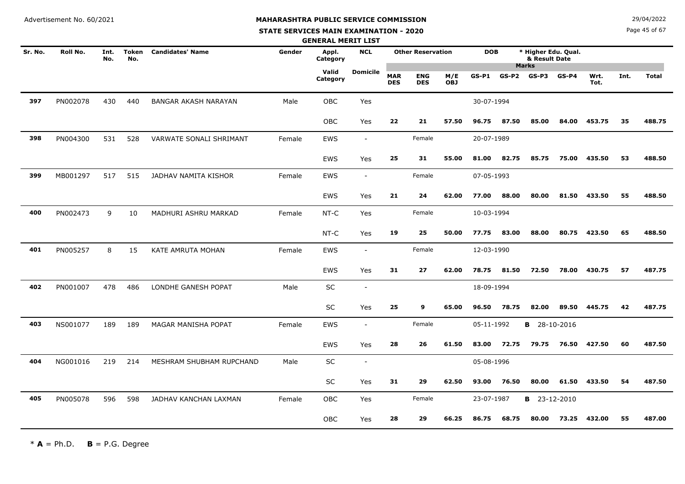#### **STATE SERVICES MAIN EXAMINATION - 2020**

**N**  $29/04/2022$ 

Page 45 of 67

|         |          |             |              |                             |        | <b>GENERAL MERIT LIST</b> |                          |                          |                          |                   |            |         |                                      |            |              |      |              |
|---------|----------|-------------|--------------|-----------------------------|--------|---------------------------|--------------------------|--------------------------|--------------------------|-------------------|------------|---------|--------------------------------------|------------|--------------|------|--------------|
| Sr. No. | Roll No. | Int.<br>No. | Token<br>No. | <b>Candidates' Name</b>     | Gender | Appl.<br>Category         | <b>NCL</b>               |                          | <b>Other Reservation</b> |                   | <b>DOB</b> |         | * Higher Edu. Qual.<br>& Result Date |            |              |      |              |
|         |          |             |              |                             |        | Valid<br>Category         | <b>Domicile</b>          | <b>MAR</b><br><b>DES</b> | <b>ENG</b><br><b>DES</b> | M/E<br><b>OBJ</b> | $GS-P1$    | $GS-P2$ | <b>Marks</b><br>GS-P3                | $GS-P4$    | Wrt.<br>Tot. | Int. | <b>Total</b> |
| 397     | PN002078 | 430         | 440          | <b>BANGAR AKASH NARAYAN</b> | Male   | <b>OBC</b>                | Yes                      |                          |                          |                   | 30-07-1994 |         |                                      |            |              |      |              |
|         |          |             |              |                             |        | <b>OBC</b>                | Yes                      | 22                       | 21                       | 57.50             | 96.75      | 87.50   | 85.00                                | 84.00      | 453.75       | 35   | 488.75       |
| 398     | PN004300 | 531         | 528          | VARWATE SONALI SHRIMANT     | Female | <b>EWS</b>                | $\overline{\phantom{a}}$ |                          | Female                   |                   | 20-07-1989 |         |                                      |            |              |      |              |
|         |          |             |              |                             |        | EWS                       | Yes                      | 25                       | 31                       | 55.00             | 81.00      | 82.75   | 85.75                                | 75.00      | 435.50       | 53   | 488.50       |
| 399     | MB001297 | 517         | 515          | JADHAV NAMITA KISHOR        | Female | EWS                       | $\overline{\phantom{a}}$ |                          | Female                   |                   | 07-05-1993 |         |                                      |            |              |      |              |
|         |          |             |              |                             |        | <b>EWS</b>                | Yes                      | 21                       | 24                       | 62.00             | 77.00      | 88.00   | 80.00                                | 81.50      | 433.50       | 55   | 488.50       |
| 400     | PN002473 | 9           | 10           | MADHURI ASHRU MARKAD        | Female | NT-C                      | Yes                      |                          | Female                   |                   | 10-03-1994 |         |                                      |            |              |      |              |
|         |          |             |              |                             |        | NT-C                      | Yes                      | 19                       | 25                       | 50.00             | 77.75      | 83.00   | 88.00                                | 80.75      | 423.50       | 65   | 488.50       |
| 401     | PN005257 | 8           | 15           | KATE AMRUTA MOHAN           | Female | <b>EWS</b>                | $\blacksquare$           |                          | Female                   |                   | 12-03-1990 |         |                                      |            |              |      |              |
|         |          |             |              |                             |        | EWS                       | Yes                      | 31                       | 27                       | 62.00             | 78.75      | 81.50   | 72.50                                | 78.00      | 430.75       | 57   | 487.75       |
| 402     | PN001007 | 478         | 486          | LONDHE GANESH POPAT         | Male   | SC                        | $\overline{\phantom{a}}$ |                          |                          |                   | 18-09-1994 |         |                                      |            |              |      |              |
|         |          |             |              |                             |        | SC                        | Yes                      | 25                       | 9                        | 65.00             | 96.50      | 78.75   | 82.00                                | 89.50      | 445.75       | 42   | 487.75       |
| 403     | NS001077 | 189         | 189          | MAGAR MANISHA POPAT         | Female | EWS                       | $\overline{\phantom{a}}$ |                          | Female                   |                   | 05-11-1992 |         | <b>B</b> 28-10-2016                  |            |              |      |              |
|         |          |             |              |                             |        | <b>EWS</b>                | Yes                      | 28                       | 26                       | 61.50             | 83.00      | 72.75   | 79.75                                | 76.50      | 427.50       | 60   | 487.50       |
| 404     | NG001016 | 219         | 214          | MESHRAM SHUBHAM RUPCHAND    | Male   | SC                        | $\sim$                   |                          |                          |                   | 05-08-1996 |         |                                      |            |              |      |              |
|         |          |             |              |                             |        | <b>SC</b>                 | Yes                      | 31                       | 29                       | 62.50             | 93.00      | 76.50   | 80.00                                | 61.50      | 433.50       | 54   | 487.50       |
| 405     | PN005078 | 596         | 598          | JADHAV KANCHAN LAXMAN       | Female | OBC                       | Yes                      |                          | Female                   |                   | 23-07-1987 |         | В                                    | 23-12-2010 |              |      |              |
|         |          |             |              |                             |        | <b>OBC</b>                | Yes                      | 28                       | 29                       | 66.25             | 86.75      | 68.75   | 80.00                                | 73.25      | 432.00       | 55   | 487.00       |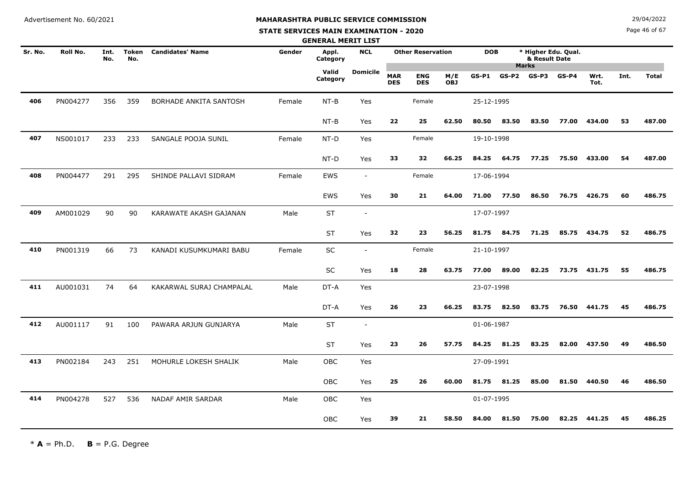# **MAHARASHTRA PUBLIC SERVICE COMMISSION**

#### **STATE SERVICES MAIN EXAMINATION - 2020**

**N**  $29/04/2022$ 

Page 46 of 67

|         |          |             |                     |                          |        | <b>GENERAL MERIT LIST</b> |                          |                          |                          |                   |            |         |                                                      |         |              |      |              |
|---------|----------|-------------|---------------------|--------------------------|--------|---------------------------|--------------------------|--------------------------|--------------------------|-------------------|------------|---------|------------------------------------------------------|---------|--------------|------|--------------|
| Sr. No. | Roll No. | Int.<br>No. | <b>Token</b><br>No. | <b>Candidates' Name</b>  | Gender | Appl.<br>Category         | <b>NCL</b>               |                          | <b>Other Reservation</b> |                   | <b>DOB</b> |         | * Higher Edu. Qual.<br>& Result Date<br><b>Marks</b> |         |              |      |              |
|         |          |             |                     |                          |        | Valid<br>Category         | <b>Domicile</b>          | <b>MAR</b><br><b>DES</b> | <b>ENG</b><br><b>DES</b> | M/E<br><b>OBJ</b> | $GS-P1$    | $GS-P2$ | $GS-P3$                                              | $GS-P4$ | Wrt.<br>Tot. | Int. | <b>Total</b> |
| 406     | PN004277 | 356         | 359                 | BORHADE ANKITA SANTOSH   | Female | $NT-B$                    | Yes                      |                          | Female                   |                   | 25-12-1995 |         |                                                      |         |              |      |              |
|         |          |             |                     |                          |        | $NT-B$                    | Yes                      | 22                       | 25                       | 62.50             | 80.50      | 83.50   | 83.50                                                | 77.00   | 434.00       | 53   | 487.00       |
| 407     | NS001017 | 233         | 233                 | SANGALE POOJA SUNIL      | Female | NT-D                      | Yes                      |                          | Female                   |                   | 19-10-1998 |         |                                                      |         |              |      |              |
|         |          |             |                     |                          |        | $NT-D$                    | Yes                      | 33                       | 32                       | 66.25             | 84.25      | 64.75   | 77.25                                                | 75.50   | 433.00       | 54   | 487.00       |
| 408     | PN004477 | 291         | 295                 | SHINDE PALLAVI SIDRAM    | Female | EWS                       | $\overline{\phantom{a}}$ |                          | Female                   |                   | 17-06-1994 |         |                                                      |         |              |      |              |
|         |          |             |                     |                          |        | <b>EWS</b>                | Yes                      | 30                       | 21                       | 64.00             | 71.00      | 77.50   | 86.50                                                | 76.75   | 426.75       | 60   | 486.75       |
| 409     | AM001029 | 90          | 90                  | KARAWATE AKASH GAJANAN   | Male   | <b>ST</b>                 | $\overline{\phantom{a}}$ |                          |                          |                   | 17-07-1997 |         |                                                      |         |              |      |              |
|         |          |             |                     |                          |        | <b>ST</b>                 | Yes                      | 32                       | 23                       | 56.25             | 81.75      | 84.75   | 71.25                                                |         | 85.75 434.75 | 52   | 486.75       |
| 410     | PN001319 | 66          | 73                  | KANADI KUSUMKUMARI BABU  | Female | SC                        | $\overline{\phantom{a}}$ |                          | Female                   |                   | 21-10-1997 |         |                                                      |         |              |      |              |
|         |          |             |                     |                          |        | $\sf SC$                  | Yes                      | 18                       | 28                       | 63.75             | 77.00      | 89.00   | 82.25                                                | 73.75   | 431.75       | 55   | 486.75       |
| 411     | AU001031 | 74          | 64                  | KAKARWAL SURAJ CHAMPALAL | Male   | DT-A                      | Yes                      |                          |                          |                   | 23-07-1998 |         |                                                      |         |              |      |              |
|         |          |             |                     |                          |        | DT-A                      | Yes                      | 26                       | 23                       | 66.25             | 83.75      | 82.50   | 83.75                                                | 76.50   | 441.75       | 45   | 486.75       |
| 412     | AU001117 | 91          | 100                 | PAWARA ARJUN GUNJARYA    | Male   | <b>ST</b>                 | $\sim$                   |                          |                          |                   | 01-06-1987 |         |                                                      |         |              |      |              |
|         |          |             |                     |                          |        | ST                        | Yes                      | 23                       | 26                       | 57.75             | 84.25      | 81.25   | 83.25                                                | 82.00   | 437.50       | 49   | 486.50       |
| 413     | PN002184 | 243         | 251                 | MOHURLE LOKESH SHALIK    | Male   | OBC                       | Yes                      |                          |                          |                   | 27-09-1991 |         |                                                      |         |              |      |              |
|         |          |             |                     |                          |        | OBC                       | Yes                      | 25                       | 26                       | 60.00             | 81.75      | 81.25   | 85.00                                                | 81.50   | 440.50       | 46   | 486.50       |
| 414     | PN004278 | 527         | 536                 | NADAF AMIR SARDAR        | Male   | OBC                       | Yes                      |                          |                          |                   | 01-07-1995 |         |                                                      |         |              |      |              |
|         |          |             |                     |                          |        | OBC                       | Yes                      | 39                       | 21                       | 58.50             | 84.00      | 81.50   | 75.00                                                | 82.25   | 441.25       | 45   | 486.25       |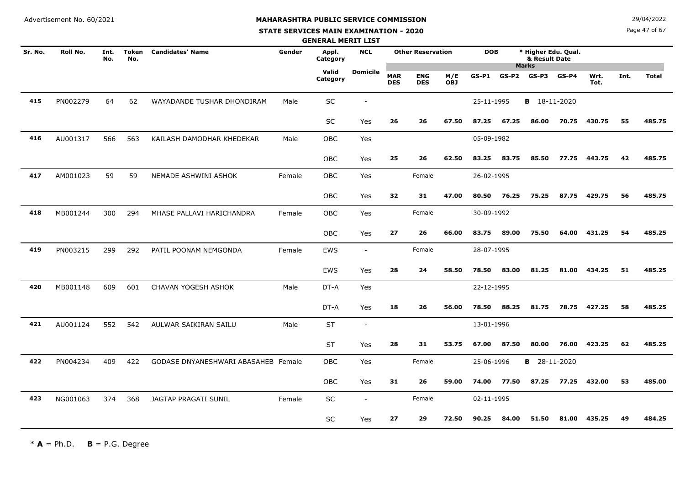#### **STATE SERVICES MAIN EXAMINATION - 2020**

**N**  $29/04/2022$ 

Page 47 of 67

|         |          |             |                     |                                     |        | <b>GENERAL MERIT LIST</b> |                          |                          |                          |                   |            |         |                                      |         |              |      |              |
|---------|----------|-------------|---------------------|-------------------------------------|--------|---------------------------|--------------------------|--------------------------|--------------------------|-------------------|------------|---------|--------------------------------------|---------|--------------|------|--------------|
| Sr. No. | Roll No. | Int.<br>No. | <b>Token</b><br>No. | <b>Candidates' Name</b>             | Gender | Appl.<br>Category         | <b>NCL</b>               |                          | <b>Other Reservation</b> |                   | <b>DOB</b> |         | * Higher Edu. Qual.<br>& Result Date |         |              |      |              |
|         |          |             |                     |                                     |        | Valid<br>Category         | <b>Domicile</b>          | <b>MAR</b><br><b>DES</b> | <b>ENG</b><br><b>DES</b> | M/E<br><b>OBJ</b> | GS-P1      | $GS-P2$ | <b>Marks</b><br>GS-P3                | $GS-P4$ | Wrt.<br>Tot. | Int. | <b>Total</b> |
| 415     | PN002279 | 64          | 62                  | WAYADANDE TUSHAR DHONDIRAM          | Male   | <b>SC</b>                 |                          |                          |                          |                   | 25-11-1995 |         | <b>B</b> 18-11-2020                  |         |              |      |              |
|         |          |             |                     |                                     |        | SC                        | Yes                      | 26                       | 26                       | 67.50             | 87.25      | 67.25   | 86.00                                | 70.75   | 430.75       | 55   | 485.75       |
| 416     | AU001317 | 566         | 563                 | KAILASH DAMODHAR KHEDEKAR           | Male   | OBC                       | Yes                      |                          |                          |                   | 05-09-1982 |         |                                      |         |              |      |              |
|         |          |             |                     |                                     |        | <b>OBC</b>                | Yes                      | 25                       | 26                       | 62.50             | 83.25      | 83.75   | 85.50                                | 77.75   | 443.75       | 42   | 485.75       |
| 417     | AM001023 | 59          | 59                  | NEMADE ASHWINI ASHOK                | Female | OBC                       | Yes                      |                          | Female                   |                   | 26-02-1995 |         |                                      |         |              |      |              |
|         |          |             |                     |                                     |        | <b>OBC</b>                | Yes                      | 32                       | 31                       | 47.00             | 80.50      | 76.25   | 75.25                                | 87.75   | 429.75       | 56   | 485.75       |
| 418     | MB001244 | 300         | 294                 | MHASE PALLAVI HARICHANDRA           | Female | <b>OBC</b>                | Yes                      |                          | Female                   |                   | 30-09-1992 |         |                                      |         |              |      |              |
|         |          |             |                     |                                     |        | <b>OBC</b>                | Yes                      | 27                       | 26                       | 66.00             | 83.75      | 89.00   | 75.50                                | 64.00   | 431.25       | 54   | 485.25       |
| 419     | PN003215 | 299         | 292                 | PATIL POONAM NEMGONDA               | Female | EWS                       | $\overline{\phantom{a}}$ |                          | Female                   |                   | 28-07-1995 |         |                                      |         |              |      |              |
|         |          |             |                     |                                     |        | EWS                       | Yes                      | 28                       | 24                       | 58.50             | 78.50      | 83.00   | 81.25                                | 81.00   | 434.25       | 51   | 485.25       |
| 420     | MB001148 | 609         | 601                 | CHAVAN YOGESH ASHOK                 | Male   | DT-A                      | Yes                      |                          |                          |                   | 22-12-1995 |         |                                      |         |              |      |              |
|         |          |             |                     |                                     |        | DT-A                      | Yes                      | 18                       | 26                       | 56.00             | 78.50      | 88.25   | 81.75                                | 78.75   | 427.25       | 58   | 485.25       |
| 421     | AU001124 | 552         | 542                 | AULWAR SAIKIRAN SAILU               | Male   | <b>ST</b>                 | $\overline{\phantom{a}}$ |                          |                          |                   | 13-01-1996 |         |                                      |         |              |      |              |
|         |          |             |                     |                                     |        | <b>ST</b>                 | Yes                      | 28                       | 31                       | 53.75             | 67.00      | 87.50   | 80.00                                | 76.00   | 423.25       | 62   | 485.25       |
| 422     | PN004234 | 409         | 422                 | GODASE DNYANESHWARI ABASAHEB Female |        | <b>OBC</b>                | Yes                      |                          | Female                   |                   | 25-06-1996 |         | <b>B</b> 28-11-2020                  |         |              |      |              |
|         |          |             |                     |                                     |        | OBC                       | Yes                      | 31                       | 26                       | 59.00             | 74.00      | 77.50   | 87.25                                | 77.25   | 432.00       | 53   | 485.00       |
| 423     | NG001063 | 374         | 368                 | JAGTAP PRAGATI SUNIL                | Female | SC                        |                          |                          | Female                   |                   | 02-11-1995 |         |                                      |         |              |      |              |
|         |          |             |                     |                                     |        | <b>SC</b>                 | Yes                      | 27                       | 29                       | 72.50             | 90.25      | 84.00   | 51.50                                | 81.00   | 435.25       | 49   | 484.25       |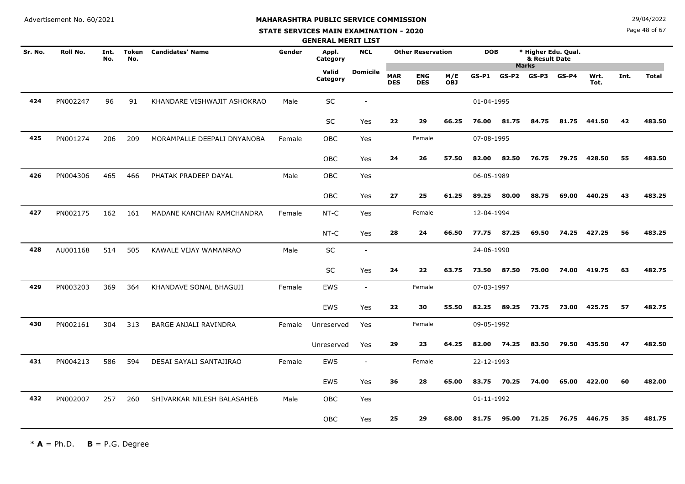#### **STATE SERVICES MAIN EXAMINATION - 2020**

**N**  $29/04/2022$ 

Page 48 of 67

|         |          |             |                     |                             |        | <b>GENERAL MERIT LIST</b> |                 |                          |                          |                   |            |         |                                                      |         |              |      |              |
|---------|----------|-------------|---------------------|-----------------------------|--------|---------------------------|-----------------|--------------------------|--------------------------|-------------------|------------|---------|------------------------------------------------------|---------|--------------|------|--------------|
| Sr. No. | Roll No. | Int.<br>No. | <b>Token</b><br>No. | <b>Candidates' Name</b>     | Gender | Appl.<br>Category         | <b>NCL</b>      |                          | <b>Other Reservation</b> |                   | <b>DOB</b> |         | * Higher Edu. Qual.<br>& Result Date<br><b>Marks</b> |         |              |      |              |
|         |          |             |                     |                             |        | Valid<br>Category         | <b>Domicile</b> | <b>MAR</b><br><b>DES</b> | <b>ENG</b><br><b>DES</b> | M/E<br><b>OBJ</b> | $GS-P1$    | $GS-P2$ | $GS-P3$                                              | $GS-P4$ | Wrt.<br>Tot. | Int. | <b>Total</b> |
| 424     | PN002247 | 96          | 91                  | KHANDARE VISHWAJIT ASHOKRAO | Male   | SC                        |                 |                          |                          |                   | 01-04-1995 |         |                                                      |         |              |      |              |
|         |          |             |                     |                             |        | <b>SC</b>                 | Yes             | 22                       | 29                       | 66.25             | 76.00      | 81.75   | 84.75                                                | 81.75   | 441.50       | 42   | 483.50       |
| 425     | PN001274 | 206         | 209                 | MORAMPALLE DEEPALI DNYANOBA | Female | <b>OBC</b>                | Yes             |                          | Female                   |                   | 07-08-1995 |         |                                                      |         |              |      |              |
|         |          |             |                     |                             |        | OBC                       | Yes             | 24                       | 26                       | 57.50             | 82.00      | 82.50   | 76.75                                                | 79.75   | 428.50       | 55   | 483.50       |
| 426     | PN004306 | 465         | 466                 | PHATAK PRADEEP DAYAL        | Male   | OBC                       | Yes             |                          |                          |                   | 06-05-1989 |         |                                                      |         |              |      |              |
|         |          |             |                     |                             |        | <b>OBC</b>                | Yes             | 27                       | 25                       | 61.25             | 89.25      | 80.00   | 88.75                                                | 69.00   | 440.25       | 43   | 483.25       |
| 427     | PN002175 | 162         | 161                 | MADANE KANCHAN RAMCHANDRA   | Female | NT-C                      | Yes             |                          | Female                   |                   | 12-04-1994 |         |                                                      |         |              |      |              |
|         |          |             |                     |                             |        | NT-C                      | Yes             | 28                       | 24                       | 66.50             | 77.75      | 87.25   | 69.50                                                | 74.25   | 427.25       | 56   | 483.25       |
| 428     | AU001168 | 514         | 505                 | KAWALE VIJAY WAMANRAO       | Male   | SC                        | $\sim$          |                          |                          |                   | 24-06-1990 |         |                                                      |         |              |      |              |
|         |          |             |                     |                             |        | SC                        | Yes             | 24                       | 22                       | 63.75             | 73.50      | 87.50   | 75.00                                                | 74.00   | 419.75       | 63   | 482.75       |
| 429     | PN003203 | 369         | 364                 | KHANDAVE SONAL BHAGUJI      | Female | <b>EWS</b>                | $\sim$          |                          | Female                   |                   | 07-03-1997 |         |                                                      |         |              |      |              |
|         |          |             |                     |                             |        | EWS                       | Yes             | 22                       | 30                       | 55.50             | 82.25      | 89.25   | 73.75                                                | 73.00   | 425.75       | 57   | 482.75       |
| 430     | PN002161 | 304         | 313                 | BARGE ANJALI RAVINDRA       | Female | Unreserved                | Yes             |                          | Female                   |                   | 09-05-1992 |         |                                                      |         |              |      |              |
|         |          |             |                     |                             |        | Unreserved                | Yes             | 29                       | 23                       | 64.25             | 82.00      | 74.25   | 83.50                                                | 79.50   | 435.50       | 47   | 482.50       |
| 431     | PN004213 | 586         | 594                 | DESAI SAYALI SANTAJIRAO     | Female | EWS                       |                 |                          | Female                   |                   | 22-12-1993 |         |                                                      |         |              |      |              |
|         |          |             |                     |                             |        | EWS                       | Yes             | 36                       | 28                       | 65.00             | 83.75      | 70.25   | 74.00                                                | 65.00   | 422.00       | 60   | 482.00       |
| 432     | PN002007 | 257         | 260                 | SHIVARKAR NILESH BALASAHEB  | Male   | <b>OBC</b>                | Yes             |                          |                          |                   | 01-11-1992 |         |                                                      |         |              |      |              |
|         |          |             |                     |                             |        | <b>OBC</b>                | Yes             | 25                       | 29                       | 68.00             | 81.75      | 95.00   | 71.25                                                | 76.75   | 446.75       | 35   | 481.75       |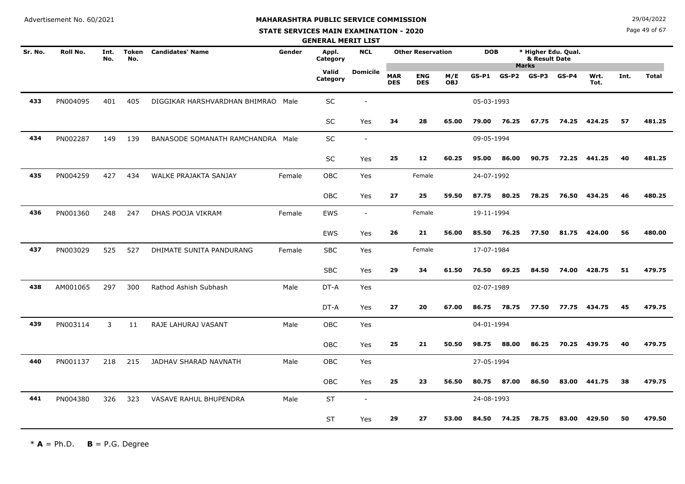# **MAHARASHTRA PUBLIC SERVICE COMMISSION**

#### **STATE SERVICES MAIN EXAMINATION - 2020**

**N**  $29/04/2022$ 

Page 49 of 67

|         |                 |             |                     |                                    |        | <b>GENERAL MERIT LIST</b> |            |                          |                          |                   |            |                         |                                      |         |              |      |              |
|---------|-----------------|-------------|---------------------|------------------------------------|--------|---------------------------|------------|--------------------------|--------------------------|-------------------|------------|-------------------------|--------------------------------------|---------|--------------|------|--------------|
| Sr. No. | <b>Roll No.</b> | Int.<br>No. | <b>Token</b><br>No. | <b>Candidates' Name</b>            | Gender | Appl.<br>Category         | <b>NCL</b> |                          | <b>Other Reservation</b> |                   | <b>DOB</b> |                         | * Higher Edu. Qual.<br>& Result Date |         |              |      |              |
|         |                 |             |                     |                                    |        | Valid<br>Category         | Domicile   | <b>MAR</b><br><b>DES</b> | <b>ENG</b><br><b>DES</b> | M/E<br><b>OBJ</b> | $GS-P1$    | <b>Marks</b><br>$GS-P2$ | GS-P3                                | $GS-P4$ | Wrt.<br>Tot. | Int. | <b>Total</b> |
| 433     | PN004095        | 401         | 405                 | DIGGIKAR HARSHVARDHAN BHIMRAO Male |        | SC                        |            |                          |                          |                   | 05-03-1993 |                         |                                      |         |              |      |              |
|         |                 |             |                     |                                    |        | SC                        | Yes        | 34                       | 28                       | 65.00             | 79.00      | 76.25                   | 67.75                                | 74.25   | 424.25       | 57   | 481.25       |
| 434     | PN002287        | 149         | 139                 | BANASODE SOMANATH RAMCHANDRA Male  |        | SC                        | $\sim$     |                          |                          |                   | 09-05-1994 |                         |                                      |         |              |      |              |
|         |                 |             |                     |                                    |        | SC                        | Yes        | 25                       | 12                       | 60.25             | 95.00      | 86.00                   | 90.75                                | 72.25   | 441.25       | 40   | 481.25       |
| 435     | PN004259        | 427         | 434                 | WALKE PRAJAKTA SANJAY              | Female | OBC                       | Yes        |                          | Female                   |                   | 24-07-1992 |                         |                                      |         |              |      |              |
|         |                 |             |                     |                                    |        | <b>OBC</b>                | Yes        | 27                       | 25                       | 59.50             | 87.75      | 80.25                   | 78.25                                | 76.50   | 434.25       | 46   | 480.25       |
| 436     | PN001360        | 248         | 247                 | DHAS POOJA VIKRAM                  | Female | EWS                       | $\sim$     |                          | Female                   |                   | 19-11-1994 |                         |                                      |         |              |      |              |
|         |                 |             |                     |                                    |        | <b>EWS</b>                | Yes        | 26                       | 21                       | 56.00             | 85.50      | 76.25                   | 77.50                                | 81.75   | 424.00       | 56   | 480.00       |
| 437     | PN003029        | 525         | 527                 | DHIMATE SUNITA PANDURANG           | Female | <b>SBC</b>                | Yes        |                          | Female                   |                   | 17-07-1984 |                         |                                      |         |              |      |              |
|         |                 |             |                     |                                    |        | <b>SBC</b>                | Yes        | 29                       | 34                       | 61.50             | 76.50      | 69.25                   | 84.50                                | 74.00   | 428.75       | 51   | 479.75       |
| 438     | AM001065        | 297         | 300                 | Rathod Ashish Subhash              | Male   | DT-A                      | Yes        |                          |                          |                   | 02-07-1989 |                         |                                      |         |              |      |              |
|         |                 |             |                     |                                    |        | DT-A                      | Yes        | 27                       | 20                       | 67.00             | 86.75      | 78.75                   | 77.50                                | 77.75   | 434.75       | 45   | 479.75       |
| 439     | PN003114        | 3           | 11                  | RAJE LAHURAJ VASANT                | Male   | <b>OBC</b>                | Yes        |                          |                          |                   | 04-01-1994 |                         |                                      |         |              |      |              |
|         |                 |             |                     |                                    |        | OBC                       | Yes        | 25                       | 21                       | 50.50             | 98.75      | 88.00                   | 86.25                                | 70.25   | 439.75       | 40   | 479.75       |
| 440     | PN001137        | 218         | 215                 | JADHAV SHARAD NAVNATH              | Male   | <b>OBC</b>                | Yes        |                          |                          |                   | 27-05-1994 |                         |                                      |         |              |      |              |
|         |                 |             |                     |                                    |        | OBC                       | Yes        | 25                       | 23                       | 56.50             | 80.75      | 87.00                   | 86.50                                | 83.00   | 441.75       | 38   | 479.75       |
| 441     | PN004380        | 326         | 323                 | VASAVE RAHUL BHUPENDRA             | Male   | <b>ST</b>                 | $\sim$     |                          |                          |                   | 24-08-1993 |                         |                                      |         |              |      |              |
|         |                 |             |                     |                                    |        | <b>ST</b>                 | Yes        | 29                       | 27                       | 53.00             | 84.50      | 74.25                   | 78.75                                | 83.00   | 429.50       | 50   | 479.50       |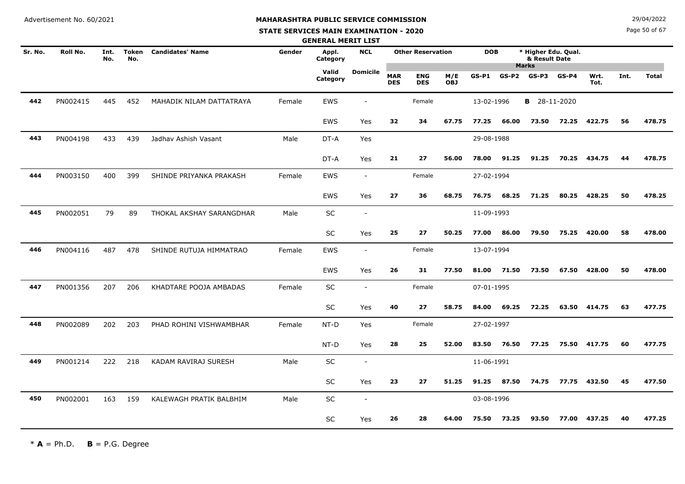#### **STATE SERVICES MAIN EXAMINATION - 2020**

**N**  $29/04/2022$ 

Page 50 of 67

|         |          |             |                     |                          |        | <b>GENERAL MERIT LIST</b> |                          |                          |                          |                   |            |         |                                      |         |              |      |              |
|---------|----------|-------------|---------------------|--------------------------|--------|---------------------------|--------------------------|--------------------------|--------------------------|-------------------|------------|---------|--------------------------------------|---------|--------------|------|--------------|
| Sr. No. | Roll No. | Int.<br>No. | <b>Token</b><br>No. | <b>Candidates' Name</b>  | Gender | Appl.<br>Category         | <b>NCL</b>               |                          | <b>Other Reservation</b> |                   | <b>DOB</b> |         | * Higher Edu. Qual.<br>& Result Date |         |              |      |              |
|         |          |             |                     |                          |        | Valid<br>Category         | <b>Domicile</b>          | <b>MAR</b><br><b>DES</b> | <b>ENG</b><br><b>DES</b> | M/E<br><b>OBJ</b> | $GS-P1$    | $GS-P2$ | <b>Marks</b><br>GS-P3                | $GS-P4$ | Wrt.<br>Tot. | Int. | <b>Total</b> |
| 442     | PN002415 | 445         | 452                 | MAHADIK NILAM DATTATRAYA | Female | EWS                       |                          |                          | Female                   |                   | 13-02-1996 |         | <b>B</b> 28-11-2020                  |         |              |      |              |
|         |          |             |                     |                          |        | EWS                       | Yes                      | 32                       | 34                       | 67.75             | 77.25      | 66.00   | 73.50                                | 72.25   | 422.75       | 56   | 478.75       |
| 443     | PN004198 | 433         | 439                 | Jadhav Ashish Vasant     | Male   | DT-A                      | Yes                      |                          |                          |                   | 29-08-1988 |         |                                      |         |              |      |              |
|         |          |             |                     |                          |        | DT-A                      | Yes                      | 21                       | 27                       | 56.00             | 78.00      | 91.25   | 91.25                                | 70.25   | 434.75       | 44   | 478.75       |
| 444     | PN003150 | 400         | 399                 | SHINDE PRIYANKA PRAKASH  | Female | EWS                       | $\overline{\phantom{a}}$ |                          | Female                   |                   | 27-02-1994 |         |                                      |         |              |      |              |
|         |          |             |                     |                          |        | EWS                       | Yes                      | 27                       | 36                       | 68.75             | 76.75      | 68.25   | 71.25                                | 80.25   | 428.25       | 50   | 478.25       |
| 445     | PN002051 | 79          | 89                  | THOKAL AKSHAY SARANGDHAR | Male   | SC                        | $\blacksquare$           |                          |                          |                   | 11-09-1993 |         |                                      |         |              |      |              |
|         |          |             |                     |                          |        | <b>SC</b>                 | Yes                      | 25                       | 27                       | 50.25             | 77.00      | 86.00   | 79.50                                | 75.25   | 420.00       | 58   | 478.00       |
| 446     | PN004116 | 487         | 478                 | SHINDE RUTUJA HIMMATRAO  | Female | EWS                       | $\overline{\phantom{a}}$ |                          | Female                   |                   | 13-07-1994 |         |                                      |         |              |      |              |
|         |          |             |                     |                          |        | EWS                       | Yes                      | 26                       | 31                       | 77.50             | 81.00      | 71.50   | 73.50                                | 67.50   | 428.00       | 50   | 478.00       |
| 447     | PN001356 | 207         | 206                 | KHADTARE POOJA AMBADAS   | Female | SC                        | $\sim$                   |                          | Female                   |                   | 07-01-1995 |         |                                      |         |              |      |              |
|         |          |             |                     |                          |        | SC                        | Yes                      | 40                       | 27                       | 58.75             | 84.00      | 69.25   | 72.25                                | 63.50   | 414.75       | 63   | 477.75       |
| 448     | PN002089 | 202         | 203                 | PHAD ROHINI VISHWAMBHAR  | Female | NT-D                      | Yes                      |                          | Female                   |                   | 27-02-1997 |         |                                      |         |              |      |              |
|         |          |             |                     |                          |        | NT-D                      | Yes                      | 28                       | 25                       | 52.00             | 83.50      | 76.50   | 77.25                                | 75.50   | 417.75       | 60   | 477.75       |
| 449     | PN001214 | 222         | 218                 | KADAM RAVIRAJ SURESH     | Male   | SC                        | $\overline{\phantom{a}}$ |                          |                          |                   | 11-06-1991 |         |                                      |         |              |      |              |
|         |          |             |                     |                          |        | SC                        | Yes                      | 23                       | 27                       | 51.25             | 91.25      | 87.50   | 74.75                                | 77.75   | 432.50       | 45   | 477.50       |
| 450     | PN002001 | 163         | 159                 | KALEWAGH PRATIK BALBHIM  | Male   | SC                        | $\overline{\phantom{a}}$ |                          |                          |                   | 03-08-1996 |         |                                      |         |              |      |              |
|         |          |             |                     |                          |        | SC                        | Yes                      | 26                       | 28                       | 64.00             | 75.50      | 73.25   | 93.50                                | 77.00   | 437.25       | 40   | 477.25       |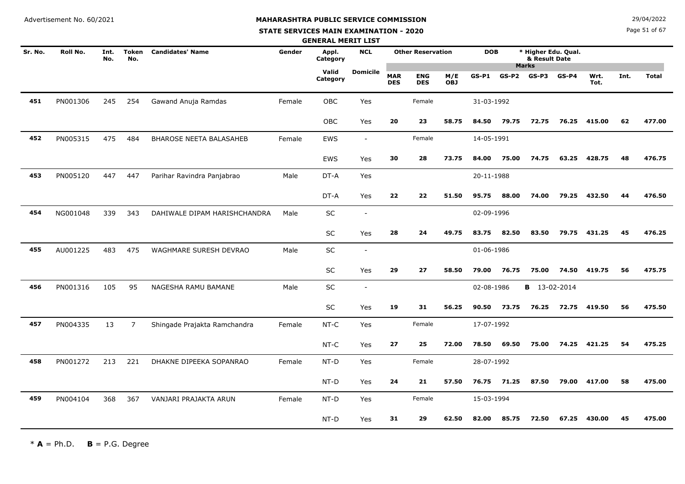#### **STATE SERVICES MAIN EXAMINATION - 2020**

**N**  $29/04/2022$ 

Page 51 of 67

|         |          |             |                     |                                |        | <b>GENERAL MERIT LIST</b> |                          |                          |                          |                   |            |       |                                      |         |              |      |              |
|---------|----------|-------------|---------------------|--------------------------------|--------|---------------------------|--------------------------|--------------------------|--------------------------|-------------------|------------|-------|--------------------------------------|---------|--------------|------|--------------|
| Sr. No. | Roll No. | Int.<br>No. | <b>Token</b><br>No. | <b>Candidates' Name</b>        | Gender | Appl.<br>Category         | <b>NCL</b>               |                          | <b>Other Reservation</b> |                   | <b>DOB</b> |       | * Higher Edu. Qual.<br>& Result Date |         |              |      |              |
|         |          |             |                     |                                |        | Valid<br>Category         | <b>Domicile</b>          | <b>MAR</b><br><b>DES</b> | <b>ENG</b><br><b>DES</b> | M/E<br><b>OBJ</b> | $GS-P1$    |       | <b>Marks</b><br>$GS-P2$ $GS-P3$      | $GS-P4$ | Wrt.<br>Tot. | Int. | <b>Total</b> |
| 451     | PN001306 | 245         | 254                 | Gawand Anuja Ramdas            | Female | <b>OBC</b>                | Yes                      |                          | Female                   |                   | 31-03-1992 |       |                                      |         |              |      |              |
|         |          |             |                     |                                |        | <b>OBC</b>                | Yes                      | 20                       | 23                       | 58.75             | 84.50      | 79.75 | 72.75                                | 76.25   | 415.00       | 62   | 477.00       |
| 452     | PN005315 | 475         | 484                 | <b>BHAROSE NEETA BALASAHEB</b> | Female | <b>EWS</b>                | $\overline{\phantom{a}}$ |                          | Female                   |                   | 14-05-1991 |       |                                      |         |              |      |              |
|         |          |             |                     |                                |        | EWS                       | Yes                      | 30                       | 28                       | 73.75             | 84.00      | 75.00 | 74.75                                | 63.25   | 428.75       | 48   | 476.75       |
| 453     | PN005120 | 447         | 447                 | Parihar Ravindra Panjabrao     | Male   | DT-A                      | Yes                      |                          |                          |                   | 20-11-1988 |       |                                      |         |              |      |              |
|         |          |             |                     |                                |        | DT-A                      | Yes                      | 22                       | 22                       | 51.50             | 95.75      | 88.00 | 74.00                                | 79.25   | 432.50       | 44   | 476.50       |
| 454     | NG001048 | 339         | 343                 | DAHIWALE DIPAM HARISHCHANDRA   | Male   | SC                        | $\sim$                   |                          |                          |                   | 02-09-1996 |       |                                      |         |              |      |              |
|         |          |             |                     |                                |        | SC                        | Yes                      | 28                       | 24                       | 49.75             | 83.75      | 82.50 | 83.50                                | 79.75   | 431.25       | 45   | 476.25       |
| 455     | AU001225 | 483         | 475                 | WAGHMARE SURESH DEVRAO         | Male   | SC                        | $\overline{\phantom{a}}$ |                          |                          |                   | 01-06-1986 |       |                                      |         |              |      |              |
|         |          |             |                     |                                |        | SC                        | Yes                      | 29                       | 27                       | 58.50             | 79.00      | 76.75 | 75.00                                | 74.50   | 419.75       | 56   | 475.75       |
| 456     | PN001316 | 105         | 95                  | NAGESHA RAMU BAMANE            | Male   | SC                        | $\sim$                   |                          |                          |                   | 02-08-1986 |       | <b>B</b> 13-02-2014                  |         |              |      |              |
|         |          |             |                     |                                |        | SC                        | Yes                      | 19                       | 31                       | 56.25             | 90.50      | 73.75 | 76.25                                | 72.75   | 419.50       | 56   | 475.50       |
| 457     | PN004335 | 13          | $\overline{7}$      | Shingade Prajakta Ramchandra   | Female | NT-C                      | Yes                      |                          | Female                   |                   | 17-07-1992 |       |                                      |         |              |      |              |
|         |          |             |                     |                                |        | NT-C                      | Yes                      | 27                       | 25                       | 72.00             | 78.50      | 69.50 | 75.00                                | 74.25   | 421.25       | 54   | 475.25       |
| 458     | PN001272 | 213         | 221                 | DHAKNE DIPEEKA SOPANRAO        | Female | NT-D                      | Yes                      |                          | Female                   |                   | 28-07-1992 |       |                                      |         |              |      |              |
|         |          |             |                     |                                |        | NT-D                      | Yes                      | 24                       | 21                       | 57.50             | 76.75      | 71.25 | 87.50                                | 79.00   | 417.00       | 58   | 475.00       |
| 459     | PN004104 | 368         | 367                 | VANJARI PRAJAKTA ARUN          | Female | NT-D                      | Yes                      |                          | Female                   |                   | 15-03-1994 |       |                                      |         |              |      |              |
|         |          |             |                     |                                |        | NT-D                      | Yes                      | 31                       | 29                       | 62.50             | 82.00      | 85.75 | 72.50                                | 67.25   | 430.00       | 45   | 475.00       |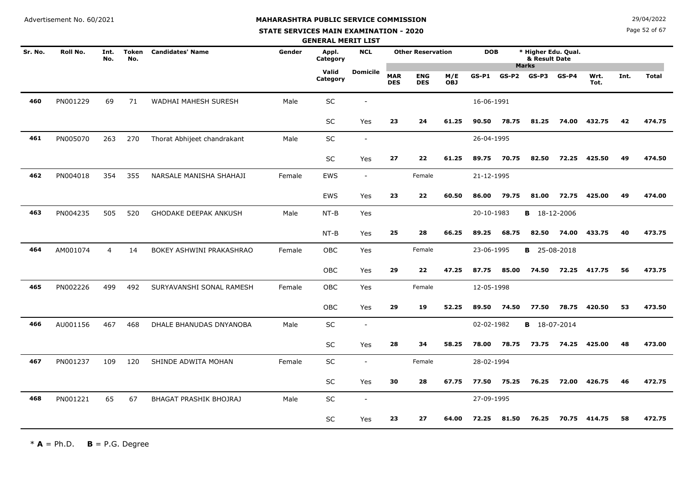# **MAHARASHTRA PUBLIC SERVICE COMMISSION**

#### **STATE SERVICES MAIN EXAMINATION - 2020**

**N**  $29/04/2022$ 

Page 52 of 67

|         |          |                |                     |                              |        | <b>GENERAL MERIT LIST</b> |                          |                          |                          |                   |            |         |                                      |         |              |      |              |
|---------|----------|----------------|---------------------|------------------------------|--------|---------------------------|--------------------------|--------------------------|--------------------------|-------------------|------------|---------|--------------------------------------|---------|--------------|------|--------------|
| Sr. No. | Roll No. | Int.<br>No.    | <b>Token</b><br>No. | <b>Candidates' Name</b>      | Gender | Appl.<br>Category         | <b>NCL</b>               |                          | <b>Other Reservation</b> |                   | <b>DOB</b> |         | * Higher Edu. Qual.<br>& Result Date |         |              |      |              |
|         |          |                |                     |                              |        | Valid<br>Category         | <b>Domicile</b>          | <b>MAR</b><br><b>DES</b> | <b>ENG</b><br><b>DES</b> | M/E<br><b>OBJ</b> | GS-P1      | $GS-P2$ | <b>Marks</b><br>GS-P3                | $GS-P4$ | Wrt.<br>Tot. | Int. | <b>Total</b> |
| 460     | PN001229 | 69             | 71                  | WADHAI MAHESH SURESH         | Male   | SC                        |                          |                          |                          |                   | 16-06-1991 |         |                                      |         |              |      |              |
|         |          |                |                     |                              |        | SC                        | Yes                      | 23                       | 24                       | 61.25             | 90.50      | 78.75   | 81.25                                | 74.00   | 432.75       | 42   | 474.75       |
| 461     | PN005070 | 263            | 270                 | Thorat Abhijeet chandrakant  | Male   | SC                        | $\overline{\phantom{a}}$ |                          |                          |                   | 26-04-1995 |         |                                      |         |              |      |              |
|         |          |                |                     |                              |        | <b>SC</b>                 | Yes                      | 27                       | 22                       | 61.25             | 89.75      | 70.75   | 82.50                                | 72.25   | 425.50       | 49   | 474.50       |
| 462     | PN004018 | 354            | 355                 | NARSALE MANISHA SHAHAJI      | Female | EWS                       | $\overline{\phantom{a}}$ |                          | Female                   |                   | 21-12-1995 |         |                                      |         |              |      |              |
|         |          |                |                     |                              |        | EWS                       | Yes                      | 23                       | 22                       | 60.50             | 86.00      | 79.75   | 81.00                                | 72.75   | 425.00       | 49   | 474.00       |
| 463     | PN004235 | 505            | 520                 | <b>GHODAKE DEEPAK ANKUSH</b> | Male   | $NT-B$                    | Yes                      |                          |                          |                   | 20-10-1983 |         | <b>B</b> 18-12-2006                  |         |              |      |              |
|         |          |                |                     |                              |        | $NT-B$                    | Yes                      | 25                       | 28                       | 66.25             | 89.25      | 68.75   | 82.50                                | 74.00   | 433.75       | 40   | 473.75       |
| 464     | AM001074 | $\overline{4}$ | 14                  | BOKEY ASHWINI PRAKASHRAO     | Female | OBC                       | Yes                      |                          | Female                   |                   | 23-06-1995 |         | <b>B</b> 25-08-2018                  |         |              |      |              |
|         |          |                |                     |                              |        | OBC                       | Yes                      | 29                       | 22                       | 47.25             | 87.75      | 85.00   | 74.50                                | 72.25   | 417.75       | 56   | 473.75       |
| 465     | PN002226 | 499            | 492                 | SURYAVANSHI SONAL RAMESH     | Female | <b>OBC</b>                | Yes                      |                          | Female                   |                   | 12-05-1998 |         |                                      |         |              |      |              |
|         |          |                |                     |                              |        | OBC                       | Yes                      | 29                       | 19                       | 52.25             | 89.50      | 74.50   | 77.50                                | 78.75   | 420.50       | 53   | 473.50       |
| 466     | AU001156 | 467            | 468                 | DHALE BHANUDAS DNYANOBA      | Male   | SC                        | $\overline{\phantom{a}}$ |                          |                          |                   | 02-02-1982 |         | <b>B</b> 18-07-2014                  |         |              |      |              |
|         |          |                |                     |                              |        | SC                        | Yes                      | 28                       | 34                       | 58.25             | 78.00      | 78.75   | 73.75                                | 74.25   | 425.00       | 48   | 473.00       |
| 467     | PN001237 | 109            | 120                 | SHINDE ADWITA MOHAN          | Female | SC                        | $\overline{\phantom{a}}$ |                          | Female                   |                   | 28-02-1994 |         |                                      |         |              |      |              |
|         |          |                |                     |                              |        | SC                        | Yes                      | 30                       | 28                       | 67.75             | 77.50      | 75.25   | 76.25                                | 72.00   | 426.75       | 46   | 472.75       |
| 468     | PN001221 | 65             | 67                  | BHAGAT PRASHIK BHOJRAJ       | Male   | SC                        | $\overline{\phantom{a}}$ |                          |                          |                   | 27-09-1995 |         |                                      |         |              |      |              |
|         |          |                |                     |                              |        | SC                        | Yes                      | 23                       | 27                       | 64.00             | 72.25      | 81.50   | 76.25                                | 70.75   | 414.75       | 58   | 472.75       |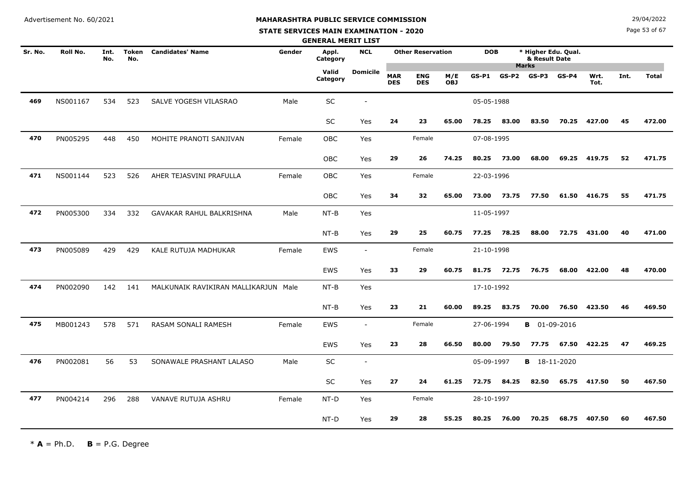#### **STATE SERVICES MAIN EXAMINATION - 2020**

**N**  $29/04/2022$ 

Page 53 of 67

|         |          |             |                     |                                      |        | <b>GENERAL MERIT LIST</b> |                          |                          |                          |                   |            |         |                                      |         |              |      |              |
|---------|----------|-------------|---------------------|--------------------------------------|--------|---------------------------|--------------------------|--------------------------|--------------------------|-------------------|------------|---------|--------------------------------------|---------|--------------|------|--------------|
| Sr. No. | Roll No. | Int.<br>No. | <b>Token</b><br>No. | <b>Candidates' Name</b>              | Gender | Appl.<br>Category         | <b>NCL</b>               |                          | <b>Other Reservation</b> |                   | <b>DOB</b> |         | * Higher Edu. Qual.<br>& Result Date |         |              |      |              |
|         |          |             |                     |                                      |        | Valid<br>Category         | <b>Domicile</b>          | <b>MAR</b><br><b>DES</b> | <b>ENG</b><br><b>DES</b> | M/E<br><b>OBJ</b> | $GS-P1$    | $GS-P2$ | <b>Marks</b><br>GS-P3                | $GS-P4$ | Wrt.<br>Tot. | Int. | <b>Total</b> |
| 469     | NS001167 | 534         | 523                 | SALVE YOGESH VILASRAO                | Male   | $\sf SC$                  |                          |                          |                          |                   | 05-05-1988 |         |                                      |         |              |      |              |
|         |          |             |                     |                                      |        | <b>SC</b>                 | Yes                      | 24                       | 23                       | 65.00             | 78.25      | 83.00   | 83.50                                | 70.25   | 427.00       | 45   | 472.00       |
| 470     | PN005295 | 448         | 450                 | MOHITE PRANOTI SANJIVAN              | Female | <b>OBC</b>                | Yes                      |                          | Female                   |                   | 07-08-1995 |         |                                      |         |              |      |              |
|         |          |             |                     |                                      |        | OBC                       | Yes                      | 29                       | 26                       | 74.25             | 80.25      | 73.00   | 68.00                                | 69.25   | 419.75       | 52   | 471.75       |
| 471     | NS001144 | 523         | 526                 | AHER TEJASVINI PRAFULLA              | Female | OBC                       | Yes                      |                          | Female                   |                   | 22-03-1996 |         |                                      |         |              |      |              |
|         |          |             |                     |                                      |        | OBC                       | Yes                      | 34                       | 32                       | 65.00             | 73.00      | 73.75   | 77.50                                | 61.50   | 416.75       | 55   | 471.75       |
| 472     | PN005300 | 334         | 332                 | GAVAKAR RAHUL BALKRISHNA             | Male   | $NT-B$                    | Yes                      |                          |                          |                   | 11-05-1997 |         |                                      |         |              |      |              |
|         |          |             |                     |                                      |        | $NT-B$                    | Yes                      | 29                       | 25                       | 60.75             | 77.25      | 78.25   | 88.00                                | 72.75   | 431.00       | 40   | 471.00       |
| 473     | PN005089 | 429         | 429                 | KALE RUTUJA MADHUKAR                 | Female | EWS                       | $\sim$                   |                          | Female                   |                   | 21-10-1998 |         |                                      |         |              |      |              |
|         |          |             |                     |                                      |        | <b>EWS</b>                | Yes                      | 33                       | 29                       | 60.75             | 81.75      | 72.75   | 76.75                                | 68.00   | 422.00       | 48   | 470.00       |
| 474     | PN002090 | 142         | 141                 | MALKUNAIK RAVIKIRAN MALLIKARJUN Male |        | $NT-B$                    | Yes                      |                          |                          |                   | 17-10-1992 |         |                                      |         |              |      |              |
|         |          |             |                     |                                      |        | $NT-B$                    | Yes                      | 23                       | 21                       | 60.00             | 89.25      | 83.75   | 70.00                                | 76.50   | 423.50       | 46   | 469.50       |
| 475     | MB001243 | 578         | 571                 | RASAM SONALI RAMESH                  | Female | EWS                       | $\overline{\phantom{a}}$ |                          | Female                   |                   | 27-06-1994 |         | <b>B</b> 01-09-2016                  |         |              |      |              |
|         |          |             |                     |                                      |        | EWS                       | Yes                      | 23                       | 28                       | 66.50             | 80.00      | 79.50   | 77.75                                | 67.50   | 422.25       | 47   | 469.25       |
| 476     | PN002081 | 56          | 53                  | SONAWALE PRASHANT LALASO             | Male   | SC                        | $\overline{\phantom{a}}$ |                          |                          |                   | 05-09-1997 |         | <b>B</b> 18-11-2020                  |         |              |      |              |
|         |          |             |                     |                                      |        | <b>SC</b>                 | Yes                      | 27                       | 24                       | 61.25             | 72.75      | 84.25   | 82.50                                | 65.75   | 417.50       | 50   | 467.50       |
| 477     | PN004214 | 296         | 288                 | VANAVE RUTUJA ASHRU                  | Female | NT-D                      | Yes                      |                          | Female                   |                   | 28-10-1997 |         |                                      |         |              |      |              |
|         |          |             |                     |                                      |        | NT-D                      | Yes                      | 29                       | 28                       | 55.25             | 80.25      | 76.00   | 70.25                                | 68.75   | 407.50       | 60   | 467.50       |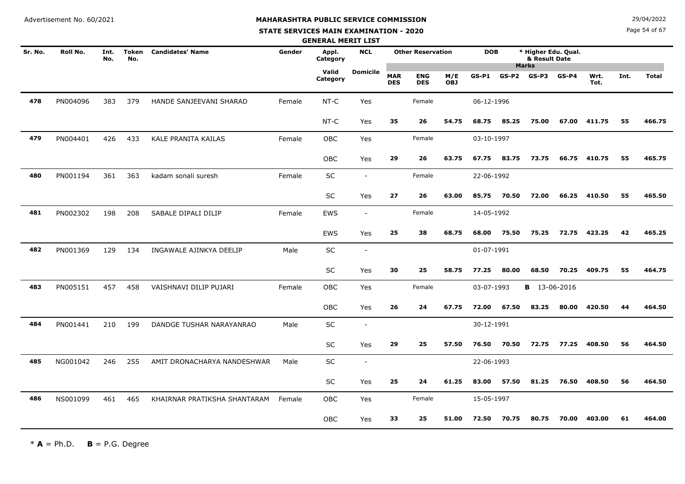#### **STATE SERVICES MAIN EXAMINATION - 2020**

**N**  $29/04/2022$ 

Page 54 of 67

|         |          |             |              |                              |        | <b>GENERAL MERIT LIST</b> |                          |                          |                          |                   |            |       |                                                      |         |              |      |              |
|---------|----------|-------------|--------------|------------------------------|--------|---------------------------|--------------------------|--------------------------|--------------------------|-------------------|------------|-------|------------------------------------------------------|---------|--------------|------|--------------|
| Sr. No. | Roll No. | Int.<br>No. | Token<br>No. | <b>Candidates' Name</b>      | Gender | Appl.<br>Category         | <b>NCL</b>               |                          | <b>Other Reservation</b> |                   | <b>DOB</b> |       | * Higher Edu. Qual.<br>& Result Date<br><b>Marks</b> |         |              |      |              |
|         |          |             |              |                              |        | Valid<br>Category         | <b>Domicile</b>          | <b>MAR</b><br><b>DES</b> | <b>ENG</b><br><b>DES</b> | M/E<br><b>OBJ</b> | $GS-P1$    | GS-P2 | GS-P3                                                | $GS-P4$ | Wrt.<br>Tot. | Int. | <b>Total</b> |
| 478     | PN004096 | 383         | 379          | HANDE SANJEEVANI SHARAD      | Female | NT-C                      | Yes                      |                          | Female                   |                   | 06-12-1996 |       |                                                      |         |              |      |              |
|         |          |             |              |                              |        | NT-C                      | Yes                      | 35                       | 26                       | 54.75             | 68.75      | 85.25 | 75.00                                                | 67.00   | 411.75       | 55   | 466.75       |
| 479     | PN004401 | 426         | 433          | KALE PRANITA KAILAS          | Female | <b>OBC</b>                | Yes                      |                          | Female                   |                   | 03-10-1997 |       |                                                      |         |              |      |              |
|         |          |             |              |                              |        | OBC                       | Yes                      | 29                       | 26                       | 63.75             | 67.75      | 83.75 | 73.75                                                | 66.75   | 410.75       | 55   | 465.75       |
| 480     | PN001194 | 361         | 363          | kadam sonali suresh          | Female | SC                        | $\overline{\phantom{a}}$ |                          | Female                   |                   | 22-06-1992 |       |                                                      |         |              |      |              |
|         |          |             |              |                              |        | <b>SC</b>                 | Yes                      | 27                       | 26                       | 63.00             | 85.75      | 70.50 | 72.00                                                | 66.25   | 410.50       | 55   | 465.50       |
| 481     | PN002302 | 198         | 208          | SABALE DIPALI DILIP          | Female | <b>EWS</b>                | $\sim$                   |                          | Female                   |                   | 14-05-1992 |       |                                                      |         |              |      |              |
|         |          |             |              |                              |        | EWS                       | Yes                      | 25                       | 38                       | 68.75             | 68.00      | 75.50 | 75.25                                                | 72.75   | 423.25       | 42   | 465.25       |
| 482     | PN001369 | 129         | 134          | INGAWALE AJINKYA DEELIP      | Male   | SC                        | $\overline{\phantom{a}}$ |                          |                          |                   | 01-07-1991 |       |                                                      |         |              |      |              |
|         |          |             |              |                              |        | <b>SC</b>                 | Yes                      | 30                       | 25                       | 58.75             | 77.25      | 80.00 | 68.50                                                | 70.25   | 409.75       | 55   | 464.75       |
| 483     | PN005151 | 457         | 458          | VAISHNAVI DILIP PUJARI       | Female | <b>OBC</b>                | Yes                      |                          | Female                   |                   | 03-07-1993 |       | <b>B</b> 13-06-2016                                  |         |              |      |              |
|         |          |             |              |                              |        | OBC                       | Yes                      | 26                       | 24                       | 67.75             | 72.00      | 67.50 | 83.25                                                | 80.00   | 420.50       | 44   | 464.50       |
| 484     | PN001441 | 210         | 199          | DANDGE TUSHAR NARAYANRAO     | Male   | SC                        | $\sim$                   |                          |                          |                   | 30-12-1991 |       |                                                      |         |              |      |              |
|         |          |             |              |                              |        | SC                        | Yes                      | 29                       | 25                       | 57.50             | 76.50      | 70.50 | 72.75                                                | 77.25   | 408.50       | 56   | 464.50       |
| 485     | NG001042 | 246         | 255          | AMIT DRONACHARYA NANDESHWAR  | Male   | SC                        | $\sim$                   |                          |                          |                   | 22-06-1993 |       |                                                      |         |              |      |              |
|         |          |             |              |                              |        | <b>SC</b>                 | Yes                      | 25                       | 24                       | 61.25             | 83.00      | 57.50 | 81.25                                                | 76.50   | 408.50       | 56   | 464.50       |
| 486     | NS001099 | 461         | 465          | KHAIRNAR PRATIKSHA SHANTARAM | Female | OBC                       | Yes                      |                          | Female                   |                   | 15-05-1997 |       |                                                      |         |              |      |              |
|         |          |             |              |                              |        | OBC                       | Yes                      | 33                       | 25                       | 51.00             | 72.50      | 70.75 | 80.75                                                | 70.00   | 403.00       | 61   | 464.00       |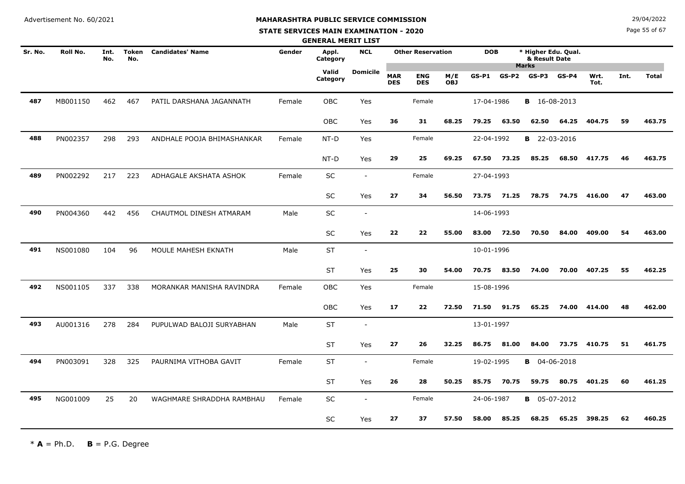#### **STATE SERVICES MAIN EXAMINATION - 2020**

**N**  $29/04/2022$ 

Page 55 of 67

|         |          |             |                     |                            |        | <b>GENERAL MERIT LIST</b> |                          |                          |                          |                   |            |         |                                                      |         |              |      |              |
|---------|----------|-------------|---------------------|----------------------------|--------|---------------------------|--------------------------|--------------------------|--------------------------|-------------------|------------|---------|------------------------------------------------------|---------|--------------|------|--------------|
| Sr. No. | Roll No. | Int.<br>No. | <b>Token</b><br>No. | <b>Candidates' Name</b>    | Gender | Appl.<br>Category         | <b>NCL</b>               |                          | <b>Other Reservation</b> |                   | <b>DOB</b> |         | * Higher Edu. Qual.<br>& Result Date<br><b>Marks</b> |         |              |      |              |
|         |          |             |                     |                            |        | Valid<br>Category         | <b>Domicile</b>          | <b>MAR</b><br><b>DES</b> | <b>ENG</b><br><b>DES</b> | M/E<br><b>OBJ</b> | $GS-P1$    | $GS-P2$ | $GS-P3$                                              | $GS-P4$ | Wrt.<br>Tot. | Int. | <b>Total</b> |
| 487     | MB001150 | 462         | 467                 | PATIL DARSHANA JAGANNATH   | Female | <b>OBC</b>                | Yes                      |                          | Female                   |                   | 17-04-1986 |         | <b>B</b> 16-08-2013                                  |         |              |      |              |
|         |          |             |                     |                            |        | <b>OBC</b>                | Yes                      | 36                       | 31                       | 68.25             | 79.25      | 63.50   | 62.50                                                | 64.25   | 404.75       | 59   | 463.75       |
| 488     | PN002357 | 298         | 293                 | ANDHALE POOJA BHIMASHANKAR | Female | NT-D                      | Yes                      |                          | Female                   |                   | 22-04-1992 |         | <b>B</b> 22-03-2016                                  |         |              |      |              |
|         |          |             |                     |                            |        | NT-D                      | Yes                      | 29                       | 25                       | 69.25             | 67.50      | 73.25   | 85.25                                                | 68.50   | 417.75       | 46   | 463.75       |
| 489     | PN002292 | 217         | 223                 | ADHAGALE AKSHATA ASHOK     | Female | <b>SC</b>                 | $\blacksquare$           |                          | Female                   |                   | 27-04-1993 |         |                                                      |         |              |      |              |
|         |          |             |                     |                            |        | SC                        | Yes                      | 27                       | 34                       | 56.50             | 73.75      | 71.25   | 78.75                                                | 74.75   | 416.00       | 47   | 463.00       |
| 490     | PN004360 | 442         | 456                 | CHAUTMOL DINESH ATMARAM    | Male   | SC                        | $\overline{\phantom{a}}$ |                          |                          |                   | 14-06-1993 |         |                                                      |         |              |      |              |
|         |          |             |                     |                            |        | <b>SC</b>                 | Yes                      | 22                       | 22                       | 55.00             | 83.00      | 72.50   | 70.50                                                | 84.00   | 409.00       | 54   | 463.00       |
| 491     | NS001080 | 104         | 96                  | MOULE MAHESH EKNATH        | Male   | <b>ST</b>                 | $\overline{\phantom{a}}$ |                          |                          |                   | 10-01-1996 |         |                                                      |         |              |      |              |
|         |          |             |                     |                            |        | <b>ST</b>                 | Yes                      | 25                       | 30                       | 54.00             | 70.75      | 83.50   | 74.00                                                | 70.00   | 407.25       | 55   | 462.25       |
| 492     | NS001105 | 337         | 338                 | MORANKAR MANISHA RAVINDRA  | Female | <b>OBC</b>                | Yes                      |                          | Female                   |                   | 15-08-1996 |         |                                                      |         |              |      |              |
|         |          |             |                     |                            |        | <b>OBC</b>                | Yes                      | 17                       | 22                       | 72.50             | 71.50      | 91.75   | 65.25                                                | 74.00   | 414.00       | 48   | 462.00       |
| 493     | AU001316 | 278         | 284                 | PUPULWAD BALOJI SURYABHAN  | Male   | <b>ST</b>                 | $\sim$                   |                          |                          |                   | 13-01-1997 |         |                                                      |         |              |      |              |
|         |          |             |                     |                            |        | <b>ST</b>                 | Yes                      | 27                       | 26                       | 32.25             | 86.75      | 81.00   | 84.00                                                | 73.75   | 410.75       | 51   | 461.75       |
| 494     | PN003091 | 328         | 325                 | PAURNIMA VITHOBA GAVIT     | Female | <b>ST</b>                 | $\blacksquare$           |                          | Female                   |                   | 19-02-1995 |         | <b>B</b> 04-06-2018                                  |         |              |      |              |
|         |          |             |                     |                            |        | <b>ST</b>                 | Yes                      | 26                       | 28                       | 50.25             | 85.75      | 70.75   | 59.75                                                | 80.75   | 401.25       | 60   | 461.25       |
| 495     | NG001009 | 25          | 20                  | WAGHMARE SHRADDHA RAMBHAU  | Female | SC                        | $\blacksquare$           |                          | Female                   |                   | 24-06-1987 |         | <b>B</b> 05-07-2012                                  |         |              |      |              |
|         |          |             |                     |                            |        | <b>SC</b>                 | Yes                      | 27                       | 37                       | 57.50             | 58.00      | 85.25   | 68.25                                                | 65.25   | 398.25       | 62   | 460.25       |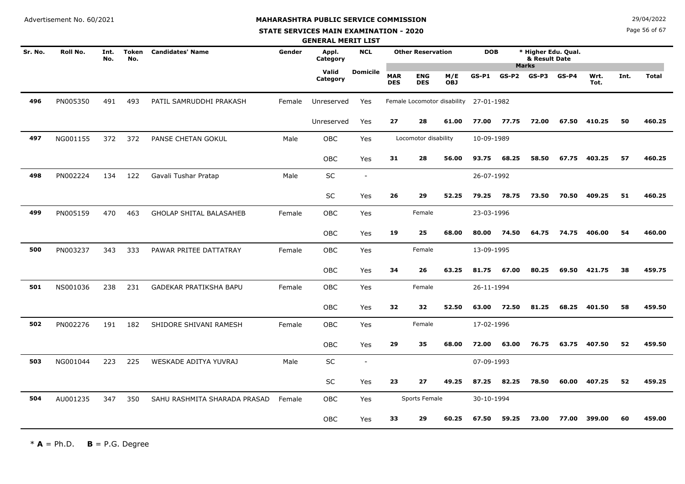#### **STATE SERVICES MAIN EXAMINATION - 2020**

**N**  $29/04/2022$ 

Page 56 of 67

|         |          |             |                     |                                |        | <b>GENERAL MERIT LIST</b> |                 |                          |                          |                                        |            |       |                                                      |         |              |      |              |
|---------|----------|-------------|---------------------|--------------------------------|--------|---------------------------|-----------------|--------------------------|--------------------------|----------------------------------------|------------|-------|------------------------------------------------------|---------|--------------|------|--------------|
| Sr. No. | Roll No. | Int.<br>No. | <b>Token</b><br>No. | <b>Candidates' Name</b>        | Gender | Appl.<br>Category         | <b>NCL</b>      |                          | <b>Other Reservation</b> |                                        | <b>DOB</b> |       | * Higher Edu. Qual.<br>& Result Date<br><b>Marks</b> |         |              |      |              |
|         |          |             |                     |                                |        | Valid<br>Category         | <b>Domicile</b> | <b>MAR</b><br><b>DES</b> | <b>ENG</b><br><b>DES</b> | M/E<br><b>OBJ</b>                      | $GS-P1$    | GS-P2 | $GS-P3$                                              | $GS-P4$ | Wrt.<br>Tot. | Int. | <b>Total</b> |
| 496     | PN005350 | 491         | 493                 | PATIL SAMRUDDHI PRAKASH        | Female | Unreserved                | Yes             |                          |                          | Female Locomotor disability 27-01-1982 |            |       |                                                      |         |              |      |              |
|         |          |             |                     |                                |        | Unreserved                | Yes             | 27                       | 28                       | 61.00                                  | 77.00      | 77.75 | 72.00                                                | 67.50   | 410.25       | 50   | 460.25       |
| 497     | NG001155 | 372         | 372                 | PANSE CHETAN GOKUL             | Male   | <b>OBC</b>                | Yes             |                          | Locomotor disability     |                                        | 10-09-1989 |       |                                                      |         |              |      |              |
|         |          |             |                     |                                |        | OBC                       | Yes             | 31                       | 28                       | 56.00                                  | 93.75      | 68.25 | 58.50                                                | 67.75   | 403.25       | 57   | 460.25       |
| 498     | PN002224 | 134         | 122                 | Gavali Tushar Pratap           | Male   | SC                        | $\sim$          |                          |                          |                                        | 26-07-1992 |       |                                                      |         |              |      |              |
|         |          |             |                     |                                |        | SC                        | Yes             | 26                       | 29                       | 52.25                                  | 79.25      | 78.75 | 73.50                                                | 70.50   | 409.25       | 51   | 460.25       |
| 499     | PN005159 | 470         | 463                 | <b>GHOLAP SHITAL BALASAHEB</b> | Female | <b>OBC</b>                | Yes             |                          | Female                   |                                        | 23-03-1996 |       |                                                      |         |              |      |              |
|         |          |             |                     |                                |        | OBC                       | Yes             | 19                       | 25                       | 68.00                                  | 80.00      | 74.50 | 64.75                                                | 74.75   | 406.00       | 54   | 460.00       |
| 500     | PN003237 | 343         | 333                 | PAWAR PRITEE DATTATRAY         | Female | OBC                       | Yes             |                          | Female                   |                                        | 13-09-1995 |       |                                                      |         |              |      |              |
|         |          |             |                     |                                |        | <b>OBC</b>                | Yes             | 34                       | 26                       | 63.25                                  | 81.75      | 67.00 | 80.25                                                | 69.50   | 421.75       | 38   | 459.75       |
| 501     | NS001036 | 238         | 231                 | GADEKAR PRATIKSHA BAPU         | Female | <b>OBC</b>                | Yes             |                          | Female                   |                                        | 26-11-1994 |       |                                                      |         |              |      |              |
|         |          |             |                     |                                |        | OBC                       | Yes             | 32                       | 32                       | 52.50                                  | 63.00      | 72.50 | 81.25                                                | 68.25   | 401.50       | 58   | 459.50       |
| 502     | PN002276 | 191         | 182                 | SHIDORE SHIVANI RAMESH         | Female | OBC                       | Yes             |                          | Female                   |                                        | 17-02-1996 |       |                                                      |         |              |      |              |
|         |          |             |                     |                                |        | OBC                       | Yes             | 29                       | 35                       | 68.00                                  | 72.00      | 63.00 | 76.75                                                |         | 63.75 407.50 | 52   | 459.50       |
| 503     | NG001044 | 223         | 225                 | WESKADE ADITYA YUVRAJ          | Male   | SC                        | $\sim$          |                          |                          |                                        | 07-09-1993 |       |                                                      |         |              |      |              |
|         |          |             |                     |                                |        | <b>SC</b>                 | Yes             | 23                       | 27                       | 49.25                                  | 87.25      | 82.25 | 78.50                                                | 60.00   | 407.25       | 52   | 459.25       |
| 504     | AU001235 | 347         | 350                 | SAHU RASHMITA SHARADA PRASAD   | Female | <b>OBC</b>                | Yes             |                          | Sports Female            |                                        | 30-10-1994 |       |                                                      |         |              |      |              |
|         |          |             |                     |                                |        | OBC                       | Yes             | 33                       | 29                       | 60.25                                  | 67.50      | 59.25 | 73.00                                                | 77.00   | 399.00       | 60   | 459.00       |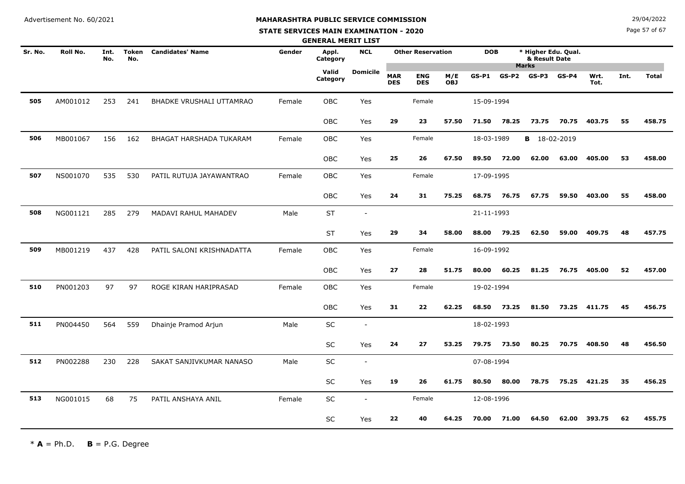#### **STATE SERVICES MAIN EXAMINATION - 2020**

**N**  $29/04/2022$ 

Page 57 of 67

|         |                 |             |                     |                           |        | <b>GENERAL MERIT LIST</b> |                          |                          |                          |                   |            |         |                                      |         |              |      |              |
|---------|-----------------|-------------|---------------------|---------------------------|--------|---------------------------|--------------------------|--------------------------|--------------------------|-------------------|------------|---------|--------------------------------------|---------|--------------|------|--------------|
| Sr. No. | <b>Roll No.</b> | Int.<br>No. | <b>Token</b><br>No. | <b>Candidates' Name</b>   | Gender | Appl.<br>Category         | <b>NCL</b>               |                          | <b>Other Reservation</b> |                   | <b>DOB</b> |         | * Higher Edu. Qual.<br>& Result Date |         |              |      |              |
|         |                 |             |                     |                           |        | Valid<br>Category         | <b>Domicile</b>          | <b>MAR</b><br><b>DES</b> | <b>ENG</b><br><b>DES</b> | M/E<br><b>OBJ</b> | $GS-P1$    | $GS-P2$ | <b>Marks</b><br>GS-P3                | $GS-P4$ | Wrt.<br>Tot. | Int. | <b>Total</b> |
| 505     | AM001012        | 253         | 241                 | BHADKE VRUSHALI UTTAMRAO  | Female | <b>OBC</b>                | Yes                      |                          | Female                   |                   | 15-09-1994 |         |                                      |         |              |      |              |
|         |                 |             |                     |                           |        | OBC                       | Yes                      | 29                       | 23                       | 57.50             | 71.50      | 78.25   | 73.75                                | 70.75   | 403.75       | 55   | 458.75       |
| 506     | MB001067        | 156         | 162                 | BHAGAT HARSHADA TUKARAM   | Female | OBC                       | Yes                      |                          | Female                   |                   | 18-03-1989 |         | <b>B</b> 18-02-2019                  |         |              |      |              |
|         |                 |             |                     |                           |        | OBC                       | Yes                      | 25                       | 26                       | 67.50             | 89.50      | 72.00   | 62.00                                | 63.00   | 405.00       | 53   | 458.00       |
| 507     | NS001070        | 535         | 530                 | PATIL RUTUJA JAYAWANTRAO  | Female | OBC                       | Yes                      |                          | Female                   |                   | 17-09-1995 |         |                                      |         |              |      |              |
|         |                 |             |                     |                           |        | <b>OBC</b>                | Yes                      | 24                       | 31                       | 75.25             | 68.75      | 76.75   | 67.75                                | 59.50   | 403.00       | 55   | 458.00       |
| 508     | NG001121        | 285         | 279                 | MADAVI RAHUL MAHADEV      | Male   | <b>ST</b>                 | $\blacksquare$           |                          |                          |                   | 21-11-1993 |         |                                      |         |              |      |              |
|         |                 |             |                     |                           |        | <b>ST</b>                 | Yes                      | 29                       | 34                       | 58.00             | 88.00      | 79.25   | 62.50                                | 59.00   | 409.75       | 48   | 457.75       |
| 509     | MB001219        | 437         | 428                 | PATIL SALONI KRISHNADATTA | Female | OBC                       | Yes                      |                          | Female                   |                   | 16-09-1992 |         |                                      |         |              |      |              |
|         |                 |             |                     |                           |        | OBC                       | Yes                      | 27                       | 28                       | 51.75             | 80.00      | 60.25   | 81.25                                | 76.75   | 405.00       | 52   | 457.00       |
| 510     | PN001203        | 97          | 97                  | ROGE KIRAN HARIPRASAD     | Female | <b>OBC</b>                | Yes                      |                          | Female                   |                   | 19-02-1994 |         |                                      |         |              |      |              |
|         |                 |             |                     |                           |        | OBC                       | Yes                      | 31                       | 22                       | 62.25             | 68.50      | 73.25   | 81.50                                | 73.25   | 411.75       | 45   | 456.75       |
| 511     | PN004450        | 564         | 559                 | Dhainje Pramod Arjun      | Male   | SC                        | $\overline{\phantom{a}}$ |                          |                          |                   | 18-02-1993 |         |                                      |         |              |      |              |
|         |                 |             |                     |                           |        | SC                        | Yes                      | 24                       | 27                       | 53.25             | 79.75      | 73.50   | 80.25                                | 70.75   | 408.50       | 48   | 456.50       |
| 512     | PN002288        | 230         | 228                 | SAKAT SANJIVKUMAR NANASO  | Male   | SC                        | $\overline{\phantom{a}}$ |                          |                          |                   | 07-08-1994 |         |                                      |         |              |      |              |
|         |                 |             |                     |                           |        | SC                        | Yes                      | 19                       | 26                       | 61.75             | 80.50      | 80.00   | 78.75                                | 75.25   | 421.25       | 35   | 456.25       |
| 513     | NG001015        | 68          | 75                  | PATIL ANSHAYA ANIL        | Female | SC                        | $\sim$                   |                          | Female                   |                   | 12-08-1996 |         |                                      |         |              |      |              |
|         |                 |             |                     |                           |        | <b>SC</b>                 | Yes                      | 22                       | 40                       | 64.25             | 70.00      | 71.00   | 64.50                                | 62.00   | 393.75       | 62   | 455.75       |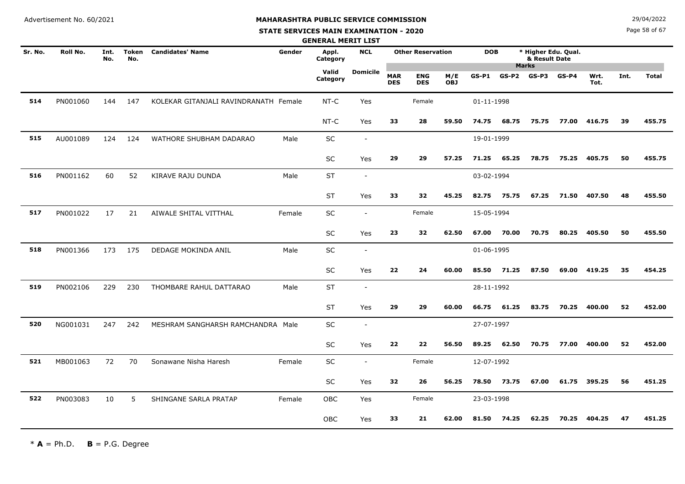# **MAHARASHTRA PUBLIC SERVICE COMMISSION**

#### **STATE SERVICES MAIN EXAMINATION - 2020**

**N**  $29/04/2022$ 

Page 58 of 67

|         |          |             |                     |                                       |        | <b>GENERAL MERIT LIST</b> |                          |                          |                          |                   |            |         |                                                      |         |              |      |              |
|---------|----------|-------------|---------------------|---------------------------------------|--------|---------------------------|--------------------------|--------------------------|--------------------------|-------------------|------------|---------|------------------------------------------------------|---------|--------------|------|--------------|
| Sr. No. | Roll No. | Int.<br>No. | <b>Token</b><br>No. | <b>Candidates' Name</b>               | Gender | Appl.<br>Category         | <b>NCL</b>               |                          | <b>Other Reservation</b> |                   | <b>DOB</b> |         | * Higher Edu. Qual.<br>& Result Date<br><b>Marks</b> |         |              |      |              |
|         |          |             |                     |                                       |        | Valid<br>Category         | <b>Domicile</b>          | <b>MAR</b><br><b>DES</b> | <b>ENG</b><br><b>DES</b> | M/E<br><b>OBJ</b> | $GS-P1$    | $GS-P2$ | $GS-P3$                                              | $GS-P4$ | Wrt.<br>Tot. | Int. | <b>Total</b> |
| 514     | PN001060 | 144         | 147                 | KOLEKAR GITANJALI RAVINDRANATH Female |        | $NT-C$                    | Yes                      |                          | Female                   |                   | 01-11-1998 |         |                                                      |         |              |      |              |
|         |          |             |                     |                                       |        | NT-C                      | Yes                      | 33                       | 28                       | 59.50             | 74.75      | 68.75   | 75.75                                                | 77.00   | 416.75       | 39   | 455.75       |
| 515     | AU001089 | 124         | 124                 | WATHORE SHUBHAM DADARAO               | Male   | SC                        | $\blacksquare$           |                          |                          |                   | 19-01-1999 |         |                                                      |         |              |      |              |
|         |          |             |                     |                                       |        | SC                        | Yes                      | 29                       | 29                       | 57.25             | 71.25      | 65.25   | 78.75                                                | 75.25   | 405.75       | 50   | 455.75       |
| 516     | PN001162 | 60          | 52                  | KIRAVE RAJU DUNDA                     | Male   | <b>ST</b>                 | $\overline{\phantom{a}}$ |                          |                          |                   | 03-02-1994 |         |                                                      |         |              |      |              |
|         |          |             |                     |                                       |        | <b>ST</b>                 | Yes                      | 33                       | 32                       | 45.25             | 82.75      | 75.75   | 67.25                                                | 71.50   | 407.50       | 48   | 455.50       |
| 517     | PN001022 | 17          | 21                  | AIWALE SHITAL VITTHAL                 | Female | SC                        | $\blacksquare$           |                          | Female                   |                   | 15-05-1994 |         |                                                      |         |              |      |              |
|         |          |             |                     |                                       |        | <b>SC</b>                 | Yes                      | 23                       | 32                       | 62.50             | 67.00      | 70.00   | 70.75                                                | 80.25   | 405.50       | 50   | 455.50       |
| 518     | PN001366 | 173         | 175                 | DEDAGE MOKINDA ANIL                   | Male   | SC                        | $\overline{\phantom{a}}$ |                          |                          |                   | 01-06-1995 |         |                                                      |         |              |      |              |
|         |          |             |                     |                                       |        | SC                        | Yes                      | 22                       | 24                       | 60.00             | 85.50      | 71.25   | 87.50                                                |         | 69.00 419.25 | 35   | 454.25       |
| 519     | PN002106 | 229         | 230                 | THOMBARE RAHUL DATTARAO               | Male   | <b>ST</b>                 | $\overline{\phantom{a}}$ |                          |                          |                   | 28-11-1992 |         |                                                      |         |              |      |              |
|         |          |             |                     |                                       |        | <b>ST</b>                 | Yes                      | 29                       | 29                       | 60.00             | 66.75      | 61.25   | 83.75                                                | 70.25   | 400.00       | 52   | 452.00       |
| 520     | NG001031 | 247         | 242                 | MESHRAM SANGHARSH RAMCHANDRA Male     |        | SC                        | $\overline{\phantom{a}}$ |                          |                          |                   | 27-07-1997 |         |                                                      |         |              |      |              |
|         |          |             |                     |                                       |        | SC                        | Yes                      | 22                       | 22                       | 56.50             | 89.25      | 62.50   | 70.75                                                | 77.00   | 400.00       | 52   | 452.00       |
| 521     | MB001063 | 72          | 70                  | Sonawane Nisha Haresh                 | Female | <b>SC</b>                 | $\blacksquare$           |                          | Female                   |                   | 12-07-1992 |         |                                                      |         |              |      |              |
|         |          |             |                     |                                       |        | SC                        | Yes                      | 32                       | 26                       | 56.25             | 78.50      | 73.75   | 67.00                                                |         | 61.75 395.25 | 56   | 451.25       |
| 522     | PN003083 | 10          | 5                   | SHINGANE SARLA PRATAP                 | Female | OBC                       | Yes                      |                          | Female                   |                   | 23-03-1998 |         |                                                      |         |              |      |              |
|         |          |             |                     |                                       |        | OBC                       | Yes                      | 33                       | 21                       | 62.00             | 81.50      | 74.25   | 62.25                                                | 70.25   | 404.25       | 47   | 451.25       |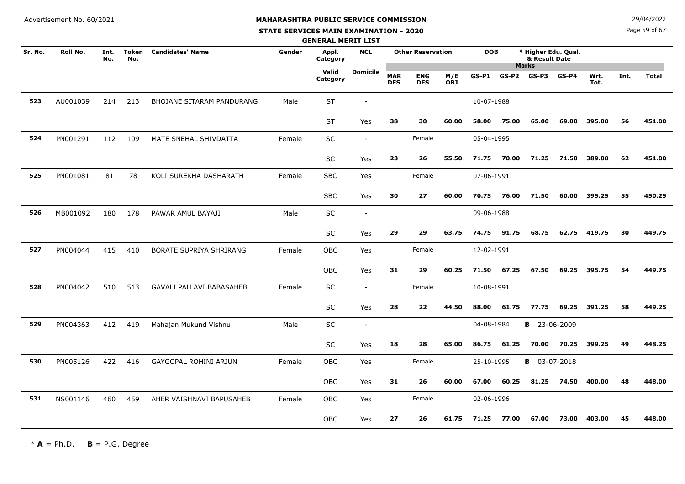# **STATE SERVICES MAIN EXAMINATION - 2020**

**N**  $29/04/2022$ 

Page 59 of 67

|         |          |             |                     |                                 |        | <b>GENERAL MERIT LIST</b> |                          |                          |                          |                   |            |         |                                      |         |              |      |              |
|---------|----------|-------------|---------------------|---------------------------------|--------|---------------------------|--------------------------|--------------------------|--------------------------|-------------------|------------|---------|--------------------------------------|---------|--------------|------|--------------|
| Sr. No. | Roll No. | Int.<br>No. | <b>Token</b><br>No. | <b>Candidates' Name</b>         | Gender | Appl.<br>Category         | <b>NCL</b>               |                          | <b>Other Reservation</b> |                   | <b>DOB</b> |         | * Higher Edu. Qual.<br>& Result Date |         |              |      |              |
|         |          |             |                     |                                 |        | Valid<br>Category         | <b>Domicile</b>          | <b>MAR</b><br><b>DES</b> | <b>ENG</b><br><b>DES</b> | M/E<br><b>OBJ</b> | $GS-P1$    | $GS-P2$ | <b>Marks</b><br>GS-P3                | $GS-P4$ | Wrt.<br>Tot. | Int. | <b>Total</b> |
| 523     | AU001039 | 214         | 213                 | BHOJANE SITARAM PANDURANG       | Male   | <b>ST</b>                 |                          |                          |                          |                   | 10-07-1988 |         |                                      |         |              |      |              |
|         |          |             |                     |                                 |        | <b>ST</b>                 | Yes                      | 38                       | 30                       | 60.00             | 58.00      | 75.00   | 65.00                                | 69.00   | 395.00       | 56   | 451.00       |
| 524     | PN001291 | 112         | 109                 | MATE SNEHAL SHIVDATTA           | Female | SC                        | $\blacksquare$           |                          | Female                   |                   | 05-04-1995 |         |                                      |         |              |      |              |
|         |          |             |                     |                                 |        | SC                        | Yes                      | 23                       | 26                       | 55.50             | 71.75      | 70.00   | 71.25                                | 71.50   | 389.00       | 62   | 451.00       |
| 525     | PN001081 | 81          | 78                  | KOLI SUREKHA DASHARATH          | Female | <b>SBC</b>                | Yes                      |                          | Female                   |                   | 07-06-1991 |         |                                      |         |              |      |              |
|         |          |             |                     |                                 |        | <b>SBC</b>                | Yes                      | 30                       | 27                       | 60.00             | 70.75      | 76.00   | 71.50                                | 60.00   | 395.25       | 55   | 450.25       |
| 526     | MB001092 | 180         | 178                 | PAWAR AMUL BAYAJI               | Male   | SC                        | $\overline{\phantom{a}}$ |                          |                          |                   | 09-06-1988 |         |                                      |         |              |      |              |
|         |          |             |                     |                                 |        | SC                        | Yes                      | 29                       | 29                       | 63.75             | 74.75      | 91.75   | 68.75                                | 62.75   | 419.75       | 30   | 449.75       |
| 527     | PN004044 | 415         | 410                 | BORATE SUPRIYA SHRIRANG         | Female | OBC                       | Yes                      |                          | Female                   |                   | 12-02-1991 |         |                                      |         |              |      |              |
|         |          |             |                     |                                 |        | <b>OBC</b>                | Yes                      | 31                       | 29                       | 60.25             | 71.50      | 67.25   | 67.50                                | 69.25   | 395.75       | 54   | 449.75       |
| 528     | PN004042 | 510         | 513                 | <b>GAVALI PALLAVI BABASAHEB</b> | Female | SC                        | $\sim$                   |                          | Female                   |                   | 10-08-1991 |         |                                      |         |              |      |              |
|         |          |             |                     |                                 |        | <b>SC</b>                 | Yes                      | 28                       | 22                       | 44.50             | 88.00      | 61.75   | 77.75                                | 69.25   | 391.25       | 58   | 449.25       |
| 529     | PN004363 | 412         | 419                 | Mahajan Mukund Vishnu           | Male   | SC                        | $\sim$                   |                          |                          |                   | 04-08-1984 |         | <b>B</b> 23-06-2009                  |         |              |      |              |
|         |          |             |                     |                                 |        | SC                        | Yes                      | 18                       | 28                       | 65.00             | 86.75      | 61.25   | 70.00                                | 70.25   | 399.25       | 49   | 448.25       |
| 530     | PN005126 | 422         | 416                 | GAYGOPAL ROHINI ARJUN           | Female | OBC                       | Yes                      |                          | Female                   |                   | 25-10-1995 |         | <b>B</b> 03-07-2018                  |         |              |      |              |
|         |          |             |                     |                                 |        | <b>OBC</b>                | Yes                      | 31                       | 26                       | 60.00             | 67.00      | 60.25   | 81.25                                | 74.50   | 400.00       | 48   | 448.00       |
| 531     | NS001146 | 460         | 459                 | AHER VAISHNAVI BAPUSAHEB        | Female | <b>OBC</b>                | Yes                      |                          | Female                   |                   | 02-06-1996 |         |                                      |         |              |      |              |
|         |          |             |                     |                                 |        | OBC                       | Yes                      | 27                       | 26                       | 61.75             | 71.25      | 77.00   | 67.00                                | 73.00   | 403.00       | 45   | 448.00       |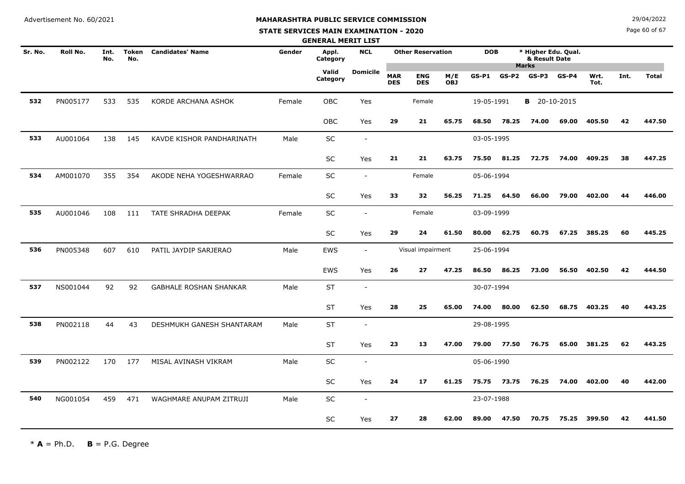#### **STATE SERVICES MAIN EXAMINATION - 2020**

**N**  $29/04/2022$ 

Page 60 of 67

|         |          |             |                     |                               |        | <b>GENERAL MERIT LIST</b> |                          |                          |                          |                   |            |         |                                                      |         |              |      |              |
|---------|----------|-------------|---------------------|-------------------------------|--------|---------------------------|--------------------------|--------------------------|--------------------------|-------------------|------------|---------|------------------------------------------------------|---------|--------------|------|--------------|
| Sr. No. | Roll No. | Int.<br>No. | <b>Token</b><br>No. | <b>Candidates' Name</b>       | Gender | Appl.<br>Category         | <b>NCL</b>               |                          | <b>Other Reservation</b> |                   | <b>DOB</b> |         | * Higher Edu. Qual.<br>& Result Date<br><b>Marks</b> |         |              |      |              |
|         |          |             |                     |                               |        | Valid<br>Category         | <b>Domicile</b>          | <b>MAR</b><br><b>DES</b> | <b>ENG</b><br><b>DES</b> | M/E<br><b>OBJ</b> | $GS-P1$    | $GS-P2$ | GS-P3                                                | $GS-P4$ | Wrt.<br>Tot. | Int. | <b>Total</b> |
| 532     | PN005177 | 533         | 535                 | KORDE ARCHANA ASHOK           | Female | OBC                       | Yes                      |                          | Female                   |                   | 19-05-1991 |         | <b>B</b> 20-10-2015                                  |         |              |      |              |
|         |          |             |                     |                               |        | <b>OBC</b>                | Yes                      | 29                       | 21                       | 65.75             | 68.50      | 78.25   | 74.00                                                | 69.00   | 405.50       | 42   | 447.50       |
| 533     | AU001064 | 138         | 145                 | KAVDE KISHOR PANDHARINATH     | Male   | SC                        | $\sim$                   |                          |                          |                   | 03-05-1995 |         |                                                      |         |              |      |              |
|         |          |             |                     |                               |        | SC                        | Yes                      | 21                       | 21                       | 63.75             | 75.50      | 81.25   | 72.75                                                | 74.00   | 409.25       | 38   | 447.25       |
| 534     | AM001070 | 355         | 354                 | AKODE NEHA YOGESHWARRAO       | Female | SC                        | $\sim$                   |                          | Female                   |                   | 05-06-1994 |         |                                                      |         |              |      |              |
|         |          |             |                     |                               |        | SC                        | Yes                      | 33                       | 32                       | 56.25             | 71.25      | 64.50   | 66.00                                                | 79.00   | 402.00       | 44   | 446.00       |
| 535     | AU001046 | 108         | 111                 | TATE SHRADHA DEEPAK           | Female | SC                        | $\sim$                   |                          | Female                   |                   | 03-09-1999 |         |                                                      |         |              |      |              |
|         |          |             |                     |                               |        | <b>SC</b>                 | Yes                      | 29                       | 24                       | 61.50             | 80.00      | 62.75   | 60.75                                                | 67.25   | 385.25       | 60   | 445.25       |
| 536     | PN005348 | 607         | 610                 | PATIL JAYDIP SARJERAO         | Male   | <b>EWS</b>                | $\sim$                   |                          | Visual impairment        |                   | 25-06-1994 |         |                                                      |         |              |      |              |
|         |          |             |                     |                               |        | <b>EWS</b>                | Yes                      | 26                       | 27                       | 47.25             | 86.50      | 86.25   | 73.00                                                | 56.50   | 402.50       | 42   | 444.50       |
| 537     | NS001044 | 92          | 92                  | <b>GABHALE ROSHAN SHANKAR</b> | Male   | <b>ST</b>                 | $\sim$                   |                          |                          |                   | 30-07-1994 |         |                                                      |         |              |      |              |
|         |          |             |                     |                               |        | <b>ST</b>                 | Yes                      | 28                       | 25                       | 65.00             | 74.00      | 80.00   | 62.50                                                | 68.75   | 403.25       | 40   | 443.25       |
| 538     | PN002118 | 44          | 43                  | DESHMUKH GANESH SHANTARAM     | Male   | <b>ST</b>                 |                          |                          |                          |                   | 29-08-1995 |         |                                                      |         |              |      |              |
|         |          |             |                     |                               |        | <b>ST</b>                 | Yes                      | 23                       | 13                       | 47.00             | 79.00      | 77.50   | 76.75                                                | 65.00   | 381.25       | 62   | 443.25       |
| 539     | PN002122 | 170         | 177                 | MISAL AVINASH VIKRAM          | Male   | SC                        | $\blacksquare$           |                          |                          |                   | 05-06-1990 |         |                                                      |         |              |      |              |
|         |          |             |                     |                               |        | SC                        | Yes                      | 24                       | 17                       | 61.25             | 75.75      | 73.75   | 76.25                                                | 74.00   | 402.00       | 40   | 442.00       |
| 540     | NG001054 | 459         | 471                 | WAGHMARE ANUPAM ZITRUJI       | Male   | <b>SC</b>                 | $\overline{\phantom{a}}$ |                          |                          |                   | 23-07-1988 |         |                                                      |         |              |      |              |
|         |          |             |                     |                               |        | SC                        | Yes                      | 27                       | 28                       | 62.00             | 89.00      | 47.50   | 70.75                                                | 75.25   | 399.50       | 42   | 441.50       |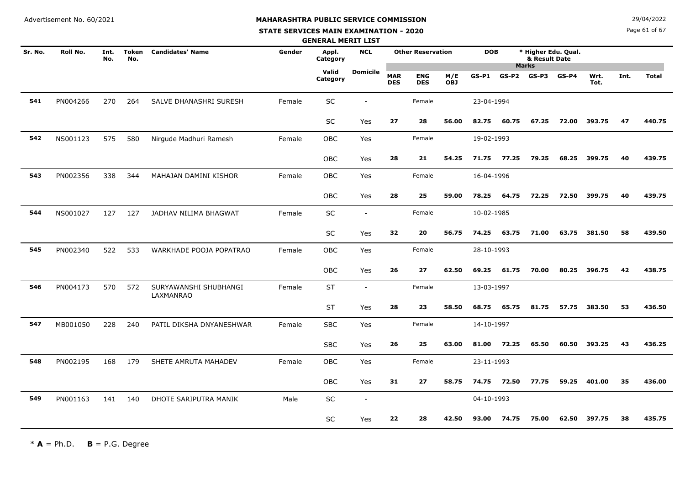#### **STATE SERVICES MAIN EXAMINATION - 2020**

**N**  $29/04/2022$ 

Page 61 of 67

|         |          |             |              |                                    |        | <b>GENERAL MERIT LIST</b> |                          |                          |                          |                   |            |                 |                                                      |         |              |      |              |
|---------|----------|-------------|--------------|------------------------------------|--------|---------------------------|--------------------------|--------------------------|--------------------------|-------------------|------------|-----------------|------------------------------------------------------|---------|--------------|------|--------------|
| Sr. No. | Roll No. | Int.<br>No. | Token<br>No. | <b>Candidates' Name</b>            | Gender | Appl.<br>Category         | <b>NCL</b>               |                          | <b>Other Reservation</b> |                   |            | <b>DOB</b>      | * Higher Edu. Qual.<br>& Result Date<br><b>Marks</b> |         |              |      |              |
|         |          |             |              |                                    |        | Valid<br>Category         | <b>Domicile</b>          | <b>MAR</b><br><b>DES</b> | <b>ENG</b><br><b>DES</b> | M/E<br><b>OBJ</b> | GS-P1      | $GS-P2$ $GS-P3$ |                                                      | $GS-P4$ | Wrt.<br>Tot. | Int. | <b>Total</b> |
| 541     | PN004266 | 270         | 264          | SALVE DHANASHRI SURESH             | Female | SC                        |                          |                          | Female                   |                   | 23-04-1994 |                 |                                                      |         |              |      |              |
|         |          |             |              |                                    |        | SC                        | Yes                      | 27                       | 28                       | 56.00             | 82.75      | 60.75           | 67.25                                                | 72.00   | 393.75       | 47   | 440.75       |
| 542     | NS001123 | 575         | 580          | Nirgude Madhuri Ramesh             | Female | OBC                       | Yes                      |                          | Female                   |                   | 19-02-1993 |                 |                                                      |         |              |      |              |
|         |          |             |              |                                    |        | OBC                       | Yes                      | 28                       | 21                       | 54.25             | 71.75      | 77.25           | 79.25                                                | 68.25   | 399.75       | 40   | 439.75       |
| 543     | PN002356 | 338         | 344          | MAHAJAN DAMINI KISHOR              | Female | OBC                       | Yes                      |                          | Female                   |                   | 16-04-1996 |                 |                                                      |         |              |      |              |
|         |          |             |              |                                    |        | OBC                       | Yes                      | 28                       | 25                       | 59.00             | 78.25      | 64.75           | 72.25                                                | 72.50   | 399.75       | 40   | 439.75       |
| 544     | NS001027 | 127         | 127          | JADHAV NILIMA BHAGWAT              | Female | SC                        | $\sim$                   |                          | Female                   |                   | 10-02-1985 |                 |                                                      |         |              |      |              |
|         |          |             |              |                                    |        | $\sf SC$                  | Yes                      | 32                       | 20                       | 56.75             | 74.25      | 63.75           | 71.00                                                | 63.75   | 381.50       | 58   | 439.50       |
| 545     | PN002340 | 522         | 533          | WARKHADE POOJA POPATRAO            | Female | OBC                       | Yes                      |                          | Female                   |                   | 28-10-1993 |                 |                                                      |         |              |      |              |
|         |          |             |              |                                    |        | OBC                       | Yes                      | 26                       | 27                       | 62.50             | 69.25      | 61.75           | 70.00                                                | 80.25   | 396.75       | 42   | 438.75       |
| 546     | PN004173 | 570         | 572          | SURYAWANSHI SHUBHANGI<br>LAXMANRAO | Female | <b>ST</b>                 | $\sim$                   |                          | Female                   |                   | 13-03-1997 |                 |                                                      |         |              |      |              |
|         |          |             |              |                                    |        | <b>ST</b>                 | Yes                      | 28                       | 23                       | 58.50             | 68.75      | 65.75           | 81.75                                                | 57.75   | 383.50       | 53   | 436.50       |
| 547     | MB001050 | 228         | 240          | PATIL DIKSHA DNYANESHWAR           | Female | <b>SBC</b>                | Yes                      |                          | Female                   |                   | 14-10-1997 |                 |                                                      |         |              |      |              |
|         |          |             |              |                                    |        | <b>SBC</b>                | Yes                      | 26                       | 25                       | 63.00             | 81.00      | 72.25           | 65.50                                                | 60.50   | 393.25       | 43   | 436.25       |
| 548     | PN002195 | 168         | 179          | SHETE AMRUTA MAHADEV               | Female | OBC                       | Yes                      |                          | Female                   |                   | 23-11-1993 |                 |                                                      |         |              |      |              |
|         |          |             |              |                                    |        | <b>OBC</b>                | Yes                      | 31                       | 27                       | 58.75             | 74.75      | 72.50           | 77.75                                                | 59.25   | 401.00       | 35   | 436.00       |
| 549     | PN001163 | 141         | 140          | DHOTE SARIPUTRA MANIK              | Male   | <b>SC</b>                 | $\overline{\phantom{a}}$ |                          |                          |                   | 04-10-1993 |                 |                                                      |         |              |      |              |
|         |          |             |              |                                    |        | SC                        | Yes                      | 22                       | 28                       | 42.50             | 93.00      | 74.75           | 75.00                                                | 62.50   | 397.75       | 38   | 435.75       |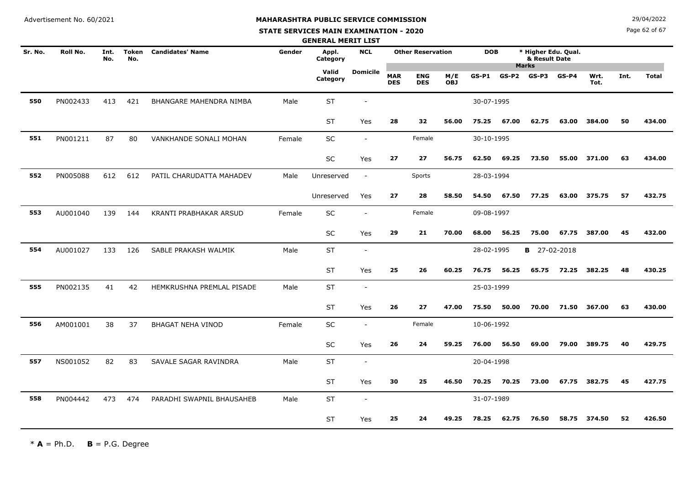#### **STATE SERVICES MAIN EXAMINATION - 2020**

**N**  $29/04/2022$ 

Page 62 of 67

| <b>GENERAL MERIT LIST</b> |          |             |                     |                           |        |                   |                          |                          |                          |                   |            |            |                                      |         |              |      |              |
|---------------------------|----------|-------------|---------------------|---------------------------|--------|-------------------|--------------------------|--------------------------|--------------------------|-------------------|------------|------------|--------------------------------------|---------|--------------|------|--------------|
| Sr. No.                   | Roll No. | Int.<br>No. | <b>Token</b><br>No. | <b>Candidates' Name</b>   | Gender | Appl.<br>Category | <b>NCL</b>               |                          | <b>Other Reservation</b> |                   |            | <b>DOB</b> | * Higher Edu. Qual.<br>& Result Date |         |              |      |              |
|                           |          |             |                     |                           |        | Valid<br>Category | <b>Domicile</b>          | <b>MAR</b><br><b>DES</b> | <b>ENG</b><br><b>DES</b> | M/E<br><b>OBJ</b> | $GS-P1$    | $GS-P2$    | <b>Marks</b><br>$GS-P3$              | $GS-P4$ | Wrt.<br>Tot. | Int. | <b>Total</b> |
| 550                       | PN002433 | 413         | 421                 | BHANGARE MAHENDRA NIMBA   | Male   | <b>ST</b>         |                          |                          |                          |                   | 30-07-1995 |            |                                      |         |              |      |              |
|                           |          |             |                     |                           |        | ST                | Yes                      | 28                       | 32                       | 56.00             | 75.25      | 67.00      | 62.75                                | 63.00   | 384.00       | 50   | 434.00       |
| 551                       | PN001211 | 87          | 80                  | VANKHANDE SONALI MOHAN    | Female | SC                | $\overline{\phantom{a}}$ |                          | Female                   |                   | 30-10-1995 |            |                                      |         |              |      |              |
|                           |          |             |                     |                           |        | <b>SC</b>         | Yes                      | 27                       | 27                       | 56.75             | 62.50      | 69.25      | 73.50                                | 55.00   | 371.00       | 63   | 434.00       |
| 552                       | PN005088 | 612         | 612                 | PATIL CHARUDATTA MAHADEV  | Male   | Unreserved        | $\sim$                   |                          | Sports                   |                   | 28-03-1994 |            |                                      |         |              |      |              |
|                           |          |             |                     |                           |        | Unreserved        | Yes                      | 27                       | 28                       | 58.50             | 54.50      | 67.50      | 77.25                                | 63.00   | 375.75       | 57   | 432.75       |
| 553                       | AU001040 | 139         | 144                 | KRANTI PRABHAKAR ARSUD    | Female | SC                |                          |                          | Female                   |                   | 09-08-1997 |            |                                      |         |              |      |              |
|                           |          |             |                     |                           |        | <b>SC</b>         | Yes                      | 29                       | 21                       | 70.00             | 68.00      | 56.25      | 75.00                                | 67.75   | 387.00       | 45   | 432.00       |
| 554                       | AU001027 | 133         | 126                 | SABLE PRAKASH WALMIK      | Male   | <b>ST</b>         | $\sim$                   |                          |                          |                   | 28-02-1995 |            | <b>B</b> 27-02-2018                  |         |              |      |              |
|                           |          |             |                     |                           |        | <b>ST</b>         | Yes                      | 25                       | 26                       | 60.25             | 76.75      | 56.25      | 65.75                                | 72.25   | 382.25       | 48   | 430.25       |
| 555                       | PN002135 | 41          | 42                  | HEMKRUSHNA PREMLAL PISADE | Male   | <b>ST</b>         | $\sim$                   |                          |                          |                   | 25-03-1999 |            |                                      |         |              |      |              |
|                           |          |             |                     |                           |        | <b>ST</b>         | Yes                      | 26                       | 27                       | 47.00             | 75.50      | 50.00      | 70.00                                | 71.50   | 367.00       | 63   | 430.00       |
| 556                       | AM001001 | 38          | 37                  | <b>BHAGAT NEHA VINOD</b>  | Female | SC                |                          |                          | Female                   |                   | 10-06-1992 |            |                                      |         |              |      |              |
|                           |          |             |                     |                           |        | SC                | Yes                      | 26                       | 24                       | 59.25             | 76.00      | 56.50      | 69.00                                | 79.00   | 389.75       | 40   | 429.75       |
| 557                       | NS001052 | 82          | 83                  | SAVALE SAGAR RAVINDRA     | Male   | <b>ST</b>         |                          |                          |                          |                   | 20-04-1998 |            |                                      |         |              |      |              |
|                           |          |             |                     |                           |        | <b>ST</b>         | Yes                      | 30                       | 25                       | 46.50             | 70.25      | 70.25      | 73.00                                | 67.75   | 382.75       | 45   | 427.75       |
| 558                       | PN004442 | 473         | 474                 | PARADHI SWAPNIL BHAUSAHEB | Male   | <b>ST</b>         | $\overline{\phantom{a}}$ |                          |                          |                   | 31-07-1989 |            |                                      |         |              |      |              |
|                           |          |             |                     |                           |        | <b>ST</b>         | Yes                      | 25                       | 24                       | 49.25             | 78.25      | 62.75      | 76.50                                | 58.75   | 374.50       | 52   | 426.50       |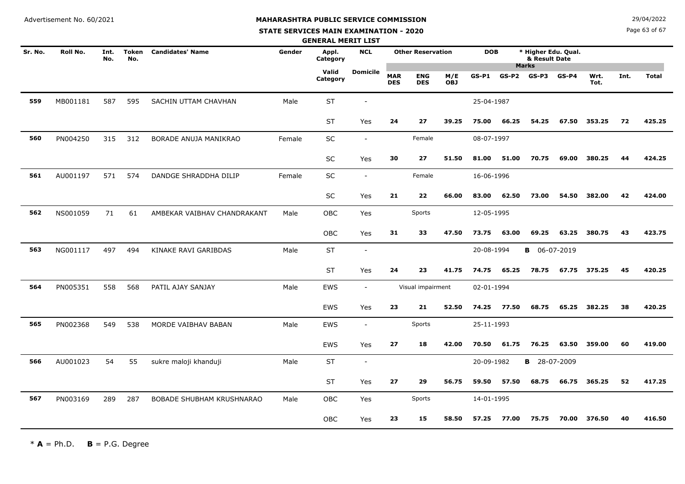# **MAHARASHTRA PUBLIC SERVICE COMMISSION**

#### **STATE SERVICES MAIN EXAMINATION - 2020**

**N**  $29/04/2022$ 

Page 63 of 67

| <b>GENERAL MERIT LIST</b> |          |             |                     |                             |        |                   |                          |                          |                          |                   |            |                                      |                                 |         |              |      |              |
|---------------------------|----------|-------------|---------------------|-----------------------------|--------|-------------------|--------------------------|--------------------------|--------------------------|-------------------|------------|--------------------------------------|---------------------------------|---------|--------------|------|--------------|
| Sr. No.                   | Roll No. | Int.<br>No. | <b>Token</b><br>No. | <b>Candidates' Name</b>     | Gender | Appl.<br>Category | <b>NCL</b>               |                          | <b>Other Reservation</b> |                   | <b>DOB</b> | * Higher Edu. Qual.<br>& Result Date |                                 |         |              |      |              |
|                           |          |             |                     |                             |        | Valid<br>Category | <b>Domicile</b>          | <b>MAR</b><br><b>DES</b> | <b>ENG</b><br><b>DES</b> | M/E<br><b>OBJ</b> | $GS-P1$    |                                      | <b>Marks</b><br>$GS-P2$ $GS-P3$ | $GS-P4$ | Wrt.<br>Tot. | Int. | <b>Total</b> |
| 559                       | MB001181 | 587         | 595                 | SACHIN UTTAM CHAVHAN        | Male   | ST                |                          |                          |                          |                   | 25-04-1987 |                                      |                                 |         |              |      |              |
|                           |          |             |                     |                             |        | <b>ST</b>         | Yes                      | 24                       | 27                       | 39.25             | 75.00      | 66.25                                | 54.25                           | 67.50   | 353.25       | 72   | 425.25       |
| 560                       | PN004250 | 315         | 312                 | BORADE ANUJA MANIKRAO       | Female | SC                | $\sim$                   |                          | Female                   |                   | 08-07-1997 |                                      |                                 |         |              |      |              |
|                           |          |             |                     |                             |        | <b>SC</b>         | Yes                      | 30                       | 27                       | 51.50             | 81.00      | 51.00                                | 70.75                           | 69.00   | 380.25       | 44   | 424.25       |
| 561                       | AU001197 | 571         | 574                 | DANDGE SHRADDHA DILIP       | Female | <b>SC</b>         | $\overline{\phantom{a}}$ |                          | Female                   |                   | 16-06-1996 |                                      |                                 |         |              |      |              |
|                           |          |             |                     |                             |        | SC                | Yes                      | 21                       | 22                       | 66.00             | 83.00      | 62.50                                | 73.00                           | 54.50   | 382.00       | 42   | 424.00       |
| 562                       | NS001059 | 71          | 61                  | AMBEKAR VAIBHAV CHANDRAKANT | Male   | OBC               | Yes                      |                          | Sports                   |                   | 12-05-1995 |                                      |                                 |         |              |      |              |
|                           |          |             |                     |                             |        | OBC               | Yes                      | 31                       | 33                       | 47.50             | 73.75      | 63.00                                | 69.25                           | 63.25   | 380.75       | 43   | 423.75       |
| 563                       | NG001117 | 497         | 494                 | KINAKE RAVI GARIBDAS        | Male   | <b>ST</b>         | $\overline{\phantom{a}}$ |                          |                          |                   | 20-08-1994 |                                      | <b>B</b> 06-07-2019             |         |              |      |              |
|                           |          |             |                     |                             |        | <b>ST</b>         | Yes                      | 24                       | 23                       | 41.75             | 74.75      | 65.25                                | 78.75                           | 67.75   | 375.25       | 45   | 420.25       |
| 564                       | PN005351 | 558         | 568                 | PATIL AJAY SANJAY           | Male   | EWS               | $\sim$                   |                          | Visual impairment        |                   | 02-01-1994 |                                      |                                 |         |              |      |              |
|                           |          |             |                     |                             |        | EWS               | Yes                      | 23                       | 21                       | 52.50             | 74.25      | 77.50                                | 68.75                           | 65.25   | 382.25       | 38   | 420.25       |
| 565                       | PN002368 | 549         | 538                 | MORDE VAIBHAV BABAN         | Male   | EWS               | $\blacksquare$           |                          | Sports                   |                   | 25-11-1993 |                                      |                                 |         |              |      |              |
|                           |          |             |                     |                             |        | EWS               | Yes                      | 27                       | 18                       | 42.00             | 70.50      | 61.75                                | 76.25                           | 63.50   | 359.00       | 60   | 419.00       |
| 566                       | AU001023 | 54          | 55                  | sukre maloji khanduji       | Male   | <b>ST</b>         | $\overline{\phantom{a}}$ |                          |                          |                   | 20-09-1982 |                                      | <b>B</b> 28-07-2009             |         |              |      |              |
|                           |          |             |                     |                             |        | <b>ST</b>         | Yes                      | 27                       | 29                       | 56.75             | 59.50      | 57.50                                | 68.75                           | 66.75   | 365.25       | 52   | 417.25       |
| 567                       | PN003169 | 289         | 287                 | BOBADE SHUBHAM KRUSHNARAO   | Male   | OBC               | Yes                      |                          | Sports                   |                   | 14-01-1995 |                                      |                                 |         |              |      |              |
|                           |          |             |                     |                             |        | <b>OBC</b>        | Yes                      | 23                       | 15                       | 58.50             | 57.25      | 77.00                                | 75.75                           | 70.00   | 376.50       | 40   | 416.50       |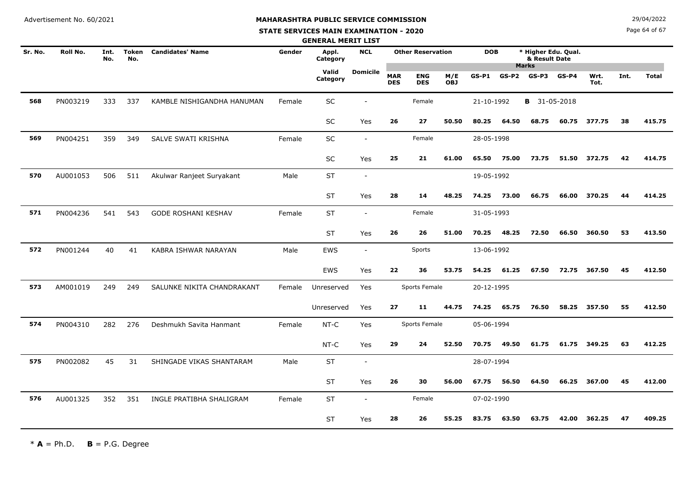#### **STATE SERVICES MAIN EXAMINATION - 2020**

**N**  $29/04/2022$ 

Page 64 of 67

|         |          |             |              |                            |        | <b>GENERAL MERIT LIST</b> |                          |                          |                          |                   |            |                                                      |                     |         |              |      |              |
|---------|----------|-------------|--------------|----------------------------|--------|---------------------------|--------------------------|--------------------------|--------------------------|-------------------|------------|------------------------------------------------------|---------------------|---------|--------------|------|--------------|
| Sr. No. | Roll No. | Int.<br>No. | Token<br>No. | <b>Candidates' Name</b>    | Gender | Appl.<br>Category         | <b>NCL</b>               |                          | <b>Other Reservation</b> |                   | <b>DOB</b> | * Higher Edu. Qual.<br>& Result Date<br><b>Marks</b> |                     |         |              |      |              |
|         |          |             |              |                            |        | Valid<br>Category         | <b>Domicile</b>          | <b>MAR</b><br><b>DES</b> | <b>ENG</b><br><b>DES</b> | M/E<br><b>OBJ</b> | $GS-P1$    | $GS-P2$                                              | GS-P3               | $GS-P4$ | Wrt.<br>Tot. | Int. | <b>Total</b> |
| 568     | PN003219 | 333         | 337          | KAMBLE NISHIGANDHA HANUMAN | Female | $\sf SC$                  |                          |                          | Female                   |                   | 21-10-1992 |                                                      | <b>B</b> 31-05-2018 |         |              |      |              |
|         |          |             |              |                            |        | <b>SC</b>                 | Yes                      | 26                       | 27                       | 50.50             | 80.25      | 64.50                                                | 68.75               | 60.75   | 377.75       | 38   | 415.75       |
| 569     | PN004251 | 359         | 349          | SALVE SWATI KRISHNA        | Female | <b>SC</b>                 | $\blacksquare$           |                          | Female                   |                   | 28-05-1998 |                                                      |                     |         |              |      |              |
|         |          |             |              |                            |        | <b>SC</b>                 | Yes                      | 25                       | 21                       | 61.00             | 65.50      | 75.00                                                | 73.75               | 51.50   | 372.75       | 42   | 414.75       |
| 570     | AU001053 | 506         | 511          | Akulwar Ranjeet Suryakant  | Male   | <b>ST</b>                 | $\overline{\phantom{a}}$ |                          |                          |                   | 19-05-1992 |                                                      |                     |         |              |      |              |
|         |          |             |              |                            |        | <b>ST</b>                 | Yes                      | 28                       | 14                       | 48.25             | 74.25      | 73.00                                                | 66.75               | 66.00   | 370.25       | 44   | 414.25       |
| 571     | PN004236 | 541         | 543          | GODE ROSHANI KESHAV        | Female | <b>ST</b>                 | $\overline{\phantom{a}}$ |                          | Female                   |                   | 31-05-1993 |                                                      |                     |         |              |      |              |
|         |          |             |              |                            |        | <b>ST</b>                 | Yes                      | 26                       | 26                       | 51.00             | 70.25      | 48.25                                                | 72.50               | 66.50   | 360.50       | 53   | 413.50       |
| 572     | PN001244 | 40          | 41           | KABRA ISHWAR NARAYAN       | Male   | <b>EWS</b>                | $\blacksquare$           |                          | Sports                   |                   | 13-06-1992 |                                                      |                     |         |              |      |              |
|         |          |             |              |                            |        | EWS                       | Yes                      | 22                       | 36                       | 53.75             | 54.25      | 61.25                                                | 67.50               | 72.75   | 367.50       | 45   | 412.50       |
| 573     | AM001019 | 249         | 249          | SALUNKE NIKITA CHANDRAKANT | Female | Unreserved                | Yes                      |                          | Sports Female            |                   | 20-12-1995 |                                                      |                     |         |              |      |              |
|         |          |             |              |                            |        | Unreserved                | Yes                      | 27                       | 11                       | 44.75             | 74.25      | 65.75                                                | 76.50               | 58.25   | 357.50       | 55   | 412.50       |
| 574     | PN004310 | 282         | 276          | Deshmukh Savita Hanmant    | Female | NT-C                      | Yes                      |                          | Sports Female            |                   | 05-06-1994 |                                                      |                     |         |              |      |              |
|         |          |             |              |                            |        | NT-C                      | Yes                      | 29                       | 24                       | 52.50             | 70.75      | 49.50                                                | 61.75               | 61.75   | 349.25       | 63   | 412.25       |
| 575     | PN002082 | 45          | 31           | SHINGADE VIKAS SHANTARAM   | Male   | ST                        | $\sim$                   |                          |                          |                   | 28-07-1994 |                                                      |                     |         |              |      |              |
|         |          |             |              |                            |        | <b>ST</b>                 | Yes                      | 26                       | 30                       | 56.00             | 67.75      | 56.50                                                | 64.50               | 66.25   | 367.00       | 45   | 412.00       |
| 576     | AU001325 | 352         | 351          | INGLE PRATIBHA SHALIGRAM   | Female | <b>ST</b>                 | $\overline{\phantom{a}}$ |                          | Female                   |                   | 07-02-1990 |                                                      |                     |         |              |      |              |
|         |          |             |              |                            |        | <b>ST</b>                 | Yes                      | 28                       | 26                       | 55.25             | 83.75      | 63.50                                                | 63.75               | 42.00   | 362.25       | 47   | 409.25       |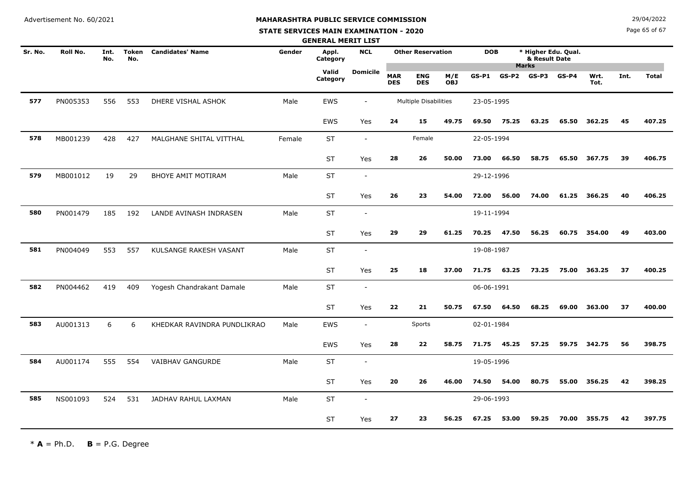#### **STATE SERVICES MAIN EXAMINATION - 2020**

**N**  $29/04/2022$ 

Page 65 of 67

| <b>GENERAL MERIT LIST</b> |          |             |                     |                             |        |                   |                          |                          |                              |                   |            |                                                                    |       |         |              |      |              |
|---------------------------|----------|-------------|---------------------|-----------------------------|--------|-------------------|--------------------------|--------------------------|------------------------------|-------------------|------------|--------------------------------------------------------------------|-------|---------|--------------|------|--------------|
| Sr. No.                   | Roll No. | Int.<br>No. | <b>Token</b><br>No. | <b>Candidates' Name</b>     | Gender | Appl.<br>Category | <b>NCL</b>               |                          | <b>Other Reservation</b>     |                   |            | * Higher Edu. Qual.<br><b>DOB</b><br>& Result Date<br><b>Marks</b> |       |         |              |      |              |
|                           |          |             |                     |                             |        | Valid<br>Category | Domicile                 | <b>MAR</b><br><b>DES</b> | <b>ENG</b><br><b>DES</b>     | M/E<br><b>OBJ</b> | GS-P1      | $GS-P2$ $GS-P3$                                                    |       | $GS-P4$ | Wrt.<br>Tot. | Int. | <b>Total</b> |
| 577                       | PN005353 | 556         | 553                 | DHERE VISHAL ASHOK          | Male   | EWS               | $\overline{\phantom{a}}$ |                          | <b>Multiple Disabilities</b> |                   | 23-05-1995 |                                                                    |       |         |              |      |              |
|                           |          |             |                     |                             |        | EWS               | Yes                      | 24                       | 15                           | 49.75             | 69.50      | 75.25                                                              | 63.25 | 65.50   | 362.25       | 45   | 407.25       |
| 578                       | MB001239 | 428         | 427                 | MALGHANE SHITAL VITTHAL     | Female | <b>ST</b>         | $\overline{\phantom{a}}$ |                          | Female                       |                   | 22-05-1994 |                                                                    |       |         |              |      |              |
|                           |          |             |                     |                             |        | <b>ST</b>         | Yes                      | 28                       | 26                           | 50.00             | 73.00      | 66.50                                                              | 58.75 | 65.50   | 367.75       | 39   | 406.75       |
| 579                       | MB001012 | 19          | 29                  | <b>BHOYE AMIT MOTIRAM</b>   | Male   | <b>ST</b>         | $\overline{\phantom{a}}$ |                          |                              |                   | 29-12-1996 |                                                                    |       |         |              |      |              |
|                           |          |             |                     |                             |        | <b>ST</b>         | Yes                      | 26                       | 23                           | 54.00             | 72.00      | 56.00                                                              | 74.00 | 61.25   | 366.25       | 40   | 406.25       |
| 580                       | PN001479 | 185         | 192                 | LANDE AVINASH INDRASEN      | Male   | <b>ST</b>         | $\overline{\phantom{a}}$ |                          |                              |                   | 19-11-1994 |                                                                    |       |         |              |      |              |
|                           |          |             |                     |                             |        | <b>ST</b>         | Yes                      | 29                       | 29                           | 61.25             | 70.25      | 47.50                                                              | 56.25 | 60.75   | 354.00       | 49   | 403.00       |
| 581                       | PN004049 | 553         | 557                 | KULSANGE RAKESH VASANT      | Male   | <b>ST</b>         | $\overline{\phantom{a}}$ |                          |                              |                   | 19-08-1987 |                                                                    |       |         |              |      |              |
|                           |          |             |                     |                             |        | ST                | Yes                      | 25                       | 18                           | 37.00             | 71.75      | 63.25                                                              | 73.25 | 75.00   | 363.25       | 37   | 400.25       |
| 582                       | PN004462 | 419         | 409                 | Yogesh Chandrakant Damale   | Male   | <b>ST</b>         | $\blacksquare$           |                          |                              |                   | 06-06-1991 |                                                                    |       |         |              |      |              |
|                           |          |             |                     |                             |        | <b>ST</b>         | Yes                      | 22                       | 21                           | 50.75             | 67.50      | 64.50                                                              | 68.25 | 69.00   | 363.00       | 37   | 400.00       |
| 583                       | AU001313 | 6           | 6                   | KHEDKAR RAVINDRA PUNDLIKRAO | Male   | EWS               | $\overline{\phantom{a}}$ |                          | Sports                       |                   | 02-01-1984 |                                                                    |       |         |              |      |              |
|                           |          |             |                     |                             |        | <b>EWS</b>        | Yes                      | 28                       | 22                           | 58.75             | 71.75      | 45.25                                                              | 57.25 | 59.75   | 342.75       | 56   | 398.75       |
| 584                       | AU001174 | 555         | 554                 | VAIBHAV GANGURDE            | Male   | <b>ST</b>         | $\overline{\phantom{a}}$ |                          |                              |                   | 19-05-1996 |                                                                    |       |         |              |      |              |
|                           |          |             |                     |                             |        | <b>ST</b>         | Yes                      | 20                       | 26                           | 46.00             | 74.50      | 54.00                                                              | 80.75 | 55.00   | 356.25       | 42   | 398.25       |
| 585                       | NS001093 | 524         | 531                 | JADHAV RAHUL LAXMAN         | Male   | <b>ST</b>         | $\overline{\phantom{a}}$ |                          |                              |                   | 29-06-1993 |                                                                    |       |         |              |      |              |
|                           |          |             |                     |                             |        | <b>ST</b>         | Yes                      | 27                       | 23                           | 56.25             | 67.25      | 53.00                                                              | 59.25 | 70.00   | 355.75       | 42   | 397.75       |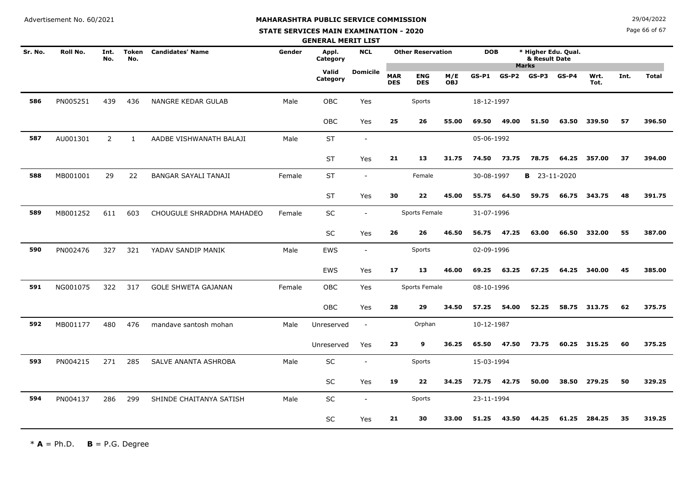# **MAHARASHTRA PUBLIC SERVICE COMMISSION**

#### **STATE SERVICES MAIN EXAMINATION - 2020**

**N**  $29/04/2022$ 

Page 66 of 67

|         |          |                |                     |                            |        | <b>GENERAL MERIT LIST</b> |                          |                          |                          |                   |            |       |                                                      |         |              |      |              |
|---------|----------|----------------|---------------------|----------------------------|--------|---------------------------|--------------------------|--------------------------|--------------------------|-------------------|------------|-------|------------------------------------------------------|---------|--------------|------|--------------|
| Sr. No. | Roll No. | Int.<br>No.    | <b>Token</b><br>No. | <b>Candidates' Name</b>    | Gender | Appl.<br>Category         | <b>NCL</b>               |                          | <b>Other Reservation</b> |                   | <b>DOB</b> |       | * Higher Edu. Qual.<br>& Result Date<br><b>Marks</b> |         |              |      |              |
|         |          |                |                     |                            |        | Valid<br>Category         | <b>Domicile</b>          | <b>MAR</b><br><b>DES</b> | <b>ENG</b><br><b>DES</b> | M/E<br><b>OBJ</b> | $GS-P1$    | GS-P2 | $GS-P3$                                              | $GS-P4$ | Wrt.<br>Tot. | Int. | <b>Total</b> |
| 586     | PN005251 | 439            | 436                 | NANGRE KEDAR GULAB         | Male   | OBC                       | Yes                      |                          | Sports                   |                   | 18-12-1997 |       |                                                      |         |              |      |              |
|         |          |                |                     |                            |        | OBC                       | Yes                      | 25                       | 26                       | 55.00             | 69.50      | 49.00 | 51.50                                                | 63.50   | 339.50       | 57   | 396.50       |
| 587     | AU001301 | $\overline{2}$ | $\mathbf{1}$        | AADBE VISHWANATH BALAJI    | Male   | <b>ST</b>                 | $\sim$                   |                          |                          |                   | 05-06-1992 |       |                                                      |         |              |      |              |
|         |          |                |                     |                            |        | <b>ST</b>                 | Yes                      | 21                       | 13                       | 31.75             | 74.50      | 73.75 | 78.75                                                | 64.25   | 357.00       | 37   | 394.00       |
| 588     | MB001001 | 29             | 22                  | BANGAR SAYALI TANAJI       | Female | <b>ST</b>                 | $\overline{\phantom{a}}$ |                          | Female                   |                   | 30-08-1997 |       | <b>B</b> 23-11-2020                                  |         |              |      |              |
|         |          |                |                     |                            |        | <b>ST</b>                 | Yes                      | 30                       | 22                       | 45.00             | 55.75      | 64.50 | 59.75                                                | 66.75   | 343.75       | 48   | 391.75       |
| 589     | MB001252 | 611            | 603                 | CHOUGULE SHRADDHA MAHADEO  | Female | SC                        | $\sim$                   |                          | Sports Female            |                   | 31-07-1996 |       |                                                      |         |              |      |              |
|         |          |                |                     |                            |        | <b>SC</b>                 | Yes                      | 26                       | 26                       | 46.50             | 56.75      | 47.25 | 63.00                                                | 66.50   | 332.00       | 55   | 387.00       |
| 590     | PN002476 | 327            | 321                 | YADAV SANDIP MANIK         | Male   | <b>EWS</b>                | $\overline{\phantom{a}}$ |                          | Sports                   |                   | 02-09-1996 |       |                                                      |         |              |      |              |
|         |          |                |                     |                            |        | <b>EWS</b>                | Yes                      | 17                       | 13                       | 46.00             | 69.25      | 63.25 | 67.25                                                | 64.25   | 340.00       | 45   | 385.00       |
| 591     | NG001075 | 322            | 317                 | <b>GOLE SHWETA GAJANAN</b> | Female | <b>OBC</b>                | Yes                      |                          | Sports Female            |                   | 08-10-1996 |       |                                                      |         |              |      |              |
|         |          |                |                     |                            |        | OBC                       | Yes                      | 28                       | 29                       | 34.50             | 57.25      | 54.00 | 52.25                                                |         | 58.75 313.75 | 62   | 375.75       |
| 592     | MB001177 | 480            | 476                 | mandave santosh mohan      | Male   | Unreserved                | $\sim$                   |                          | Orphan                   |                   | 10-12-1987 |       |                                                      |         |              |      |              |
|         |          |                |                     |                            |        | Unreserved                | Yes                      | 23                       | 9                        | 36.25             | 65.50      | 47.50 | 73.75                                                |         | 60.25 315.25 | 60   | 375.25       |
| 593     | PN004215 | 271            | 285                 | SALVE ANANTA ASHROBA       | Male   | SC                        |                          |                          | Sports                   |                   | 15-03-1994 |       |                                                      |         |              |      |              |
|         |          |                |                     |                            |        | SC                        | Yes                      | 19                       | 22                       | 34.25             | 72.75      | 42.75 | 50.00                                                | 38.50   | 279.25       | 50   | 329.25       |
| 594     | PN004137 | 286            | 299                 | SHINDE CHAITANYA SATISH    | Male   | SC                        |                          |                          | Sports                   |                   | 23-11-1994 |       |                                                      |         |              |      |              |
|         |          |                |                     |                            |        | SC                        | Yes                      | 21                       | 30                       | 33.00             | 51.25      | 43.50 | 44.25                                                | 61.25   | 284.25       | 35   | 319.25       |